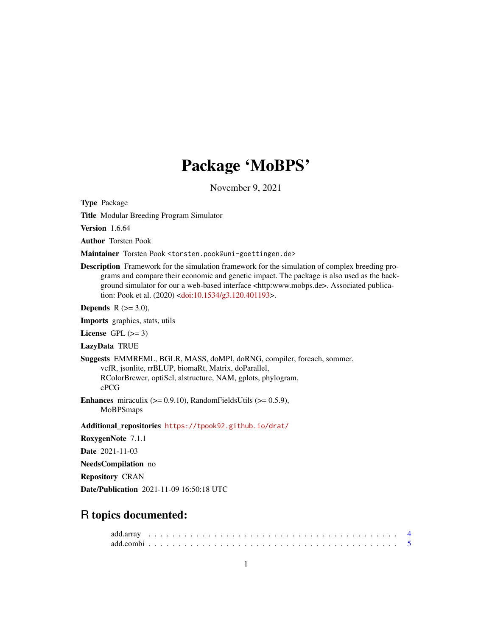# Package 'MoBPS'

November 9, 2021

Type Package

Title Modular Breeding Program Simulator

Version 1.6.64

Author Torsten Pook

Maintainer Torsten Pook <torsten.pook@uni-goettingen.de>

Description Framework for the simulation framework for the simulation of complex breeding programs and compare their economic and genetic impact. The package is also used as the background simulator for our a web-based interface <http:www.mobps.de>. Associated publication: Pook et al. (2020) [<doi:10.1534/g3.120.401193>](https://doi.org/10.1534/g3.120.401193).

Depends  $R$  ( $>=$  3.0),

Imports graphics, stats, utils

License GPL  $(>= 3)$ 

LazyData TRUE

Suggests EMMREML, BGLR, MASS, doMPI, doRNG, compiler, foreach, sommer, vcfR, jsonlite, rrBLUP, biomaRt, Matrix, doParallel, RColorBrewer, optiSel, alstructure, NAM, gplots, phylogram,

cPCG

Enhances miraculix  $(>= 0.9.10)$ , RandomFieldsUtils  $(>= 0.5.9)$ , MoBPSmaps

Additional\_repositories <https://tpook92.github.io/drat/>

RoxygenNote 7.1.1

Date 2021-11-03

NeedsCompilation no

Repository CRAN

Date/Publication 2021-11-09 16:50:18 UTC

# R topics documented: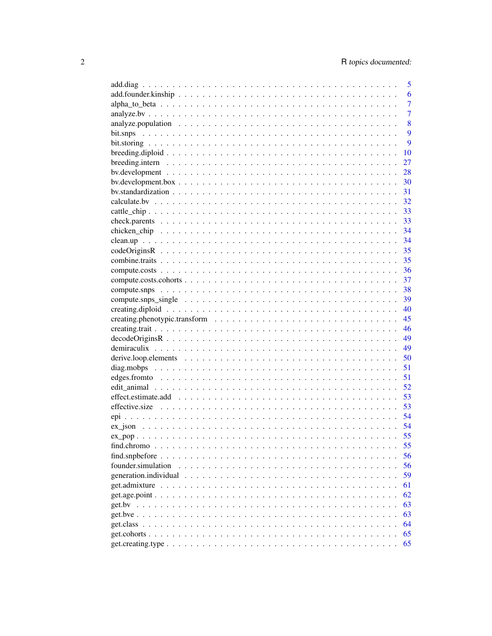|                    | 5              |
|--------------------|----------------|
|                    | 6              |
|                    | $\overline{7}$ |
|                    | $\overline{7}$ |
|                    | 8              |
|                    | 9              |
|                    | 9              |
|                    | 10             |
|                    | 27             |
|                    | 28             |
|                    | 30             |
|                    | 31             |
|                    | 32             |
|                    | 33             |
|                    | 33             |
|                    | 34             |
|                    | 34             |
|                    | 35             |
|                    |                |
|                    |                |
|                    |                |
|                    |                |
|                    |                |
|                    |                |
|                    |                |
|                    | 46             |
|                    | 49             |
|                    | 49             |
|                    | 50             |
|                    | 51             |
|                    | 51             |
|                    | 52             |
|                    | 53             |
|                    |                |
|                    |                |
|                    |                |
| $ex\_pop$          | 55             |
|                    | 55             |
|                    | 56             |
| founder.simulation | 56             |
|                    | 59             |
|                    | 61             |
|                    | 62             |
|                    | 63             |
|                    | 63             |
|                    | 64             |
|                    | 65             |
|                    | 65             |
|                    |                |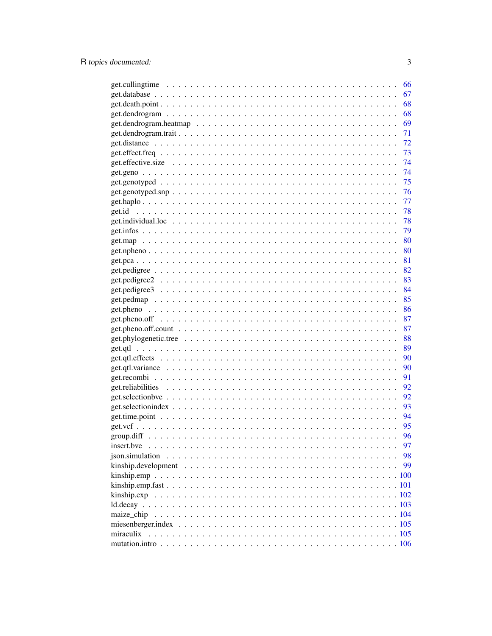|            | 66  |
|------------|-----|
|            | 67  |
|            | 68  |
|            | 68  |
|            | 69  |
|            | 71  |
|            | 72  |
|            | 73  |
|            | 74  |
|            | 74  |
|            | 75  |
|            | 76  |
|            | -77 |
|            | 78  |
|            | 78  |
|            | 79  |
|            | 80  |
|            | 80  |
|            | 81  |
|            | 82  |
|            | 83  |
|            | 84  |
|            | 85  |
|            | 86  |
|            | 87  |
|            | 87  |
|            | 88  |
|            | 89  |
|            | 90  |
|            | 90  |
|            | 91  |
|            | 92  |
|            | 92  |
|            | 93  |
|            | 94  |
|            | 95  |
|            | 96  |
| insert.bve | 97  |
|            | 98  |
|            | 99  |
|            |     |
|            |     |
|            |     |
|            |     |
| maize_chip |     |
|            |     |
| miraculix  |     |
|            |     |
|            |     |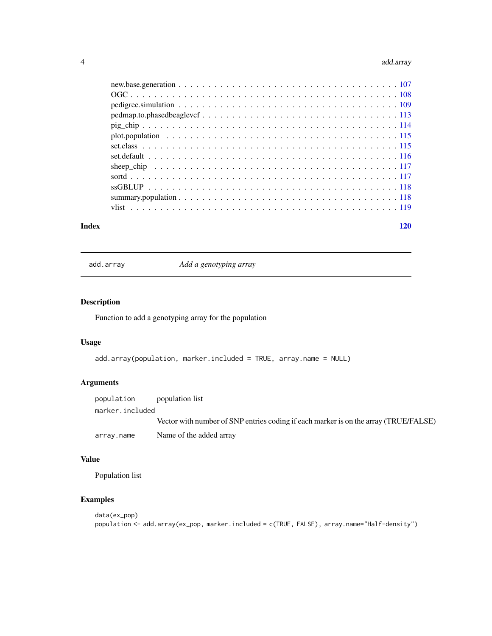#### <span id="page-3-0"></span>4 add.array

| $pedmap.to.phased beaglevcf \ldots \ldots \ldots \ldots \ldots \ldots \ldots \ldots \ldots \ldots \ldots 113$ |  |
|---------------------------------------------------------------------------------------------------------------|--|
|                                                                                                               |  |
|                                                                                                               |  |
|                                                                                                               |  |
|                                                                                                               |  |
|                                                                                                               |  |
|                                                                                                               |  |
|                                                                                                               |  |
|                                                                                                               |  |
|                                                                                                               |  |
|                                                                                                               |  |

#### **Index** the contract of the contract of the contract of the contract of the contract of the contract of the contract of the contract of the contract of the contract of the contract of the contract of the contract of the co

add.array *Add a genotyping array*

# Description

Function to add a genotyping array for the population

# Usage

```
add.array(population, marker.included = TRUE, array.name = NULL)
```
# Arguments

| population      | population list                                                                      |
|-----------------|--------------------------------------------------------------------------------------|
| marker.included |                                                                                      |
|                 | Vector with number of SNP entries coding if each marker is on the array (TRUE/FALSE) |
| array.name      | Name of the added array                                                              |

# Value

Population list

```
data(ex_pop)
population <- add.array(ex_pop, marker.included = c(TRUE, FALSE), array.name="Half-density")
```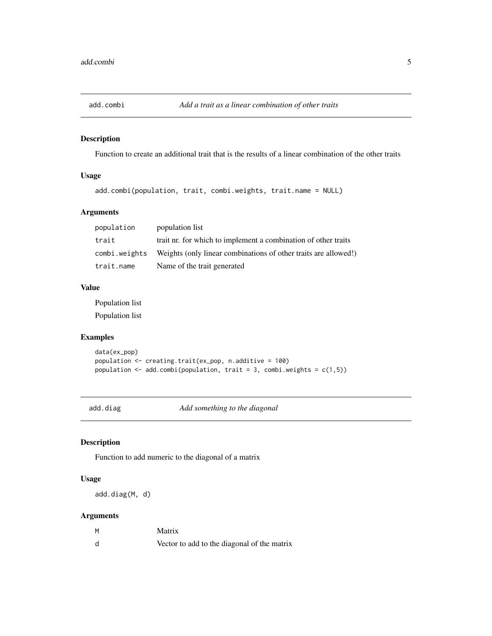<span id="page-4-0"></span>

# Description

Function to create an additional trait that is the results of a linear combination of the other traits

# Usage

```
add.combi(population, trait, combi.weights, trait.name = NULL)
```
# Arguments

| population    | population list                                                 |
|---------------|-----------------------------------------------------------------|
| trait         | trait nr. for which to implement a combination of other traits  |
| combi.weights | Weights (only linear combinations of other traits are allowed!) |
| trait.name    | Name of the trait generated                                     |

# Value

Population list Population list

# Examples

```
data(ex_pop)
population <- creating.trait(ex_pop, n.additive = 100)
population \leq add.combi(population, trait = 3, combi.weights = c(1,5))
```
add.diag *Add something to the diagonal*

# Description

Function to add numeric to the diagonal of a matrix

#### Usage

add.diag(M, d)

| M | Matrix                                      |
|---|---------------------------------------------|
| d | Vector to add to the diagonal of the matrix |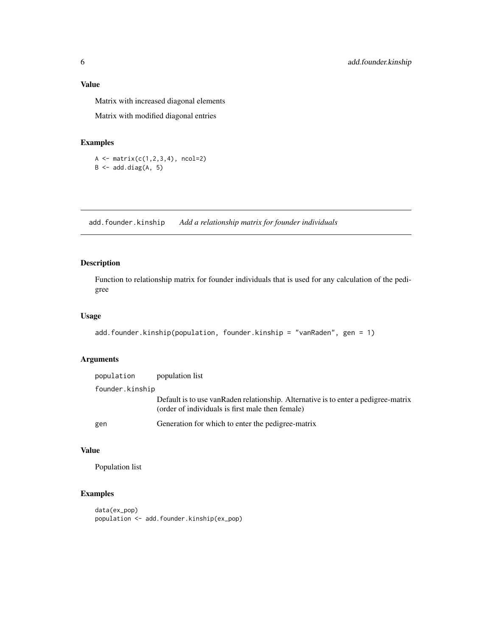<span id="page-5-0"></span>Matrix with increased diagonal elements

Matrix with modified diagonal entries

#### Examples

```
A \leftarrow matrix(c(1,2,3,4), ncol=2)
B \leftarrow add.diag(A, 5)
```
add.founder.kinship *Add a relationship matrix for founder individuals*

# Description

Function to relationship matrix for founder individuals that is used for any calculation of the pedigree

#### Usage

```
add.founder.kinship(population, founder.kinship = "vanRaden", gen = 1)
```
#### Arguments

| population      | population list                                                                                                                         |
|-----------------|-----------------------------------------------------------------------------------------------------------------------------------------|
| founder.kinship |                                                                                                                                         |
|                 | Default is to use van Raden relationship. Alternative is to enter a pedigree-matrix<br>(order of individuals is first male then female) |
| gen             | Generation for which to enter the pedigree-matrix                                                                                       |

# Value

Population list

```
data(ex_pop)
population <- add.founder.kinship(ex_pop)
```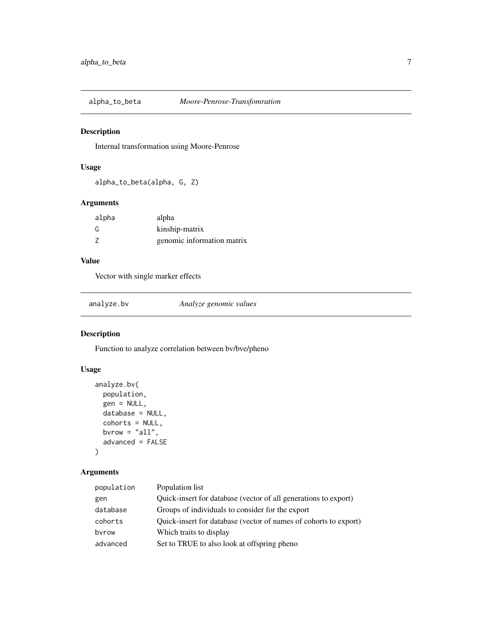<span id="page-6-0"></span>

# Description

Internal transformation using Moore-Penrose

# Usage

alpha\_to\_beta(alpha, G, Z)

# Arguments

| alpha | alpha                      |
|-------|----------------------------|
| G     | kinship-matrix             |
| -7    | genomic information matrix |

# Value

Vector with single marker effects

analyze.bv *Analyze genomic values*

# Description

Function to analyze correlation between bv/bve/pheno

# Usage

```
analyze.bv(
  population,
  gen = NULL,
  database = NULL,
  cohorts = NULL,
  bvrow = "all",advanced = FALSE
\mathcal{E}
```

| population | Population list                                                  |
|------------|------------------------------------------------------------------|
| gen        | Quick-insert for database (vector of all generations to export)  |
| database   | Groups of individuals to consider for the export                 |
| cohorts    | Quick-insert for database (vector of names of cohorts to export) |
| byrow      | Which traits to display                                          |
| advanced   | Set to TRUE to also look at offspring pheno                      |
|            |                                                                  |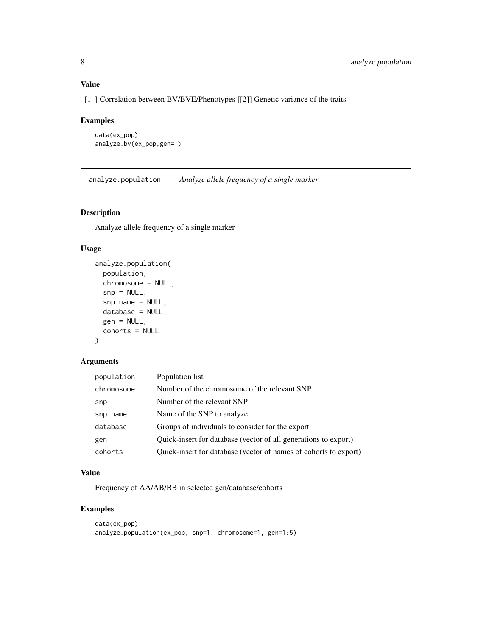# <span id="page-7-0"></span>Value

[1 ] Correlation between BV/BVE/Phenotypes [[2]] Genetic variance of the traits

# Examples

```
data(ex_pop)
analyze.bv(ex_pop,gen=1)
```
analyze.population *Analyze allele frequency of a single marker*

# Description

Analyze allele frequency of a single marker

# Usage

```
analyze.population(
 population,
  chromosome = NULL,
  snp = NULL,snp.name = NULL,
  database = NULL,
  gen = NULL,
  cohorts = NULL
)
```
# Arguments

| population | Population list                                                  |
|------------|------------------------------------------------------------------|
| chromosome | Number of the chromosome of the relevant SNP                     |
| snp        | Number of the relevant SNP                                       |
| snp.name   | Name of the SNP to analyze                                       |
| database   | Groups of individuals to consider for the export                 |
| gen        | Quick-insert for database (vector of all generations to export)  |
| cohorts    | Quick-insert for database (vector of names of cohorts to export) |

# Value

Frequency of AA/AB/BB in selected gen/database/cohorts

```
data(ex_pop)
analyze.population(ex_pop, snp=1, chromosome=1, gen=1:5)
```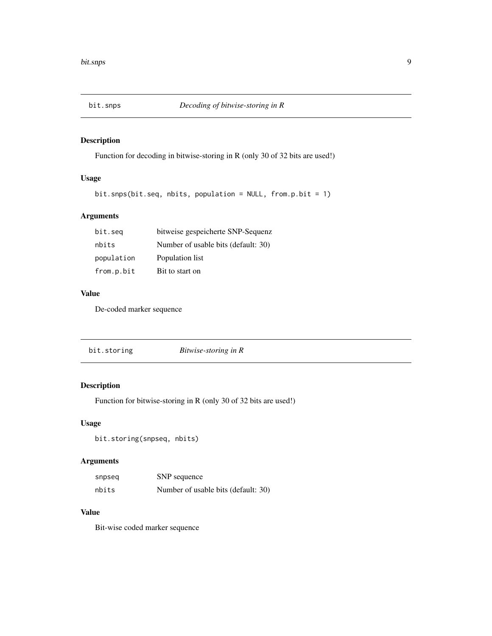<span id="page-8-0"></span>

# Description

Function for decoding in bitwise-storing in R (only 30 of 32 bits are used!)

# Usage

```
bit.snps(bit.seq, nbits, population = NULL, from.p.bit = 1)
```
# Arguments

| bit.seg    | bitweise gespeicherte SNP-Sequenz   |
|------------|-------------------------------------|
| nbits      | Number of usable bits (default: 30) |
| population | Population list                     |
| from.p.bit | Bit to start on                     |

# Value

De-coded marker sequence

# Description

Function for bitwise-storing in R (only 30 of 32 bits are used!)

# Usage

```
bit.storing(snpseq, nbits)
```
# Arguments

| snpseq | SNP sequence                        |  |
|--------|-------------------------------------|--|
| nbits  | Number of usable bits (default: 30) |  |

# Value

Bit-wise coded marker sequence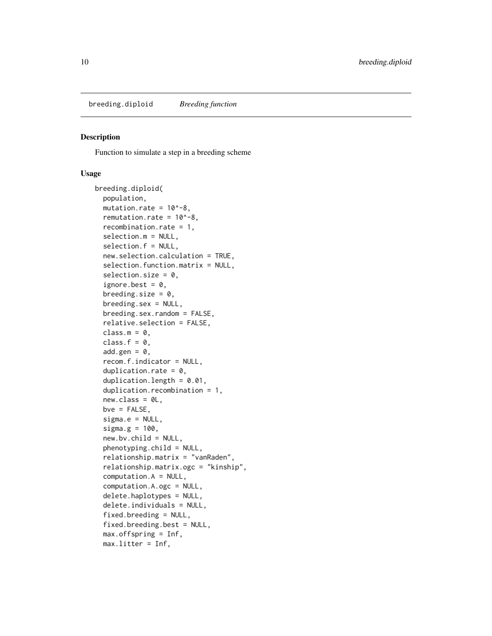<span id="page-9-0"></span>breeding.diploid *Breeding function*

#### Description

Function to simulate a step in a breeding scheme

#### Usage

```
breeding.diploid(
  population,
 mutation.rate = 10^{\circ}-8,
  remutation.rate = 10^{\circ}-8,
  recombination.rate = 1,
  selection.m = NULL,
  selection.f = NULL,
  new.selection.calculation = TRUE,
  selection.function.matrix = NULL,
  selection.size = 0,
  ignore.best = 0,
  breeding.size = 0,
  breeding.sex = NULL,
  breeding.sex.random = FALSE,
  relative.selection = FALSE,
  class.m = 0.
  class.f = 0,
  add.gen = 0.
  recom.f.indicator = NULL,
  duplication.rate = 0,
  duplication.length = 0.01,
  duplication.recombination = 1,
  new.class = 0L,bve = FALSE,signa.e = NULL,sigma.g = 100,
  new.bv.child = NULL,
  phenotyping.child = NULL,
  relationship.matrix = "vanRaden",
  relationship.matrix.ogc = "kinship",
  computation.A = NULL,
  computation.A.ogc = NULL,
  delete.haplotypes = NULL,
  delete.individuals = NULL,
  fixed. breeding = NULL,
  fixed.breeding.best = NULL,
  max.offspring = Inf,
 max.litter = Inf,
```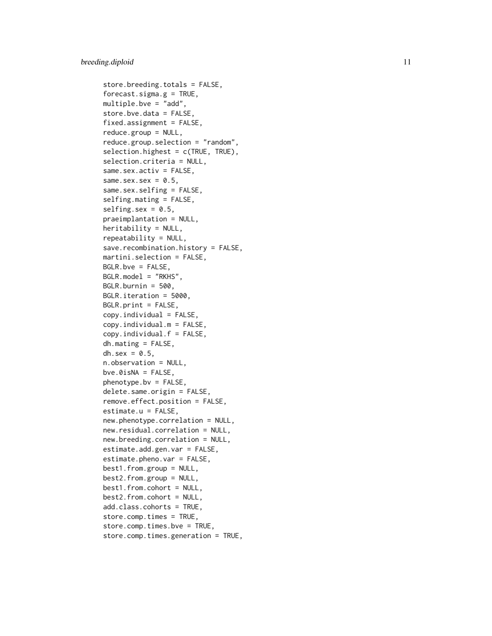```
store.breeding.totals = FALSE,
forceast.\sigmaigma.g = TRUE,multiple.bve = "add",
store.bve.data = FALSE,
fixed.assignment = FALSE,
reduce.group = NULL,
reduce.group.selection = "random",
selection.highest = c(TRUE, TRUE),
selection.criteria = NULL,
same.sex.activ = FALSE,
same.sex.sex = 0.5,
same.sex.selfing = FALSE,
selfing.mating = FALSE,
selfing.set = 0.5,
praeimplantation = NULL,
heritability = NULL,
repeatability = NULL,
save.recombination.history = FALSE,
martini.selection = FALSE,
BGLR.bve = FALSE,
BGLR.model = "RKHS",
BGLR.burnin = 500,
BGLR.iteration = 5000,
BGLR.print = FALSE,
copy.individual = FALSE,
copy.individual.m = FALSE,
copy.individual.f = FALSE,dh.mating = FALSE,
dh.sex = 0.5,
n.observation = NULL,
bve.0isNA = FALSE,phenotype.bv = FALSE,
delete.same.origin = FALSE,
remove.effect.position = FALSE,
estimate.u = FALSE,
new.phenotype.correlation = NULL,
new.residual.correlation = NULL,
new.breeding.correlation = NULL,
estimate.add.gen.var = FALSE,
estimate.pheno.var = FALSE,
best1.from.group = NULL,
best2.from.group = NULL,
best1.from.cohort = NULL,
best2.from.cohort = NULL,
add.class.cohorts = TRUE,
store.comp.times = TRUE,
store.comp.times.bve = TRUE,
store.comp.times.generation = TRUE,
```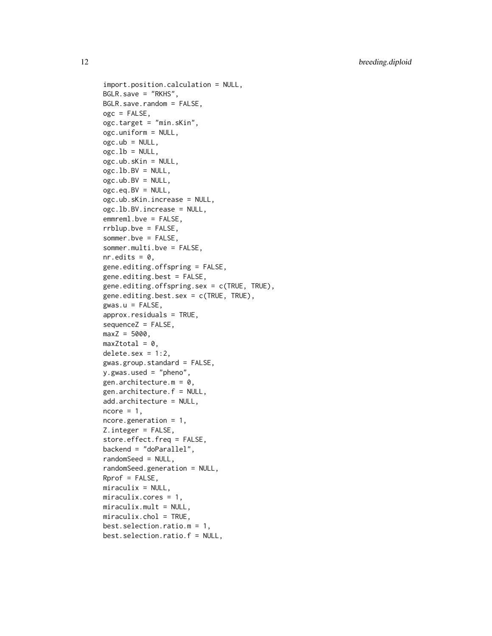```
import.position.calculation = NULL,
BGLR.save = "RKHS",
BGLR.save.random = FALSE,
ogc = FALSE,ogc.target = "min.sKin",
ogc.uniform = NULL,
ogc.ub = NULL,ogc.1b = NULL,ogc.ub.sKin = NULL,
ogc.1b.BV = NULL,ogc.ub.BV = NULL,ogc.eq.BV = NULL,ogc.ub.sKin.increase = NULL,
ogc.lb.BV.increase = NULL,
emmreml.bve = FALSE,
rrblup.bve = FALSE,
sommer.bve = FALSE,
sommer.multi.bve = FALSE,
nr.edits = 0,
gene.editing.offspring = FALSE,
gene.editing.best = FALSE,
gene.editing.offspring.sex = c(TRUE, TRUE),
gene.editing.best.sex = c(TRUE, TRUE),
gwas.u = FALSE,approx.residuals = TRUE,
sequenceZ = FALSE,
maxZ = 5000,maxZtotal = 0,
delete.setx = 1:2,gwas.group.standard = FALSE,
y.gwas.used = "pheno",
gen.architecture.m = 0,
gen.architecture.f = NULL,
add.architecture = NULL,
ncore = 1,
ncore.generation = 1,
Z.integer = FALSE,
store.effect.freq = FALSE,
backend = "doParallel",
randomSeed = NULL,
randomSeed.generation = NULL,
Rprof = FALSE,miraculix = NULL,miraculix.cores = 1,
miraculix.mult = NULL,
miraculix.chol = TRUE,
best.selection.ratio.m = 1,
best.selection.ratio.f = NULL,
```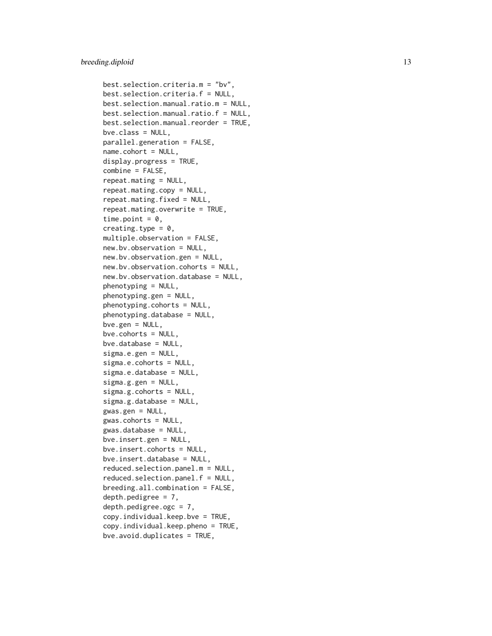```
best.selection.criteria.m = "bv",
best.selection.criteria.f = NULL,
best.selection.manual.ratio.m = NULL,
best.selection.manual.ratio.f = NULL,
best.selection.manual.reorder = TRUE,
bve.class = NULL,
parallel.generation = FALSE,
name.cohort = NULL,
display.progress = TRUE,
combine = FALSE,
repeat.mating = NULL,
repeat.mating.copy = NULL,
repeat.mating.fixed = NULL,
repeat.mating.overwrite = TRUE,
time.point = 0,
creating.type = 0,
multiple.observation = FALSE,
new.bv.observation = NULL,
new.bv.observation.gen = NULL,
new.bv.observation.cohorts = NULL,
new.bv.observation.database = NULL,
phenotyping = NULL,
phenotyping.gen = NULL,
phenotyping.cohorts = NULL,
phenotyping.database = NULL,
bve.gen = NULL,
bve.cohorts = NULL,
bve.database = NULL,
sigma.e.gen = NULL,
sigma.e.cohorts = NULL,
sigma.e.database = NULL,
sigma.g.gen = NULL,
sigma.g.cohorts = NULL,
sigma.g.database = NULL,
gwas.getn = NULL,gwas.cohorts = NULL,
gwas.database = NULL,
bve.insert.gen = NULL,
bve.insert.cohorts = NULL,
bve.insert.database = NULL,
reduced.selection.panel.m = NULL,
reduced.selection.panel.f = NULL,
breeding.all.combination = FALSE,
depth.pedigree = 7,
depth.pedigree.ogc = 7,
copy.individual.keep.bve = TRUE,
copy.individual.keep.pheno = TRUE,
bve.avoid.duplicates = TRUE,
```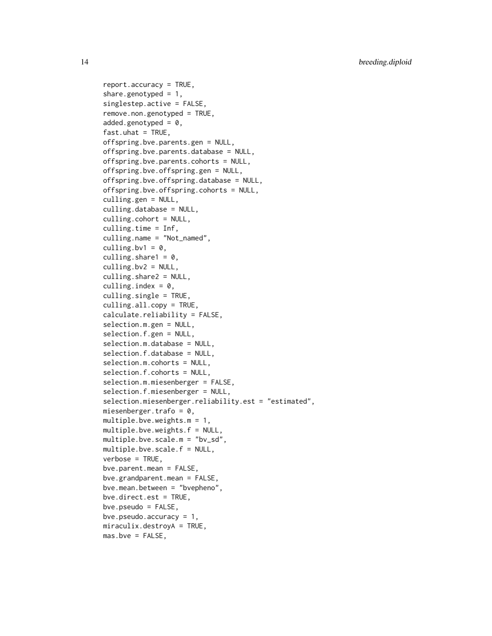```
report.accuracy = TRUE,
share.genotyped = 1,
singlestep.active = FALSE,
remove.non.genotyped = TRUE,
added.genotyped = 0,
fast.uhat = TRUE,
offspring.bve.parents.gen = NULL,
offspring.bve.parents.database = NULL,
offspring.bve.parents.cohorts = NULL,
offspring.bve.offspring.gen = NULL,
offspring.bve.offspring.database = NULL,
offspring.bve.offspring.cohorts = NULL,
culling.gen = NULL,
culling.database = NULL,
culling.cohort = NULL,
culling.time = Inf,
culling.name = "Not_named",
culling.bv1 = 0,
culling.share1 = 0,
culling.bv2 = NULL,
culling.share2 = NULL,
culling.index = 0,
culling.single = TRUE,
culling.all.copy = TRUE,
calculate.reliability = FALSE,
selection.m.gen = NULL,
selection.f.gen = NULL,
selection.m.database = NULL,
selection.f.database = NULL,
selection.m.cohorts = NULL,
selection.f.cohorts = NULL,
selection.m.miesenberger = FALSE,
selection.f.miesenberger = NULL,
selection.miesenberger.reliability.est = "estimated",
miesenberger.trafo = 0,
multiple.bve.weights.m = 1,
multiple.bve.weights.f = NULL,
multiple.bve.scale.m = "bv_sd",
multiple.bve.scale.f = NULL,
verbose = TRUE,
bve.parent.mean = FALSE,
bve.grandparent.mean = FALSE,
bve.mean.between = "bvepheno",
bve.direct.est = TRUE,
bve.pseudo = FALSE,
bve.pseudo.accuracy = 1,
miraculix.destroyA = TRUE,
mas.bve = FALSE,
```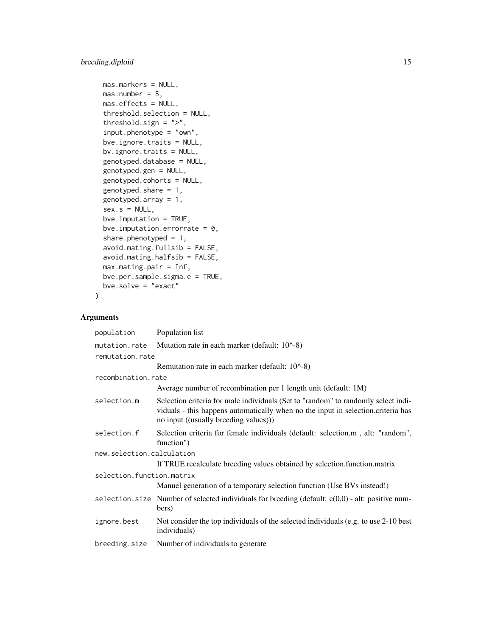# breeding.diploid 15

```
mas.markers = NULL,
mas.number = 5,
mas.effects = NULL,
threshold.selection = NULL,
threshold.sign = ">",
input.phenotype = "own",
bve.ignore.traits = NULL,
bv.ignore.traits = NULL,
genotyped.database = NULL,
genotyped.gen = NULL,
genotyped.cohorts = NULL,
genotyped.share = 1,
genotyped.array = 1,
sex.s = NULL,bve.imputation = TRUE,
bve.imputation.errorrate = 0,
share.phenotyped = 1,
avoid.mating.fullsib = FALSE,
avoid.mating.halfsib = FALSE,
max.mating.pair = Inf,
bve.per.sample.sigma.e = TRUE,
bve.solve = "exact"
```
# Arguments

 $\mathcal{E}$ 

| population                | Population list                                                                                                                                                                                                |  |
|---------------------------|----------------------------------------------------------------------------------------------------------------------------------------------------------------------------------------------------------------|--|
| mutation.rate             | Mutation rate in each marker (default: 10^-8)                                                                                                                                                                  |  |
| remutation.rate           |                                                                                                                                                                                                                |  |
|                           | Remutation rate in each marker (default: 10^-8)                                                                                                                                                                |  |
| recombination.rate        |                                                                                                                                                                                                                |  |
|                           | Average number of recombination per 1 length unit (default: 1M)                                                                                                                                                |  |
| selection.m               | Selection criteria for male individuals (Set to "random" to randomly select indi-<br>viduals - this happens automatically when no the input in selection.criteria has<br>no input ((usually breeding values))) |  |
| selection.f               | Selection criteria for female individuals (default: selection.m, alt: "random",<br>function")                                                                                                                  |  |
| new.selection.calculation |                                                                                                                                                                                                                |  |
|                           | If TRUE recalculate breeding values obtained by selection.function.matrix                                                                                                                                      |  |
| selection.function.matrix |                                                                                                                                                                                                                |  |
|                           | Manuel generation of a temporary selection function (Use BVs instead!)                                                                                                                                         |  |
|                           | selection. size Number of selected individuals for breeding (default: $c(0,0)$ - alt: positive num-<br>bers)                                                                                                   |  |
| ignore.best               | Not consider the top individuals of the selected individuals (e.g. to use 2-10 best<br>individuals)                                                                                                            |  |
| breeding.size             | Number of individuals to generate                                                                                                                                                                              |  |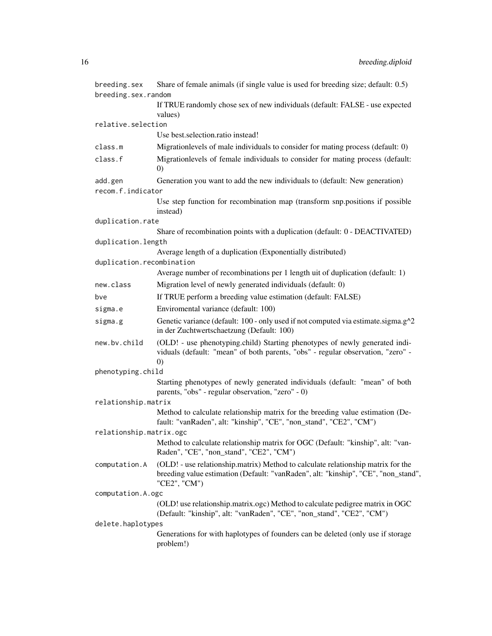| breeding.sex              | Share of female animals (if single value is used for breeding size; default: 0.5)                                                                                                      |
|---------------------------|----------------------------------------------------------------------------------------------------------------------------------------------------------------------------------------|
| breeding.sex.random       |                                                                                                                                                                                        |
|                           | If TRUE randomly chose sex of new individuals (default: FALSE - use expected<br>values)                                                                                                |
| relative.selection        |                                                                                                                                                                                        |
|                           | Use best.selection.ratio instead!                                                                                                                                                      |
| class.m                   | Migrationlevels of male individuals to consider for mating process (default: 0)                                                                                                        |
| class.f                   | Migrationlevels of female individuals to consider for mating process (default:<br>$\left( 0\right)$                                                                                    |
| add.gen                   | Generation you want to add the new individuals to (default: New generation)                                                                                                            |
| recom.f.indicator         |                                                                                                                                                                                        |
|                           | Use step function for recombination map (transform snp.positions if possible<br>instead)                                                                                               |
| duplication.rate          |                                                                                                                                                                                        |
|                           | Share of recombination points with a duplication (default: 0 - DEACTIVATED)                                                                                                            |
| duplication.length        |                                                                                                                                                                                        |
| duplication.recombination | Average length of a duplication (Exponentially distributed)                                                                                                                            |
|                           | Average number of recombinations per 1 length uit of duplication (default: 1)                                                                                                          |
| new.class                 | Migration level of newly generated individuals (default: 0)                                                                                                                            |
|                           |                                                                                                                                                                                        |
| bve                       | If TRUE perform a breeding value estimation (default: FALSE)                                                                                                                           |
| sigma.e                   | Enviromental variance (default: 100)                                                                                                                                                   |
| sigma.g                   | Genetic variance (default: 100 - only used if not computed via estimate.sigma.g^2<br>in der Zuchtwertschaetzung (Default: 100)                                                         |
| new.bv.child              | (OLD! - use phenotyping.child) Starting phenotypes of newly generated indi-<br>viduals (default: "mean" of both parents, "obs" - regular observation, "zero" -<br>$\left( 0\right)$    |
| phenotyping.child         |                                                                                                                                                                                        |
|                           | Starting phenotypes of newly generated individuals (default: "mean" of both<br>parents, "obs" - regular observation, "zero" - 0)                                                       |
| relationship.matrix       |                                                                                                                                                                                        |
|                           | Method to calculate relationship matrix for the breeding value estimation (De-<br>fault: "vanRaden", alt: "kinship", "CE", "non_stand", "CE2", "CM")                                   |
| relationship.matrix.ogc   |                                                                                                                                                                                        |
|                           | Method to calculate relationship matrix for OGC (Default: "kinship", alt: "van-<br>Raden", "CE", "non_stand", "CE2", "CM")                                                             |
| computation.A             | (OLD! - use relationship.matrix) Method to calculate relationship matrix for the<br>breeding value estimation (Default: "vanRaden", alt: "kinship", "CE", "non_stand",<br>"CE2", "CM") |
| computation.A.ogc         |                                                                                                                                                                                        |
|                           | (OLD! use relationship.matrix.ogc) Method to calculate pedigree matrix in OGC<br>(Default: "kinship", alt: "vanRaden", "CE", "non_stand", "CE2", "CM")                                 |
| delete.haplotypes         |                                                                                                                                                                                        |
|                           | Generations for with haplotypes of founders can be deleted (only use if storage<br>problem!)                                                                                           |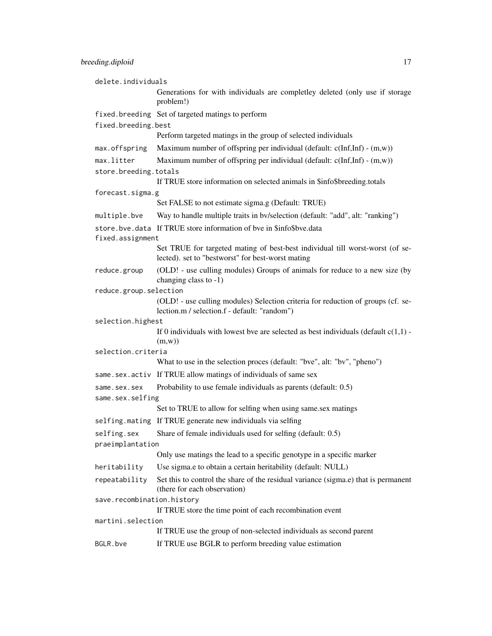| delete.individuals                  |                                                                                                                                  |
|-------------------------------------|----------------------------------------------------------------------------------------------------------------------------------|
|                                     | Generations for with individuals are completley deleted (only use if storage<br>problem!)                                        |
|                                     | fixed.breeding Set of targeted matings to perform                                                                                |
| fixed.breeding.best                 |                                                                                                                                  |
|                                     | Perform targeted matings in the group of selected individuals                                                                    |
| max.offspring                       | Maximum number of offspring per individual (default: $c(Inf, Inf) - (m, w)$ )                                                    |
| max.litter<br>store.breeding.totals | Maximum number of offspring per individual (default: $c(Inf, Inf) - (m, w)$ )                                                    |
|                                     | If TRUE store information on selected animals in \$info\$breeding.totals                                                         |
| forecast.sigma.g                    |                                                                                                                                  |
|                                     | Set FALSE to not estimate sigma.g (Default: TRUE)                                                                                |
| multiple.bve                        | Way to handle multiple traits in bv/selection (default: "add", alt: "ranking")                                                   |
|                                     | store.bve.data If TRUE store information of bve in \$info\$bve.data                                                              |
| fixed.assignment                    | Set TRUE for targeted mating of best-best individual till worst-worst (of se-                                                    |
|                                     | lected). set to "bestworst" for best-worst mating                                                                                |
| reduce.group                        | (OLD! - use culling modules) Groups of animals for reduce to a new size (by<br>changing class to -1)                             |
| reduce.group.selection              |                                                                                                                                  |
|                                     | (OLD! - use culling modules) Selection criteria for reduction of groups (cf. se-<br>lection.m / selection.f - default: "random") |
| selection.highest                   |                                                                                                                                  |
|                                     | If 0 individuals with lowest bve are selected as best individuals (default $c(1,1)$ -<br>(m,w))                                  |
| selection.criteria                  |                                                                                                                                  |
|                                     | What to use in the selection proces (default: "bve", alt: "bv", "pheno")                                                         |
|                                     | same.sex.activ If TRUE allow matings of individuals of same sex                                                                  |
| same.sex.sex                        | Probability to use female individuals as parents (default: 0.5)                                                                  |
| same.sex.selfing                    |                                                                                                                                  |
|                                     | Set to TRUE to allow for selfing when using same.sex matings                                                                     |
| selfing.mating                      | If TRUE generate new individuals via selfing                                                                                     |
| selfing.sex<br>praeimplantation     | Share of female individuals used for selfing (default: 0.5)                                                                      |
|                                     | Only use matings the lead to a specific genotype in a specific marker                                                            |
| heritability                        | Use sigma.e to obtain a certain heritability (default: NULL)                                                                     |
| repeatability                       | Set this to control the share of the residual variance (sigma.e) that is permanent<br>(there for each observation)               |
| save.recombination.history          |                                                                                                                                  |
|                                     | If TRUE store the time point of each recombination event                                                                         |
| martini.selection                   | If TRUE use the group of non-selected individuals as second parent                                                               |
| BGLR.bve                            | If TRUE use BGLR to perform breeding value estimation                                                                            |
|                                     |                                                                                                                                  |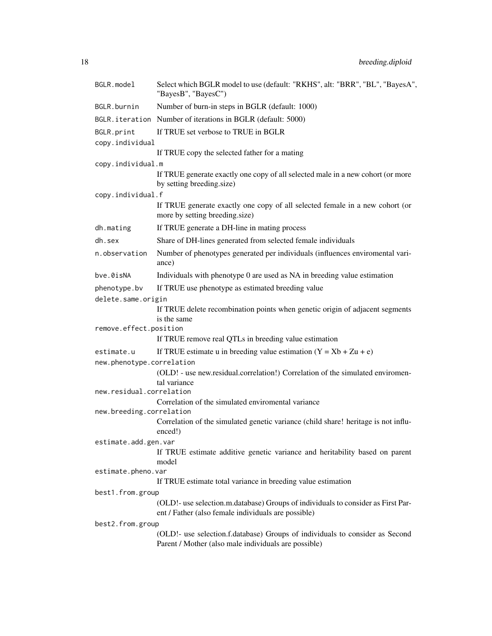| BGLR.model                              | Select which BGLR model to use (default: "RKHS", alt: "BRR", "BL", "BayesA",<br>"BayesB", "BayesC")                                     |
|-----------------------------------------|-----------------------------------------------------------------------------------------------------------------------------------------|
| BGLR.burnin                             | Number of burn-in steps in BGLR (default: 1000)                                                                                         |
|                                         | BGLR. iteration Number of iterations in BGLR (default: 5000)                                                                            |
| BGLR.print                              | If TRUE set verbose to TRUE in BGLR                                                                                                     |
| copy.individual                         |                                                                                                                                         |
|                                         | If TRUE copy the selected father for a mating                                                                                           |
| copy.individual.m                       |                                                                                                                                         |
|                                         | If TRUE generate exactly one copy of all selected male in a new cohort (or more<br>by setting breeding.size)                            |
| copy.individual.f                       |                                                                                                                                         |
|                                         | If TRUE generate exactly one copy of all selected female in a new cohort (or<br>more by setting breeding.size)                          |
| dh.mating                               | If TRUE generate a DH-line in mating process                                                                                            |
| dh.sex                                  | Share of DH-lines generated from selected female individuals                                                                            |
| n.observation                           | Number of phenotypes generated per individuals (influences enviromental vari-<br>ance)                                                  |
| bve.0isNA                               | Individuals with phenotype 0 are used as NA in breeding value estimation                                                                |
| phenotype.bv                            | If TRUE use phenotype as estimated breeding value                                                                                       |
| delete.same.origin                      |                                                                                                                                         |
|                                         | If TRUE delete recombination points when genetic origin of adjacent segments                                                            |
|                                         | is the same                                                                                                                             |
| remove.effect.position                  | If TRUE remove real QTLs in breeding value estimation                                                                                   |
|                                         |                                                                                                                                         |
| estimate.u<br>new.phenotype.correlation | If TRUE estimate u in breeding value estimation $(Y = Xb + Zu + e)$                                                                     |
|                                         | (OLD! - use new.residual.correlation!) Correlation of the simulated enviromen-                                                          |
|                                         | tal variance                                                                                                                            |
| new.residual.correlation                |                                                                                                                                         |
|                                         | Correlation of the simulated enviromental variance                                                                                      |
| new.breeding.correlation                |                                                                                                                                         |
|                                         | Correlation of the simulated genetic variance (child share! heritage is not influ-<br>enced!)                                           |
| estimate.add.gen.var                    |                                                                                                                                         |
|                                         | If TRUE estimate additive genetic variance and heritability based on parent                                                             |
|                                         | model                                                                                                                                   |
| estimate.pheno.var                      |                                                                                                                                         |
|                                         | If TRUE estimate total variance in breeding value estimation                                                                            |
| best1.from.group                        |                                                                                                                                         |
|                                         | (OLD!- use selection.m.database) Groups of individuals to consider as First Par-<br>ent / Father (also female individuals are possible) |
| best2.from.group                        |                                                                                                                                         |
|                                         | (OLD!- use selection.f.database) Groups of individuals to consider as Second<br>Parent / Mother (also male individuals are possible)    |
|                                         |                                                                                                                                         |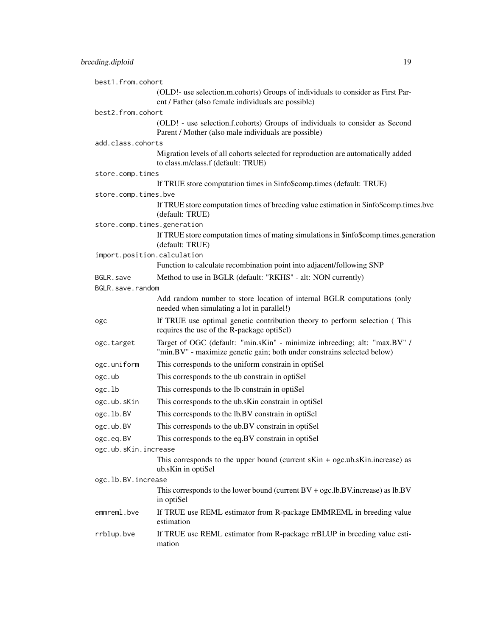| best1.from.cohort    |                                                                                                                                                      |
|----------------------|------------------------------------------------------------------------------------------------------------------------------------------------------|
|                      | (OLD!- use selection.m.cohorts) Groups of individuals to consider as First Par-<br>ent / Father (also female individuals are possible)               |
| best2.from.cohort    |                                                                                                                                                      |
|                      | (OLD! - use selection.f.cohorts) Groups of individuals to consider as Second<br>Parent / Mother (also male individuals are possible)                 |
| add.class.cohorts    |                                                                                                                                                      |
|                      | Migration levels of all cohorts selected for reproduction are automatically added<br>to class.m/class.f (default: TRUE)                              |
| store.comp.times     |                                                                                                                                                      |
|                      | If TRUE store computation times in \$info\$comp.times (default: TRUE)                                                                                |
| store.comp.times.bve |                                                                                                                                                      |
|                      | If TRUE store computation times of breeding value estimation in \$info\$comp.times.bve<br>(default: TRUE)                                            |
|                      | store.comp.times.generation                                                                                                                          |
|                      | If TRUE store computation times of mating simulations in \$info\$comp.times.generation<br>(default: TRUE)                                            |
|                      | import.position.calculation                                                                                                                          |
|                      | Function to calculate recombination point into adjacent/following SNP                                                                                |
| BGLR.save            | Method to use in BGLR (default: "RKHS" - alt: NON currently)                                                                                         |
| BGLR.save.random     |                                                                                                                                                      |
|                      | Add random number to store location of internal BGLR computations (only<br>needed when simulating a lot in parallel!)                                |
| ogc                  | If TRUE use optimal genetic contribution theory to perform selection (This<br>requires the use of the R-package optiSel)                             |
| ogc.target           | Target of OGC (default: "min.sKin" - minimize inbreeding; alt: "max.BV" /<br>"min.BV" - maximize genetic gain; both under constrains selected below) |
| ogc.uniform          | This corresponds to the uniform constrain in optiSel                                                                                                 |
| ogc.ub               | This corresponds to the ub constrain in optiSel                                                                                                      |
| ogc.lb               | This corresponds to the lb constrain in optiSel                                                                                                      |
| ogc.ub.sKin          | This corresponds to the ub.sKin constrain in optiSel                                                                                                 |
| ogc.lb.BV            | This corresponds to the lb.BV constrain in optiSel                                                                                                   |
| ogc.ub.BV            | This corresponds to the ub.BV constrain in optiSel                                                                                                   |
| ogc.eq.BV            | This corresponds to the eq.BV constrain in optiSel                                                                                                   |
| ogc.ub.sKin.increase |                                                                                                                                                      |
|                      | This corresponds to the upper bound (current $s$ Kin + ogc.ub. $s$ Kin.increase) as<br>ub.sKin in optiSel                                            |
| ogc.lb.BV.increase   |                                                                                                                                                      |
|                      | This corresponds to the lower bound (current $BV + ogc$ .lb.BV.increase) as $lb.BV$<br>in optiSel                                                    |
| emmreml.bve          | If TRUE use REML estimator from R-package EMMREML in breeding value<br>estimation                                                                    |
| rrblup.bve           | If TRUE use REML estimator from R-package rrBLUP in breeding value esti-<br>mation                                                                   |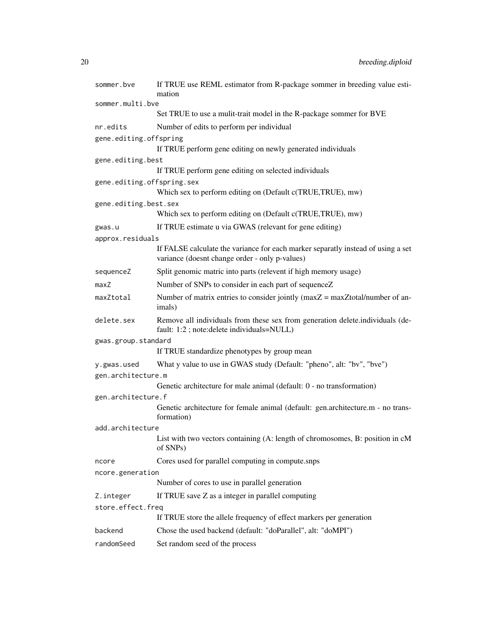| sommer.bve                 | If TRUE use REML estimator from R-package sommer in breeding value esti-<br>mation                                                 |
|----------------------------|------------------------------------------------------------------------------------------------------------------------------------|
| sommer.multi.bve           |                                                                                                                                    |
|                            | Set TRUE to use a mulit-trait model in the R-package sommer for BVE                                                                |
| nr.edits                   | Number of edits to perform per individual                                                                                          |
| gene.editing.offspring     | If TRUE perform gene editing on newly generated individuals                                                                        |
| gene.editing.best          |                                                                                                                                    |
|                            | If TRUE perform gene editing on selected individuals                                                                               |
| gene.editing.offspring.sex | Which sex to perform editing on (Default c(TRUE, TRUE), mw)                                                                        |
| gene.editing.best.sex      |                                                                                                                                    |
|                            | Which sex to perform editing on (Default c(TRUE, TRUE), mw)                                                                        |
| gwas.u                     | If TRUE estimate u via GWAS (relevant for gene editing)                                                                            |
| approx.residuals           |                                                                                                                                    |
|                            | If FALSE calculate the variance for each marker separatly instead of using a set<br>variance (doesnt change order - only p-values) |
| sequenceZ                  | Split genomic matric into parts (relevent if high memory usage)                                                                    |
| maxZ                       | Number of SNPs to consider in each part of sequenceZ                                                                               |
| maxZtotal                  | Number of matrix entries to consider jointly (maxZ = maxZtotal/number of an-<br>imals)                                             |
| delete.sex                 | Remove all individuals from these sex from generation delete.individuals (de-<br>fault: 1:2; note:delete individuals=NULL)         |
| gwas.group.standard        |                                                                                                                                    |
|                            | If TRUE standardize phenotypes by group mean                                                                                       |
| y.gwas.used                | What y value to use in GWAS study (Default: "pheno", alt: "bv", "bve")                                                             |
| gen.architecture.m         |                                                                                                                                    |
|                            | Genetic architecture for male animal (default: 0 - no transformation)                                                              |
| gen.architecture.f         |                                                                                                                                    |
|                            | Genetic architecture for female animal (default: gen.architecture.m - no trans-<br>formation)                                      |
| add.architecture           |                                                                                                                                    |
|                            | List with two vectors containing (A: length of chromosomes, B: position in cM<br>of SNPs)                                          |
| ncore                      | Cores used for parallel computing in compute.snps                                                                                  |
| ncore.generation           |                                                                                                                                    |
|                            | Number of cores to use in parallel generation                                                                                      |
| Z.integer                  | If TRUE save Z as a integer in parallel computing                                                                                  |
| store.effect.freq          |                                                                                                                                    |
|                            | If TRUE store the allele frequency of effect markers per generation                                                                |
| backend                    | Chose the used backend (default: "doParallel", alt: "doMPI")                                                                       |
| randomSeed                 | Set random seed of the process                                                                                                     |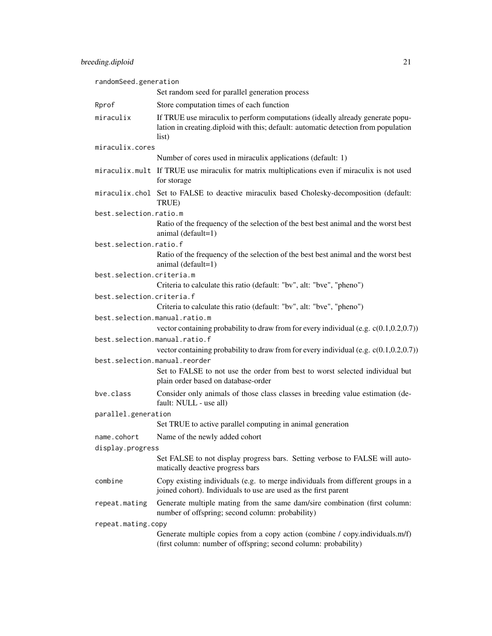| randomSeed.generation         |                                                                                                                                                                              |
|-------------------------------|------------------------------------------------------------------------------------------------------------------------------------------------------------------------------|
|                               | Set random seed for parallel generation process                                                                                                                              |
| Rprof                         | Store computation times of each function                                                                                                                                     |
| miraculix                     | If TRUE use miraculix to perform computations (ideally already generate popu-<br>lation in creating diploid with this; default: automatic detection from population<br>list) |
| miraculix.cores               |                                                                                                                                                                              |
|                               | Number of cores used in miraculix applications (default: 1)                                                                                                                  |
|                               | miraculix.mult If TRUE use miraculix for matrix multiplications even if miraculix is not used<br>for storage                                                                 |
|                               | miraculix.chol Set to FALSE to deactive miraculix based Cholesky-decomposition (default:<br>TRUE)                                                                            |
| best.selection.ratio.m        |                                                                                                                                                                              |
|                               | Ratio of the frequency of the selection of the best best animal and the worst best<br>animal (default=1)                                                                     |
| best.selection.ratio.f        |                                                                                                                                                                              |
|                               | Ratio of the frequency of the selection of the best best animal and the worst best<br>animal (default=1)                                                                     |
| best.selection.criteria.m     |                                                                                                                                                                              |
|                               | Criteria to calculate this ratio (default: "bv", alt: "bve", "pheno")                                                                                                        |
| best.selection.criteria.f     |                                                                                                                                                                              |
|                               | Criteria to calculate this ratio (default: "bv", alt: "bve", "pheno")                                                                                                        |
| best.selection.manual.ratio.m | vector containing probability to draw from for every individual (e.g. $c(0.1, 0.2, 0.7)$ )                                                                                   |
| best.selection.manual.ratio.f | vector containing probability to draw from for every individual (e.g. $c(0.1, 0.2, 0.7)$ )                                                                                   |
| best.selection.manual.reorder |                                                                                                                                                                              |
|                               | Set to FALSE to not use the order from best to worst selected individual but<br>plain order based on database-order                                                          |
| bve.class                     | Consider only animals of those class classes in breeding value estimation (de-<br>fault: NULL - use all)                                                                     |
| parallel.generation           |                                                                                                                                                                              |
|                               | Set TRUE to active parallel computing in animal generation                                                                                                                   |
| name.cohort                   | Name of the newly added cohort                                                                                                                                               |
| display.progress              |                                                                                                                                                                              |
|                               | Set FALSE to not display progress bars. Setting verbose to FALSE will auto-<br>matically deactive progress bars                                                              |
| combine                       | Copy existing individuals (e.g. to merge individuals from different groups in a<br>joined cohort). Individuals to use are used as the first parent                           |
| repeat.mating                 | Generate multiple mating from the same dam/sire combination (first column:<br>number of offspring; second column: probability)                                               |
| repeat.mating.copy            |                                                                                                                                                                              |
|                               | Generate multiple copies from a copy action (combine / copy.individuals.m/f)<br>(first column: number of offspring; second column: probability)                              |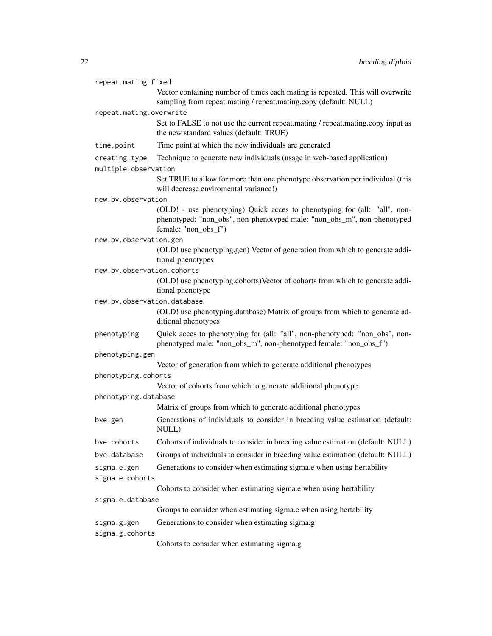| repeat.mating.fixed            |                                                                                                                                                                              |  |
|--------------------------------|------------------------------------------------------------------------------------------------------------------------------------------------------------------------------|--|
|                                | Vector containing number of times each mating is repeated. This will overwrite<br>sampling from repeat.mating / repeat.mating.copy (default: NULL)                           |  |
| repeat.mating.overwrite        |                                                                                                                                                                              |  |
|                                | Set to FALSE to not use the current repeat.mating / repeat.mating.copy input as<br>the new standard values (default: TRUE)                                                   |  |
| time.point                     | Time point at which the new individuals are generated                                                                                                                        |  |
| creating.type                  | Technique to generate new individuals (usage in web-based application)                                                                                                       |  |
| multiple.observation           |                                                                                                                                                                              |  |
|                                | Set TRUE to allow for more than one phenotype observation per individual (this<br>will decrease enviromental variance!)                                                      |  |
| new.by.observation             |                                                                                                                                                                              |  |
|                                | (OLD! - use phenotyping) Quick acces to phenotyping for (all: "all", non-<br>phenotyped: "non_obs", non-phenotyped male: "non_obs_m", non-phenotyped<br>female: "non_obs_f") |  |
| new.bv.observation.gen         |                                                                                                                                                                              |  |
|                                | (OLD! use phenotyping.gen) Vector of generation from which to generate addi-<br>tional phenotypes                                                                            |  |
| new.bv.observation.cohorts     |                                                                                                                                                                              |  |
|                                | (OLD! use phenotyping.cohorts)Vector of cohorts from which to generate addi-<br>tional phenotype                                                                             |  |
| new.bv.observation.database    |                                                                                                                                                                              |  |
|                                | (OLD! use phenotyping.database) Matrix of groups from which to generate ad-<br>ditional phenotypes                                                                           |  |
| phenotyping                    | Quick acces to phenotyping for (all: "all", non-phenotyped: "non_obs", non-<br>phenotyped male: "non_obs_m", non-phenotyped female: "non_obs_f")                             |  |
| phenotyping.gen                |                                                                                                                                                                              |  |
|                                | Vector of generation from which to generate additional phenotypes                                                                                                            |  |
| phenotyping.cohorts            |                                                                                                                                                                              |  |
|                                | Vector of cohorts from which to generate additional phenotype                                                                                                                |  |
| phenotyping.database           |                                                                                                                                                                              |  |
|                                | Matrix of groups from which to generate additional phenotypes                                                                                                                |  |
| bve.gen                        | Generations of individuals to consider in breeding value estimation (default:<br>NULL)                                                                                       |  |
| bve.cohorts                    | Cohorts of individuals to consider in breeding value estimation (default: NULL)                                                                                              |  |
| bve.database                   | Groups of individuals to consider in breeding value estimation (default: NULL)                                                                                               |  |
| sigma.e.gen                    | Generations to consider when estimating sigma.e when using hertability                                                                                                       |  |
| sigma.e.cohorts                |                                                                                                                                                                              |  |
|                                | Cohorts to consider when estimating sigma.e when using hertability                                                                                                           |  |
| sigma.e.database               |                                                                                                                                                                              |  |
|                                | Groups to consider when estimating sigma.e when using hertability                                                                                                            |  |
| sigma.g.gen<br>sigma.g.cohorts | Generations to consider when estimating sigma.g                                                                                                                              |  |

Cohorts to consider when estimating sigma.g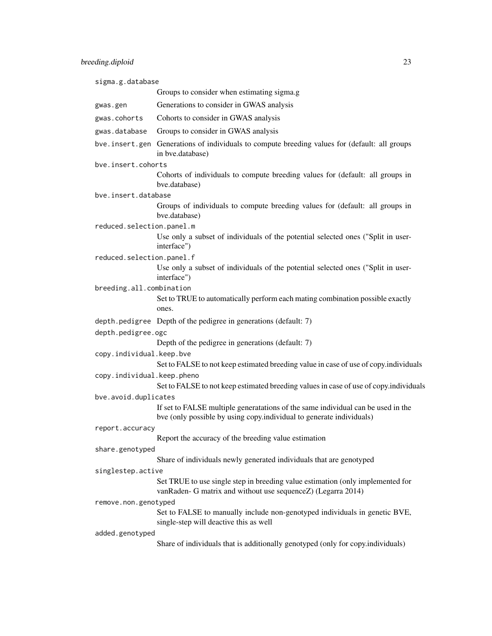sigma.g.database Groups to consider when estimating sigma.g gwas.gen Generations to consider in GWAS analysis gwas.cohorts Cohorts to consider in GWAS analysis gwas.database Groups to consider in GWAS analysis bve.insert.gen Generations of individuals to compute breeding values for (default: all groups in bve.database) bve.insert.cohorts Cohorts of individuals to compute breeding values for (default: all groups in bve.database) bve.insert.database Groups of individuals to compute breeding values for (default: all groups in bve.database) reduced.selection.panel.m Use only a subset of individuals of the potential selected ones ("Split in userinterface") reduced.selection.panel.f Use only a subset of individuals of the potential selected ones ("Split in userinterface") breeding.all.combination Set to TRUE to automatically perform each mating combination possible exactly ones. depth.pedigree Depth of the pedigree in generations (default: 7) depth.pedigree.ogc Depth of the pedigree in generations (default: 7) copy.individual.keep.bve Set to FALSE to not keep estimated breeding value in case of use of copy.individuals copy.individual.keep.pheno Set to FALSE to not keep estimated breeding values in case of use of copy.individuals bve.avoid.duplicates If set to FALSE multiple generatations of the same individual can be used in the bve (only possible by using copy.individual to generate individuals) report.accuracy Report the accuracy of the breeding value estimation share.genotyped Share of individuals newly generated individuals that are genotyped singlestep.active Set TRUE to use single step in breeding value estimation (only implemented for vanRaden- G matrix and without use sequenceZ) (Legarra 2014) remove.non.genotyped Set to FALSE to manually include non-genotyped individuals in genetic BVE, single-step will deactive this as well added.genotyped Share of individuals that is additionally genotyped (only for copy.individuals)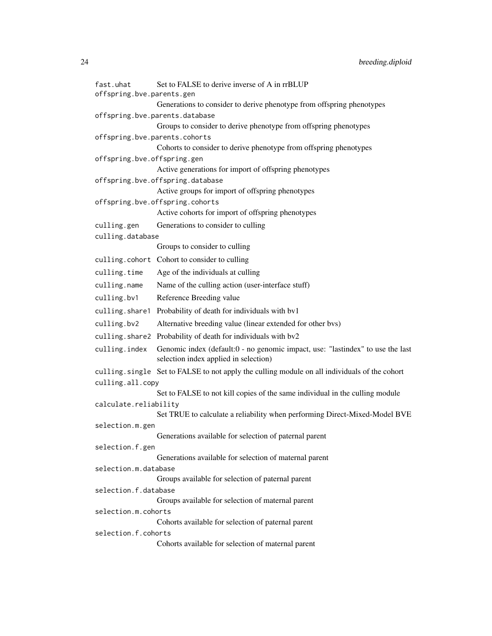| fast.uhat<br>offspring.bve.parents.gen | Set to FALSE to derive inverse of A in rrBLUP                                                                           |
|----------------------------------------|-------------------------------------------------------------------------------------------------------------------------|
|                                        | Generations to consider to derive phenotype from offspring phenotypes                                                   |
|                                        | offspring.bve.parents.database                                                                                          |
|                                        | Groups to consider to derive phenotype from offspring phenotypes                                                        |
| offspring.bve.parents.cohorts          |                                                                                                                         |
|                                        | Cohorts to consider to derive phenotype from offspring phenotypes                                                       |
| offspring.bve.offspring.gen            | Active generations for import of offspring phenotypes                                                                   |
|                                        | offspring.bve.offspring.database                                                                                        |
|                                        | Active groups for import of offspring phenotypes                                                                        |
|                                        | offspring.bve.offspring.cohorts                                                                                         |
|                                        | Active cohorts for import of offspring phenotypes                                                                       |
| culling.gen                            | Generations to consider to culling                                                                                      |
| culling.database                       |                                                                                                                         |
|                                        | Groups to consider to culling                                                                                           |
|                                        | culling.cohort Cohort to consider to culling                                                                            |
| culling.time                           | Age of the individuals at culling                                                                                       |
| culling.name                           | Name of the culling action (user-interface stuff)                                                                       |
| culling.bv1                            | Reference Breeding value                                                                                                |
| culling.share1                         | Probability of death for individuals with by1                                                                           |
| culling.bv2                            | Alternative breeding value (linear extended for other bvs)                                                              |
|                                        | culling. share2 Probability of death for individuals with bv2                                                           |
| culling.index                          | Genomic index (default:0 - no genomic impact, use: "lastindex" to use the last<br>selection index applied in selection) |
|                                        | culling. single Set to FALSE to not apply the culling module on all individuals of the cohort                           |
| culling.all.copy                       |                                                                                                                         |
|                                        | Set to FALSE to not kill copies of the same individual in the culling module                                            |
| calculate.reliability                  |                                                                                                                         |
|                                        | Set TRUE to calculate a reliability when performing Direct-Mixed-Model BVE                                              |
| selection.m.gen                        | Generations available for selection of paternal parent                                                                  |
| selection.f.gen                        |                                                                                                                         |
|                                        | Generations available for selection of maternal parent                                                                  |
| selection.m.database                   |                                                                                                                         |
|                                        | Groups available for selection of paternal parent                                                                       |
| selection.f.database                   |                                                                                                                         |
|                                        | Groups available for selection of maternal parent                                                                       |
| selection.m.cohorts                    | Cohorts available for selection of paternal parent                                                                      |
| selection.f.cohorts                    |                                                                                                                         |
|                                        | Cohorts available for selection of maternal parent                                                                      |
|                                        |                                                                                                                         |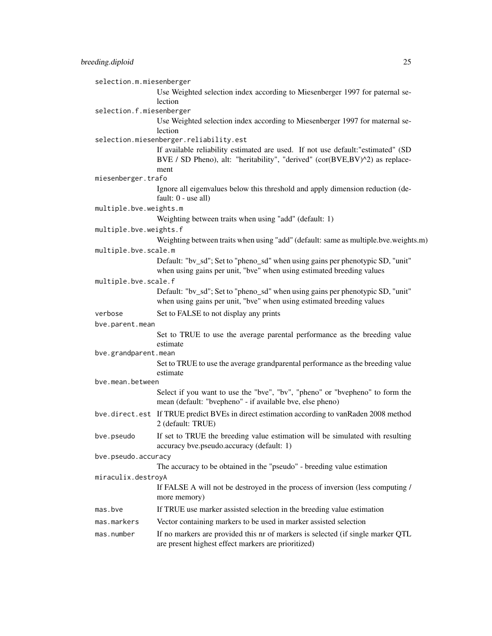selection.m.miesenberger

Use Weighted selection index according to Miesenberger 1997 for paternal selection

selection.f.miesenberger

Use Weighted selection index according to Miesenberger 1997 for maternal selection

#### selection.miesenberger.reliability.est

If available reliability estimated are used. If not use default:"estimated" (SD BVE / SD Pheno), alt: "heritability", "derived" (cor(BVE,BV)^2) as replacement

miesenberger.trafo

Ignore all eigenvalues below this threshold and apply dimension reduction (default: 0 - use all)

multiple.bve.weights.m

Weighting between traits when using "add" (default: 1)

#### multiple.bve.weights.f

Weighting between traits when using "add" (default: same as multiple.bve.weights.m) multiple.bve.scale.m

> Default: "bv\_sd"; Set to "pheno\_sd" when using gains per phenotypic SD, "unit" when using gains per unit, "bve" when using estimated breeding values

#### multiple.bve.scale.f

Default: "bv\_sd"; Set to "pheno\_sd" when using gains per phenotypic SD, "unit" when using gains per unit, "bve" when using estimated breeding values

verbose Set to FALSE to not display any prints

bve.parent.mean

Set to TRUE to use the average parental performance as the breeding value estimate

bve.grandparent.mean

Set to TRUE to use the average grandparental performance as the breeding value estimate

bve.mean.between

Select if you want to use the "bve", "bv", "pheno" or "bvepheno" to form the mean (default: "bvepheno" - if available bve, else pheno)

- bve.direct.est If TRUE predict BVEs in direct estimation according to vanRaden 2008 method 2 (default: TRUE)
- bve. pseudo If set to TRUE the breeding value estimation will be simulated with resulting accuracy bve.pseudo.accuracy (default: 1)

## bve.pseudo.accuracy

The accuracy to be obtained in the "pseudo" - breeding value estimation

#### miraculix.destroyA

If FALSE A will not be destroyed in the process of inversion (less computing / more memory)

- mas.bve If TRUE use marker assisted selection in the breeding value estimation
- mas.markers Vector containing markers to be used in marker assisted selection

# mas.number If no markers are provided this nr of markers is selected (if single marker QTL are present highest effect markers are prioritized)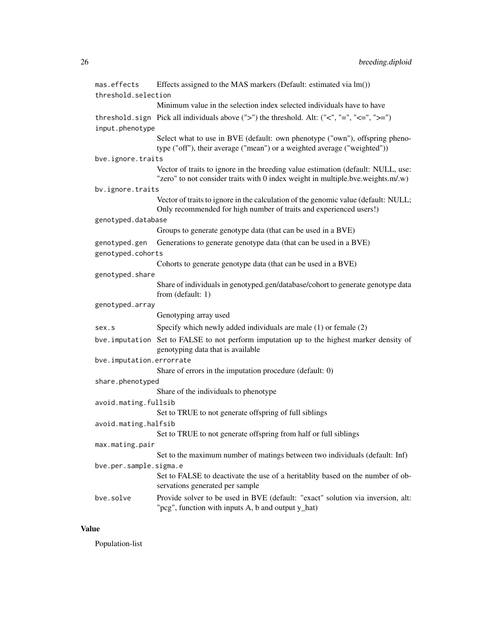| mas.effects                        | Effects assigned to the MAS markers (Default: estimated via lm())                                                                                                   |  |
|------------------------------------|---------------------------------------------------------------------------------------------------------------------------------------------------------------------|--|
| threshold.selection                |                                                                                                                                                                     |  |
|                                    | Minimum value in the selection index selected individuals have to have                                                                                              |  |
| input.phenotype                    | threshold. sign Pick all individuals above $('>')$ the threshold. Alt: $('<', '='', '<=')$                                                                          |  |
|                                    | Select what to use in BVE (default: own phenotype ("own"), offspring pheno-<br>type ("off"), their average ("mean") or a weighted average ("weighted"))             |  |
| bve.ignore.traits                  |                                                                                                                                                                     |  |
|                                    | Vector of traits to ignore in the breeding value estimation (default: NULL, use:<br>"zero" to not consider traits with 0 index weight in multiple.bve.weights.m/.w) |  |
| bv.ignore.traits                   |                                                                                                                                                                     |  |
|                                    | Vector of traits to ignore in the calculation of the genomic value (default: NULL;<br>Only recommended for high number of traits and experienced users!)            |  |
| genotyped.database                 |                                                                                                                                                                     |  |
|                                    | Groups to generate genotype data (that can be used in a BVE)                                                                                                        |  |
| genotyped.gen<br>genotyped.cohorts | Generations to generate genotype data (that can be used in a BVE)                                                                                                   |  |
|                                    | Cohorts to generate genotype data (that can be used in a BVE)                                                                                                       |  |
| genotyped.share                    |                                                                                                                                                                     |  |
|                                    | Share of individuals in genotyped.gen/database/cohort to generate genotype data<br>from (default: 1)                                                                |  |
| genotyped.array                    |                                                                                                                                                                     |  |
|                                    | Genotyping array used                                                                                                                                               |  |
| sex.s                              | Specify which newly added individuals are male $(1)$ or female $(2)$                                                                                                |  |
|                                    | bve. imputation Set to FALSE to not perform imputation up to the highest marker density of<br>genotyping data that is available                                     |  |
| bve.imputation.errorrate           |                                                                                                                                                                     |  |
|                                    | Share of errors in the imputation procedure (default: 0)                                                                                                            |  |
| share.phenotyped                   |                                                                                                                                                                     |  |
|                                    | Share of the individuals to phenotype                                                                                                                               |  |
| avoid.mating.fullsib               |                                                                                                                                                                     |  |
|                                    | Set to TRUE to not generate offspring of full siblings                                                                                                              |  |
| avoid.mating.halfsib               |                                                                                                                                                                     |  |
|                                    | Set to TRUE to not generate offspring from half or full siblings                                                                                                    |  |
| max.mating.pair                    | Set to the maximum number of matings between two individuals (default: Inf)                                                                                         |  |
| bve.per.sample.sigma.e             |                                                                                                                                                                     |  |
|                                    | Set to FALSE to deactivate the use of a heritablity based on the number of ob-<br>servations generated per sample                                                   |  |
| bve.solve                          | Provide solver to be used in BVE (default: "exact" solution via inversion, alt:<br>"pcg", function with inputs A, b and output y_hat)                               |  |

# Value

Population-list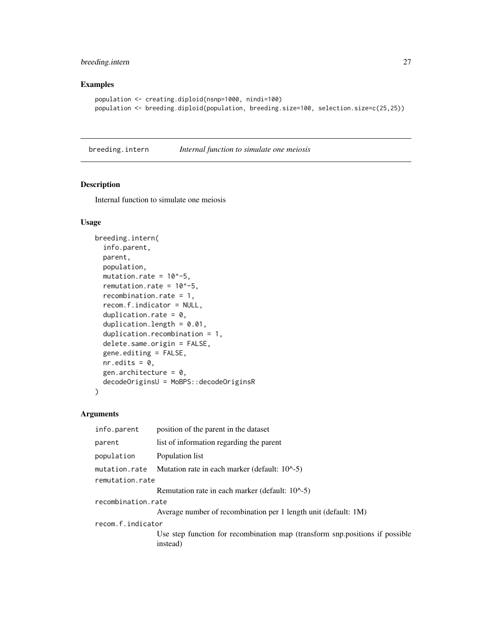# <span id="page-26-0"></span>breeding.intern 27

## Examples

```
population <- creating.diploid(nsnp=1000, nindi=100)
population <- breeding.diploid(population, breeding.size=100, selection.size=c(25,25))
```
breeding.intern *Internal function to simulate one meiosis*

# Description

Internal function to simulate one meiosis

#### Usage

```
breeding.intern(
  info.parent,
 parent,
 population,
 mutation.rate = 10^{\circ}-5,
  remutation.rate = 10^{\circ}-5,
  recombination.rate = 1,
  recom.f.indicator = NULL,
  duplication.rate = 0,
  duplication.length = 0.01,
  duplication.recombination = 1,
  delete.same.origin = FALSE,
  gene.editing = FALSE,
  nr.edits = 0,
  gen.architecture = 0,
  decodeOriginsU = MoBPS::decodeOriginsR
)
```

| info.parent        | position of the parent in the dataset                                                    |
|--------------------|------------------------------------------------------------------------------------------|
| parent             | list of information regarding the parent                                                 |
| population         | Population list                                                                          |
| mutation.rate      | Mutation rate in each marker (default: 10^-5)                                            |
| remutation.rate    |                                                                                          |
|                    | Remutation rate in each marker (default: 10^-5)                                          |
| recombination.rate |                                                                                          |
|                    | Average number of recombination per 1 length unit (default: 1M)                          |
| recom.f.indicator  |                                                                                          |
|                    | Use step function for recombination map (transform snp.positions if possible<br>instead) |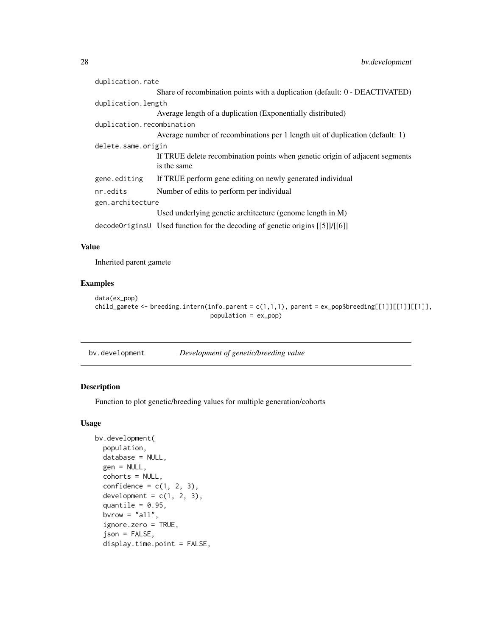<span id="page-27-0"></span>

| duplication.rate          |                                                                                             |
|---------------------------|---------------------------------------------------------------------------------------------|
|                           | Share of recombination points with a duplication (default: 0 - DEACTIVATED)                 |
| duplication.length        |                                                                                             |
|                           | Average length of a duplication (Exponentially distributed)                                 |
| duplication.recombination |                                                                                             |
|                           | Average number of recombinations per 1 length uit of duplication (default: 1)               |
| delete.same.origin        |                                                                                             |
|                           | If TRUE delete recombination points when genetic origin of adjacent segments<br>is the same |
| gene.editing              | If TRUE perform gene editing on newly generated individual                                  |
| nr.edits                  | Number of edits to perform per individual                                                   |
| gen.architecture          |                                                                                             |
|                           | Used underlying genetic architecture (genome length in M)                                   |
|                           | decodeOriginsU Used function for the decoding of genetic origins [[5]]/[[6]]                |

# Value

Inherited parent gamete

# Examples

```
data(ex_pop)
child_gamete <- breeding.intern(info.parent = c(1,1,1), parent = ex_pop$breeding[[1]][[1]][[1]],
                                population = ex_pop)
```
bv.development *Development of genetic/breeding value*

# Description

Function to plot genetic/breeding values for multiple generation/cohorts

## Usage

```
bv.development(
 population,
  database = NULL,
  gen = NULL,
  cohorts = NULL,
  confidence = c(1, 2, 3),
  development = c(1, 2, 3),
  quantile = 0.95,
  bvrow = "all",ignore.zero = TRUE,
  json = FALSE,
  display.time.point = FALSE,
```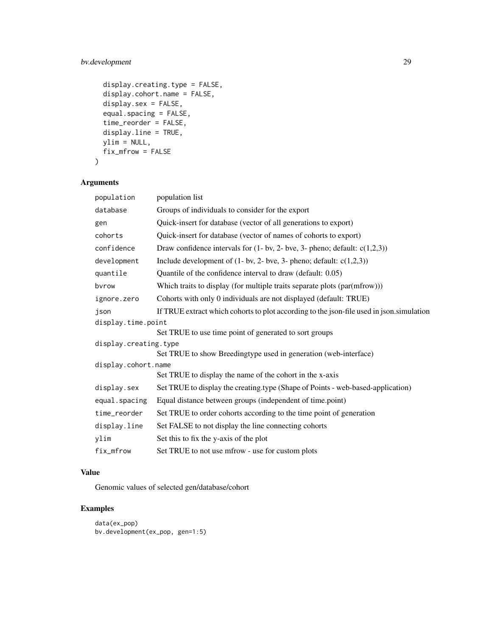# bv.development 29

```
display.creating.type = FALSE,
display.cohort.name = FALSE,
display.sex = FALSE,
equal.spacing = FALSE,
time_reorder = FALSE,
display.line = TRUE,
ylim = NULL,
fix_mfrow = FALSE
```

```
\mathcal{L}
```
# Arguments

| population            | population list                                                                          |
|-----------------------|------------------------------------------------------------------------------------------|
| database              | Groups of individuals to consider for the export                                         |
| gen                   | Quick-insert for database (vector of all generations to export)                          |
| cohorts               | Quick-insert for database (vector of names of cohorts to export)                         |
| confidence            | Draw confidence intervals for $(1 - bv, 2 - bve, 3 - pheno)$ ; default: $c(1,2,3)$ )     |
| development           | Include development of $(1 - bv, 2 - bve, 3 - pheno; default: c(1,2,3))$                 |
| quantile              | Quantile of the confidence interval to draw (default: 0.05)                              |
| bvrow                 | Which traits to display (for multiple traits separate plots (par(mfrow)))                |
| ignore.zero           | Cohorts with only 0 individuals are not displayed (default: TRUE)                        |
| json                  | If TRUE extract which cohorts to plot according to the json-file used in json.simulation |
| display.time.point    |                                                                                          |
|                       | Set TRUE to use time point of generated to sort groups                                   |
| display.creating.type |                                                                                          |
|                       | Set TRUE to show Breedingtype used in generation (web-interface)                         |
| display.cohort.name   |                                                                                          |
|                       | Set TRUE to display the name of the cohort in the x-axis                                 |
| display.sex           | Set TRUE to display the creating.type (Shape of Points - web-based-application)          |
| equal.spacing         | Equal distance between groups (independent of time.point)                                |
| time_reorder          | Set TRUE to order cohorts according to the time point of generation                      |
| display.line          | Set FALSE to not display the line connecting cohorts                                     |
| ylim                  | Set this to fix the y-axis of the plot                                                   |
| fix_mfrow             | Set TRUE to not use mfrow - use for custom plots                                         |

# Value

Genomic values of selected gen/database/cohort

```
data(ex_pop)
bv.development(ex_pop, gen=1:5)
```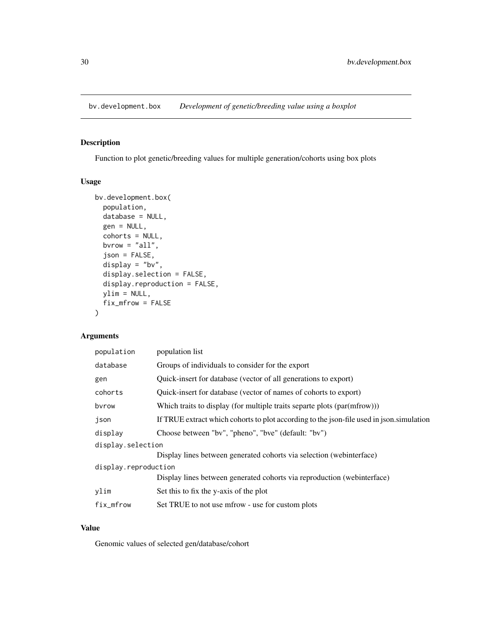<span id="page-29-0"></span>bv.development.box *Development of genetic/breeding value using a boxplot*

# Description

Function to plot genetic/breeding values for multiple generation/cohorts using box plots

## Usage

```
bv.development.box(
  population,
 database = NULL,
  gen = NULL,
 cohorts = NULL,
 bvrow = "all",
  json = FALSE,
  display = "bv",
  display.selection = FALSE,
  display.reproduction = FALSE,
 ylim = NULL,
 fix_mfrow = FALSE
\mathcal{L}
```
# Arguments

| population           | population list                                                                          |
|----------------------|------------------------------------------------------------------------------------------|
| database             | Groups of individuals to consider for the export                                         |
| gen                  | Quick-insert for database (vector of all generations to export)                          |
| cohorts              | Quick-insert for database (vector of names of cohorts to export)                         |
| bvrow                | Which traits to display (for multiple traits separte plots (par(mfrow)))                 |
| json                 | If TRUE extract which cohorts to plot according to the json-file used in json simulation |
| display              | Choose between "bv", "pheno", "bve" (default: "bv")                                      |
| display.selection    |                                                                                          |
|                      | Display lines between generated cohorts via selection (webinterface)                     |
| display.reproduction |                                                                                          |
|                      | Display lines between generated cohorts via reproduction (webinterface)                  |
| ylim                 | Set this to fix the y-axis of the plot                                                   |
| fix_mfrow            | Set TRUE to not use mfrow - use for custom plots                                         |

## Value

Genomic values of selected gen/database/cohort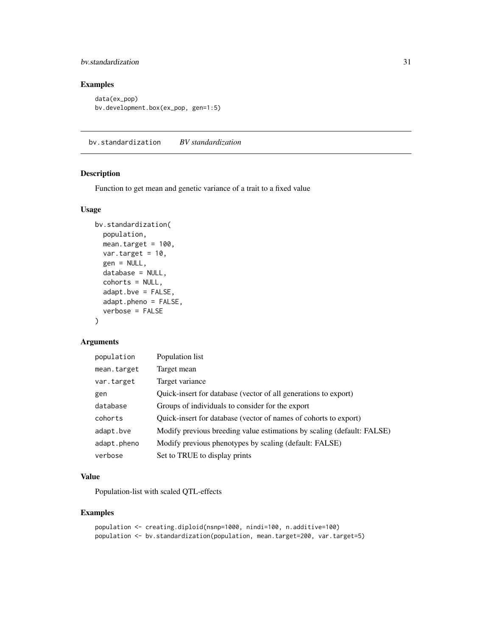# <span id="page-30-0"></span>bv.standardization 31

# Examples

```
data(ex_pop)
bv.development.box(ex_pop, gen=1:5)
```
bv.standardization *BV standardization*

## Description

Function to get mean and genetic variance of a trait to a fixed value

# Usage

```
bv.standardization(
  population,
 mean.target = 100,
 var.target = 10,
  gen = NULL,
  database = NULL,
  cohorts = NULL,
  adapt.bve = FALSE,
  adapt.pheno = FALSE,
  verbose = FALSE
)
```
# Arguments

| population  | Population list                                                        |
|-------------|------------------------------------------------------------------------|
| mean.target | Target mean                                                            |
| var.target  | Target variance                                                        |
| gen         | Quick-insert for database (vector of all generations to export)        |
| database    | Groups of individuals to consider for the export                       |
| cohorts     | Quick-insert for database (vector of names of cohorts to export)       |
| adapt.bve   | Modify previous breeding value estimations by scaling (default: FALSE) |
| adapt.pheno | Modify previous phenotypes by scaling (default: FALSE)                 |
| verbose     | Set to TRUE to display prints                                          |

# Value

Population-list with scaled QTL-effects

```
population <- creating.diploid(nsnp=1000, nindi=100, n.additive=100)
population <- bv.standardization(population, mean.target=200, var.target=5)
```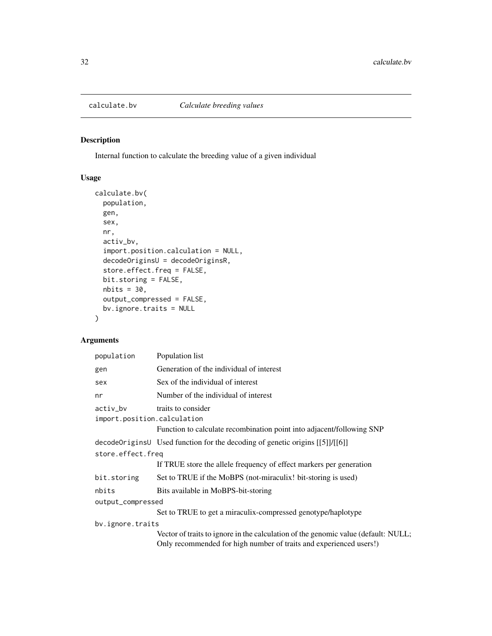<span id="page-31-0"></span>

# Description

Internal function to calculate the breeding value of a given individual

# Usage

```
calculate.bv(
  population,
  gen,
  sex,
 nr,
  activ_bv,
  import.position.calculation = NULL,
  decodeOriginsU = decodeOriginsR,
  store.effect.freq = FALSE,
 bit.storing = FALSE,
 nbits = 30,output_compressed = FALSE,
 bv.ignore.traits = NULL
)
```

| population                                   | Population list                                                                                                                                          |
|----------------------------------------------|----------------------------------------------------------------------------------------------------------------------------------------------------------|
| gen                                          | Generation of the individual of interest                                                                                                                 |
| sex                                          | Sex of the individual of interest                                                                                                                        |
| nr                                           | Number of the individual of interest                                                                                                                     |
| $activity_bv$<br>import.position.calculation | traits to consider<br>Function to calculate recombination point into adjacent/following SNP                                                              |
|                                              | decodeOriginsU Used function for the decoding of genetic origins [[5]]/[[6]]                                                                             |
| store.effect.freq                            |                                                                                                                                                          |
|                                              | If TRUE store the allele frequency of effect markers per generation                                                                                      |
| bit.storing                                  | Set to TRUE if the MoBPS (not-miraculix! bit-storing is used)                                                                                            |
| nbits                                        | Bits available in MoBPS-bit-storing                                                                                                                      |
| output_compressed                            |                                                                                                                                                          |
|                                              | Set to TRUE to get a miraculix-compressed genotype/haplotype                                                                                             |
| bv.ignore.traits                             |                                                                                                                                                          |
|                                              | Vector of traits to ignore in the calculation of the genomic value (default: NULL;<br>Only recommended for high number of traits and experienced users!) |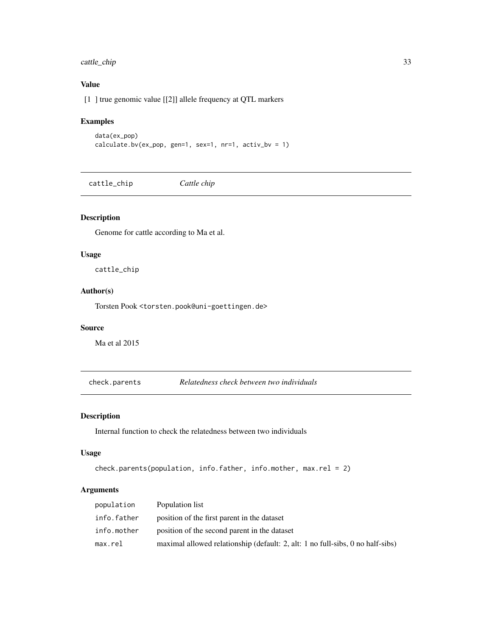# <span id="page-32-0"></span>cattle\_chip 33

# Value

[1 ] true genomic value [[2]] allele frequency at QTL markers

# Examples

```
data(ex_pop)
calculate.bv(ex_pop, gen=1, sex=1, nr=1, activ_bv = 1)
```
cattle\_chip *Cattle chip*

# Description

Genome for cattle according to Ma et al.

#### Usage

cattle\_chip

# Author(s)

Torsten Pook <torsten.pook@uni-goettingen.de>

# Source

Ma et al 2015

check.parents *Relatedness check between two individuals*

## Description

Internal function to check the relatedness between two individuals

## Usage

```
check.parents(population, info.father, info.mother, max.rel = 2)
```

| population  | Population list                                                                |
|-------------|--------------------------------------------------------------------------------|
| info.father | position of the first parent in the dataset                                    |
| info.mother | position of the second parent in the dataset                                   |
| max.rel     | maximal allowed relationship (default: 2, alt: 1 no full-sibs, 0 no half-sibs) |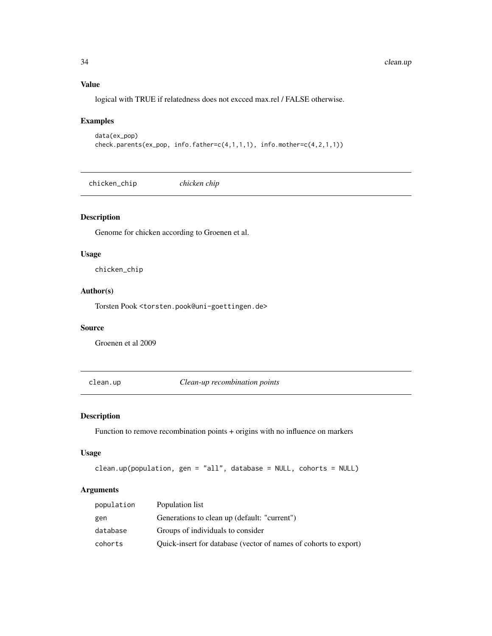# Value

logical with TRUE if relatedness does not excced max.rel / FALSE otherwise.

# Examples

```
data(ex_pop)
check.parents(ex_pop, info.father=c(4,1,1,1), info.mother=c(4,2,1,1))
```
chicken\_chip *chicken chip*

## Description

Genome for chicken according to Groenen et al.

#### Usage

chicken\_chip

# Author(s)

Torsten Pook <torsten.pook@uni-goettingen.de>

#### Source

Groenen et al 2009

clean.up *Clean-up recombination points*

#### Description

Function to remove recombination points + origins with no influence on markers

## Usage

```
clean.up(population, gen = "all", database = NULL, cohorts = NULL)
```

| population | Population list                                                  |
|------------|------------------------------------------------------------------|
| gen        | Generations to clean up (default: "current")                     |
| database   | Groups of individuals to consider                                |
| cohorts    | Quick-insert for database (vector of names of cohorts to export) |

<span id="page-33-0"></span>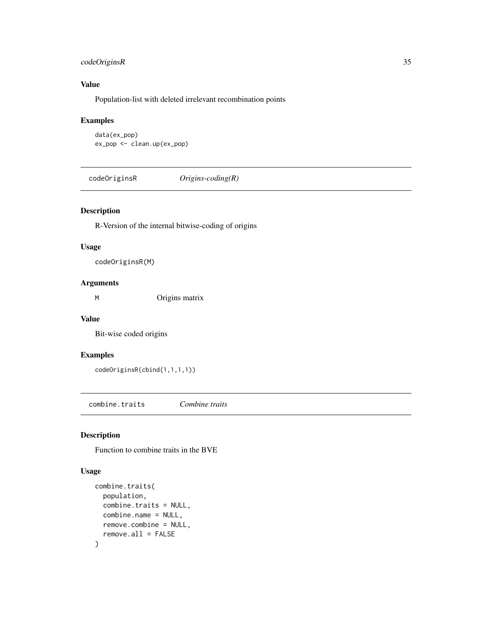# <span id="page-34-0"></span>codeOriginsR 35

# Value

Population-list with deleted irrelevant recombination points

# Examples

```
data(ex_pop)
ex_pop <- clean.up(ex_pop)
```
codeOriginsR *Origins-coding(R)*

# Description

R-Version of the internal bitwise-coding of origins

# Usage

codeOriginsR(M)

# Arguments

M Origins matrix

#### Value

Bit-wise coded origins

## Examples

codeOriginsR(cbind(1,1,1,1))

combine.traits *Combine traits*

# Description

Function to combine traits in the BVE

#### Usage

```
combine.traits(
  population,
  combine.traits = NULL,
  combine.name = NULL,
  remove.combine = NULL,
  remove.all = FALSE
\mathcal{E}
```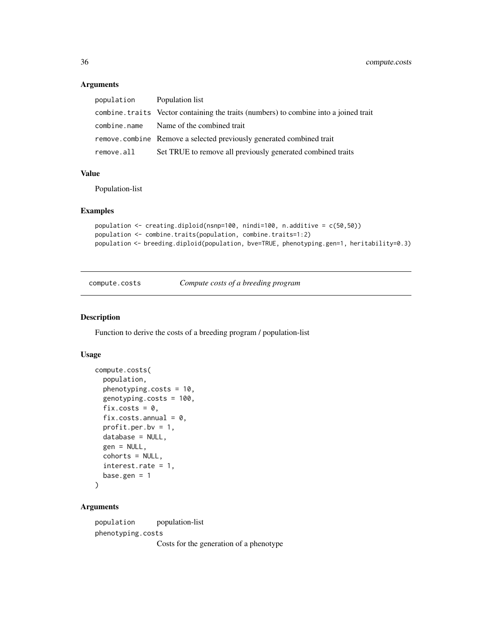# Arguments

| population | Population list                                                                       |
|------------|---------------------------------------------------------------------------------------|
|            | combine. traits Vector containing the traits (numbers) to combine into a joined trait |
|            | combine.name Name of the combined trait                                               |
|            | remove.combine Remove a selected previously generated combined trait                  |
| remove.all | Set TRUE to remove all previously generated combined traits                           |

## Value

Population-list

## Examples

```
population <- creating.diploid(nsnp=100, nindi=100, n.additive = c(50,50))
population <- combine.traits(population, combine.traits=1:2)
population <- breeding.diploid(population, bve=TRUE, phenotyping.gen=1, heritability=0.3)
```
compute.costs *Compute costs of a breeding program*

#### Description

Function to derive the costs of a breeding program / population-list

# Usage

```
compute.costs(
  population,
  phenotyping.costs = 10,
  genotyping.costs = 100,
  fix.costs = 0,
  fix. costs. annual = 0,profit.per.bv = 1,
  database = NULL,
  gen = NULL,
  cohorts = NULL,
  interest.rate = 1,
  base.gen = 1)
```
#### Arguments

population population-list phenotyping.costs Costs for the generation of a phenotype

<span id="page-35-0"></span>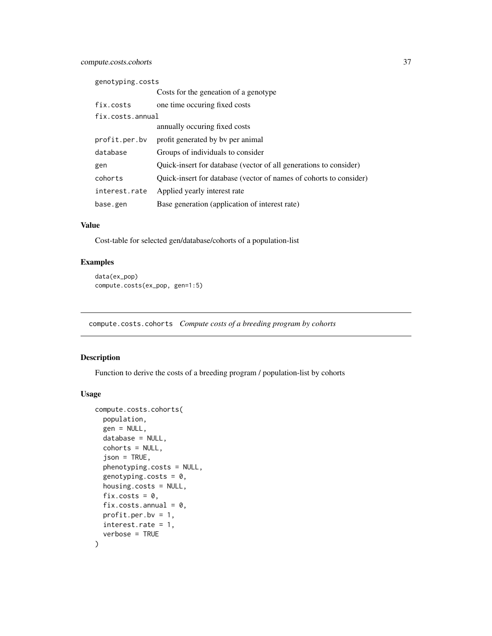| genotyping.costs |                                                                    |  |
|------------------|--------------------------------------------------------------------|--|
|                  | Costs for the geneation of a genotype                              |  |
| fix.costs        | one time occuring fixed costs                                      |  |
| fix.costs.annual |                                                                    |  |
|                  | annually occuring fixed costs                                      |  |
| profit.per.bv    | profit generated by by per animal                                  |  |
| database         | Groups of individuals to consider                                  |  |
| gen              | Quick-insert for database (vector of all generations to consider)  |  |
| cohorts          | Quick-insert for database (vector of names of cohorts to consider) |  |
| interest.rate    | Applied yearly interest rate                                       |  |
| base.gen         | Base generation (application of interest rate)                     |  |

## Value

Cost-table for selected gen/database/cohorts of a population-list

## Examples

```
data(ex_pop)
compute.costs(ex_pop, gen=1:5)
```
compute.costs.cohorts *Compute costs of a breeding program by cohorts*

# Description

Function to derive the costs of a breeding program / population-list by cohorts

```
compute.costs.cohorts(
  population,
  gen = NULL,
  database = NULL,
  cohorts = NULL,
  json = TRUE,phenotyping.costs = NULL,
  genotyping.costs = 0,
  housing.costs = NULL,
  fix.costs = 0.
  fix.costs.annual = 0,
 profit.per.bv = 1,
  interest.rate = 1,
  verbose = TRUE
\mathcal{E}
```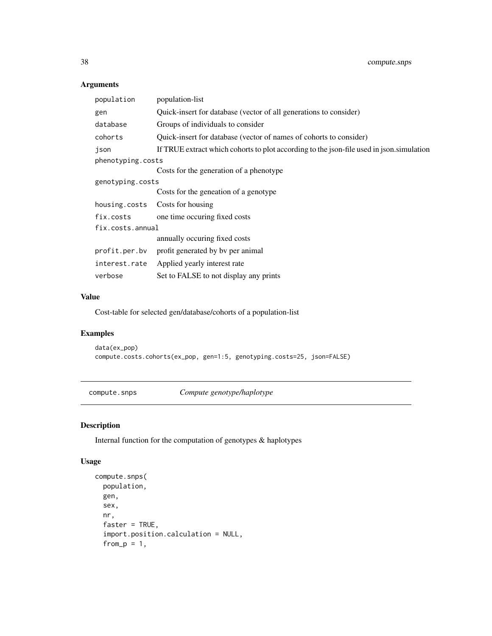# Arguments

| population        | population-list                                                                          |  |
|-------------------|------------------------------------------------------------------------------------------|--|
| gen               | Quick-insert for database (vector of all generations to consider)                        |  |
| database          | Groups of individuals to consider                                                        |  |
| cohorts           | Quick-insert for database (vector of names of cohorts to consider)                       |  |
| json              | If TRUE extract which cohorts to plot according to the json-file used in json.simulation |  |
| phenotyping.costs |                                                                                          |  |
|                   | Costs for the generation of a phenotype                                                  |  |
| genotyping.costs  |                                                                                          |  |
|                   | Costs for the geneation of a genotype                                                    |  |
| housing.costs     | Costs for housing                                                                        |  |
| fix.costs         | one time occuring fixed costs                                                            |  |
| fix.costs.annual  |                                                                                          |  |
|                   | annually occuring fixed costs                                                            |  |
| profit.per.bv     | profit generated by by per animal                                                        |  |
| interest.rate     | Applied yearly interest rate                                                             |  |
| verbose           | Set to FALSE to not display any prints                                                   |  |

## Value

Cost-table for selected gen/database/cohorts of a population-list

## Examples

```
data(ex_pop)
compute.costs.cohorts(ex_pop, gen=1:5, genotyping.costs=25, json=FALSE)
```
compute.snps *Compute genotype/haplotype*

# Description

Internal function for the computation of genotypes & haplotypes

```
compute.snps(
 population,
 gen,
 sex,
 nr,
  faster = TRUE,
  import.position.calculation = NULL,
  from_p = 1,
```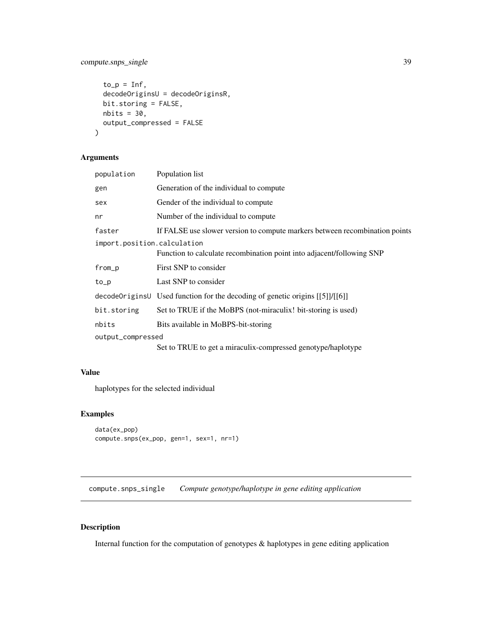## compute.snps\_single 39

```
to_p = Inf,decodeOriginsU = decodeOriginsR,
 bit.storing = FALSE,
 nbits = 30,output_compressed = FALSE
)
```
## Arguments

| population                                                                                           | Population list                                                                |  |
|------------------------------------------------------------------------------------------------------|--------------------------------------------------------------------------------|--|
| gen                                                                                                  | Generation of the individual to compute                                        |  |
| sex                                                                                                  | Gender of the individual to compute                                            |  |
| nr                                                                                                   | Number of the individual to compute.                                           |  |
| faster                                                                                               | If FALSE use slower version to compute markers between recombination points    |  |
| import.position.calculation<br>Function to calculate recombination point into adjacent/following SNP |                                                                                |  |
| from_p                                                                                               | First SNP to consider                                                          |  |
| to_p                                                                                                 | Last SNP to consider                                                           |  |
|                                                                                                      | decodeOriginsU Used function for the decoding of genetic origins $[[5]]/[[6]]$ |  |
| bit.storing                                                                                          | Set to TRUE if the MoBPS (not-miraculix! bit-storing is used)                  |  |
| nbits                                                                                                | Bits available in MoBPS-bit-storing                                            |  |
| output_compressed                                                                                    |                                                                                |  |
|                                                                                                      | Set to TRUE to get a miraculix-compressed genotype/haplotype                   |  |

# Value

haplotypes for the selected individual

## Examples

```
data(ex_pop)
compute.snps(ex_pop, gen=1, sex=1, nr=1)
```
compute.snps\_single *Compute genotype/haplotype in gene editing application*

## Description

Internal function for the computation of genotypes & haplotypes in gene editing application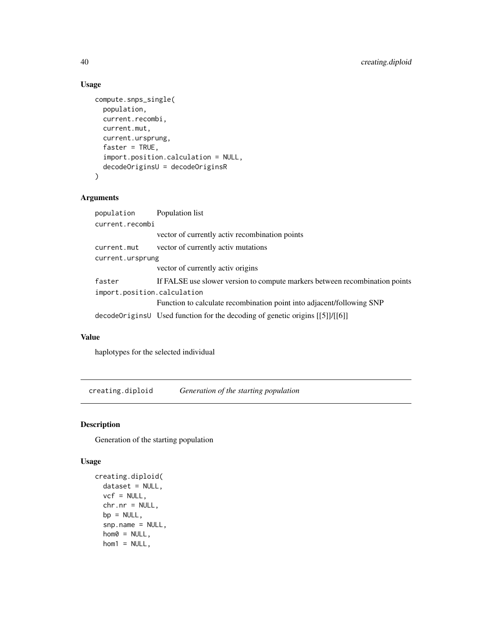## Usage

```
compute.snps_single(
 population,
  current.recombi,
 current.mut,
  current.ursprung,
  faster = TRUE,
  import.position.calculation = NULL,
  decodeOriginsU = decodeOriginsR
)
```
# Arguments

| population                  | Population list                                                                |  |
|-----------------------------|--------------------------------------------------------------------------------|--|
| current.recombi             |                                                                                |  |
|                             | vector of currently activ recombination points                                 |  |
| current.mut                 | vector of currently activ mutations                                            |  |
| current.ursprung            |                                                                                |  |
|                             | vector of currently activ origins                                              |  |
| faster                      | If FALSE use slower version to compute markers between recombination points    |  |
| import.position.calculation |                                                                                |  |
|                             | Function to calculate recombination point into adjacent/following SNP          |  |
|                             | decode Origins Used function for the decoding of genetic origins $[5]$ / $[6]$ |  |

## Value

haplotypes for the selected individual

creating.diploid *Generation of the starting population*

#### Description

Generation of the starting population

```
creating.diploid(
 dataset = NULL,
 vcf = NULL,
 chr.nr = NULL,
 bp = NULL,snp.name = NULL,hom0 = NULL,hom1 = NULL,
```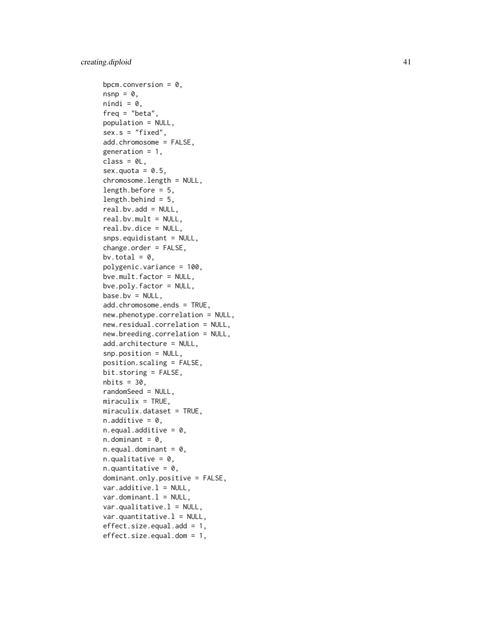bpcm.conversion =  $0$ ,  $n$ snp =  $\theta$ ,  $nindi = 0$ , freq = "beta", population = NULL,  $sex.s = "fixed",$ add.chromosome = FALSE, generation =  $1$ , class =  $0L$ , sex.quota =  $0.5$ , chromosome.length = NULL, length.before = 5,  $length.$ behind =  $5,$ real.bv.add = NULL, real.bv.mult = NULL, real.bv.dice = NULL, snps.equidistant = NULL, change.order = FALSE, bv.total =  $0$ , polygenic.variance = 100, bve.mult.factor = NULL, bve.poly.factor = NULL,  $base.bv = NULL,$ add.chromosome.ends = TRUE, new.phenotype.correlation = NULL, new.residual.correlation = NULL, new.breeding.correlation = NULL, add.architecture = NULL, snp.position = NULL, position.scaling = FALSE, bit.storing = FALSE,  $nbits = 30,$ randomSeed = NULL,  $miraculix = TRUE,$ miraculix.dataset = TRUE,  $n.additive = 0$ ,  $n.equals.additive = 0$ ,  $n.dominant = 0,$  $n.equals.dominant = 0,$  $n.$ qualitative = 0, n.quantitative =  $0$ , dominant.only.positive = FALSE,  $var.additive.1 = NULL,$ var.dominant.l = NULL,  $var.quitative.l = NULL,$  $var.$ quantitative. $l = NULL,$ effect.size.equal.add = 1, effect.size.equal.dom = 1,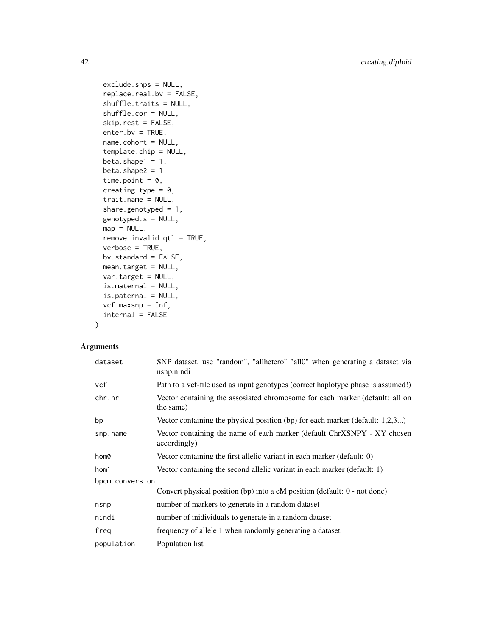```
exclude.snps = NULL,
  replace.real.bv = FALSE,
  shuffle.traits = NULL,
  shuffle.cor = NULL,
  skip.rest = FALSE,
  enter.bv = TRUE,
 name.cohort = NULL,
  template.chip = NULL,
 beta.shape1 = 1,
 beta.shape2 = 1,
  time.point = 0,
  creating.type = 0,
  trait.name = NULL,
  share.genotyped = 1,
 genotyped.s = NULL,
 map = NULL,remove.invalid.qtl = TRUE,
 verbose = TRUE,
 bv.standard = FALSE,
 mean.target = NULL,
 var.target = NULL,
 is.maternal = NULL,
  is.paternal = NULL,
 vcf.maxsnp = Inf,internal = FALSE
\mathcal{L}
```
## Arguments

| dataset         | SNP dataset, use "random", "allhetero" "all0" when generating a dataset via<br>nsnp, nindi |  |
|-----------------|--------------------------------------------------------------------------------------------|--|
| vcf             | Path to a vcf-file used as input genotypes (correct haplotype phase is assumed!)           |  |
| chr.nr          | Vector containing the assosiated chromosome for each marker (default: all on<br>the same)  |  |
| bp              | Vector containing the physical position (bp) for each marker (default: $1,2,3$ )           |  |
| snp.name        | Vector containing the name of each marker (default ChrXSNPY - XY chosen<br>accordingly)    |  |
| hom0            | Vector containing the first allelic variant in each marker (default: 0)                    |  |
| hom1            | Vector containing the second allelic variant in each marker (default: 1)                   |  |
| bpcm.conversion |                                                                                            |  |
|                 | Convert physical position (bp) into a cM position (default: 0 - not done)                  |  |
| nsnp            | number of markers to generate in a random dataset                                          |  |
| nindi           | number of inidividuals to generate in a random dataset                                     |  |
| freg            | frequency of allele 1 when randomly generating a dataset                                   |  |
| population      | Population list                                                                            |  |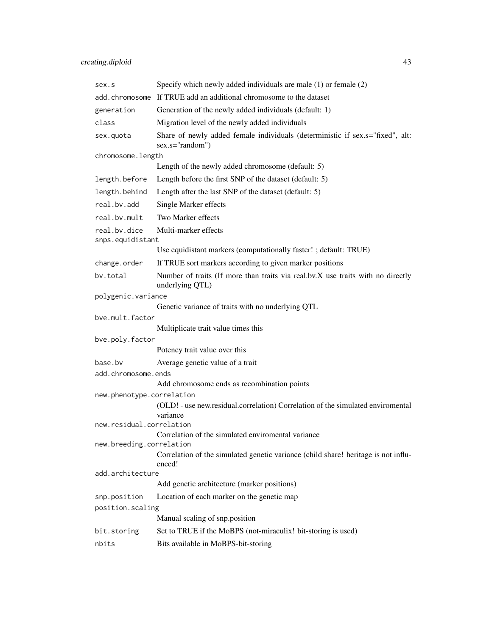| sex.s                                                                                        | Specify which newly added individuals are male $(1)$ or female $(2)$                               |  |
|----------------------------------------------------------------------------------------------|----------------------------------------------------------------------------------------------------|--|
| add.chromosome                                                                               | If TRUE add an additional chromosome to the dataset                                                |  |
| generation                                                                                   | Generation of the newly added individuals (default: 1)                                             |  |
| class                                                                                        | Migration level of the newly added individuals                                                     |  |
| sex.quota                                                                                    | Share of newly added female individuals (deterministic if sex.s="fixed", alt:<br>sex.s="random")   |  |
| chromosome.length                                                                            |                                                                                                    |  |
|                                                                                              | Length of the newly added chromosome (default: 5)                                                  |  |
| length.before                                                                                | Length before the first SNP of the dataset (default: 5)                                            |  |
| length.behind                                                                                | Length after the last SNP of the dataset (default: 5)                                              |  |
| real.bv.add                                                                                  | Single Marker effects                                                                              |  |
| real.bv.mult                                                                                 | Two Marker effects                                                                                 |  |
| real.by.dice                                                                                 | Multi-marker effects                                                                               |  |
| snps.equidistant                                                                             |                                                                                                    |  |
|                                                                                              | Use equidistant markers (computationally faster! ; default: TRUE)                                  |  |
| change.order                                                                                 | If TRUE sort markers according to given marker positions                                           |  |
| by.total                                                                                     | Number of traits (If more than traits via real.bv.X use traits with no directly<br>underlying QTL) |  |
| polygenic.variance                                                                           |                                                                                                    |  |
|                                                                                              | Genetic variance of traits with no underlying QTL                                                  |  |
| bye.mult.factor                                                                              |                                                                                                    |  |
| bve.poly.factor                                                                              | Multiplicate trait value times this                                                                |  |
|                                                                                              | Potency trait value over this                                                                      |  |
| base.by                                                                                      | Average genetic value of a trait                                                                   |  |
| add.chromosome.ends                                                                          |                                                                                                    |  |
|                                                                                              | Add chromosome ends as recombination points                                                        |  |
| new.phenotype.correlation                                                                    |                                                                                                    |  |
|                                                                                              | (OLD! - use new.residual.correlation) Correlation of the simulated enviromental<br>variance        |  |
| new.residual.correlation                                                                     |                                                                                                    |  |
| Correlation of the simulated enviromental variance<br>new.breeding.correlation               |                                                                                                    |  |
| Correlation of the simulated genetic variance (child share! heritage is not influ-<br>enced! |                                                                                                    |  |
| add.architecture                                                                             |                                                                                                    |  |
|                                                                                              | Add genetic architecture (marker positions)                                                        |  |
| snp.position                                                                                 | Location of each marker on the genetic map                                                         |  |
| position.scaling                                                                             |                                                                                                    |  |
|                                                                                              | Manual scaling of snp.position                                                                     |  |
| bit.storing                                                                                  | Set to TRUE if the MoBPS (not-miraculix! bit-storing is used)                                      |  |
| nbits                                                                                        | Bits available in MoBPS-bit-storing                                                                |  |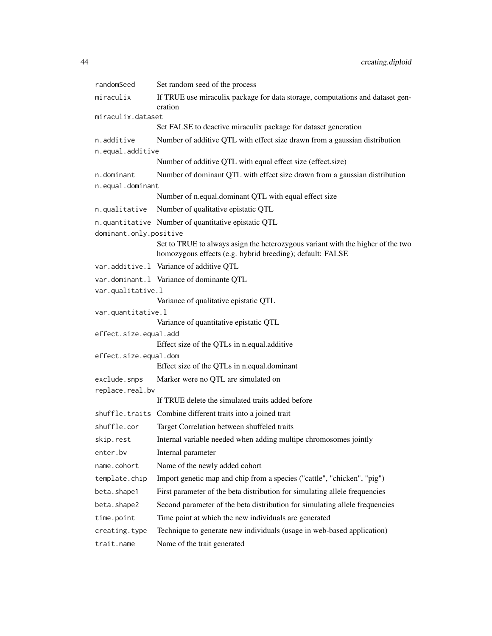| randomSeed                     | Set random seed of the process                                                                                                               |  |
|--------------------------------|----------------------------------------------------------------------------------------------------------------------------------------------|--|
| miraculix                      | If TRUE use miraculix package for data storage, computations and dataset gen-<br>eration                                                     |  |
| miraculix.dataset              |                                                                                                                                              |  |
|                                | Set FALSE to deactive miraculix package for dataset generation                                                                               |  |
| n.additive                     | Number of additive QTL with effect size drawn from a gaussian distribution                                                                   |  |
| n.equal.additive               |                                                                                                                                              |  |
|                                | Number of additive QTL with equal effect size (effect size)                                                                                  |  |
| n.dominant<br>n.equal.dominant | Number of dominant QTL with effect size drawn from a gaussian distribution                                                                   |  |
|                                | Number of n.equal.dominant QTL with equal effect size                                                                                        |  |
| n.qualitative                  | Number of qualitative epistatic QTL                                                                                                          |  |
|                                | n.quantitative Number of quantitative epistatic QTL                                                                                          |  |
| dominant.only.positive         |                                                                                                                                              |  |
|                                | Set to TRUE to always asign the heterozygous variant with the higher of the two<br>homozygous effects (e.g. hybrid breeding); default: FALSE |  |
|                                | var.additive.1 Variance of additive QTL                                                                                                      |  |
|                                | var.dominant.1 Variance of dominante QTL                                                                                                     |  |
| var.qualitative.l              |                                                                                                                                              |  |
|                                | Variance of qualitative epistatic QTL                                                                                                        |  |
| var.quantitative.l             |                                                                                                                                              |  |
| effect.size.equal.add          | Variance of quantitative epistatic QTL                                                                                                       |  |
|                                | Effect size of the QTLs in n.equal.additive                                                                                                  |  |
| effect.size.equal.dom          |                                                                                                                                              |  |
|                                | Effect size of the QTLs in n.equal.dominant                                                                                                  |  |
| exclude.snps                   | Marker were no QTL are simulated on                                                                                                          |  |
| replace.real.bv                |                                                                                                                                              |  |
|                                | If TRUE delete the simulated traits added before                                                                                             |  |
|                                | shuffle.traits Combine different traits into a joined trait                                                                                  |  |
| shuffle.cor                    | Target Correlation between shuffeled traits                                                                                                  |  |
| skip.rest                      | Internal variable needed when adding multipe chromosomes jointly                                                                             |  |
| enter.bv                       | Internal parameter                                                                                                                           |  |
| name.cohort                    | Name of the newly added cohort                                                                                                               |  |
| template.chip                  | Import genetic map and chip from a species ("cattle", "chicken", "pig")                                                                      |  |
| beta.shape1                    | First parameter of the beta distribution for simulating allele frequencies                                                                   |  |
| beta.shape2                    | Second parameter of the beta distribution for simulating allele frequencies                                                                  |  |
| time.point                     | Time point at which the new individuals are generated                                                                                        |  |
| creating.type                  | Technique to generate new individuals (usage in web-based application)                                                                       |  |
| trait.name                     | Name of the trait generated                                                                                                                  |  |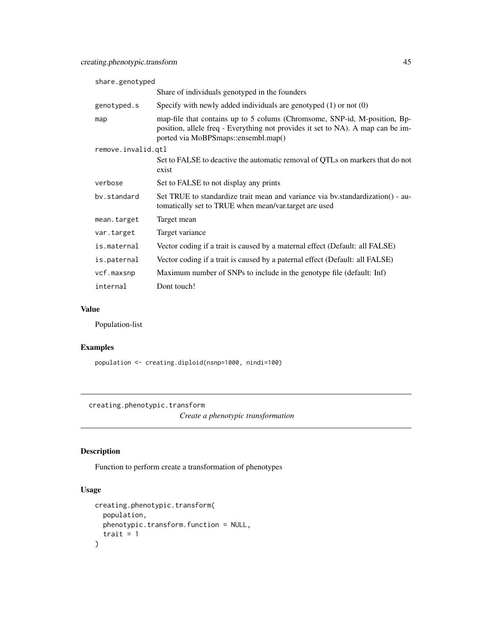| share.genotyped    |                                                                                                                                                                                                     |  |
|--------------------|-----------------------------------------------------------------------------------------------------------------------------------------------------------------------------------------------------|--|
|                    | Share of individuals genotyped in the founders                                                                                                                                                      |  |
| genotyped.s        | Specify with newly added individuals are genotyped $(1)$ or not $(0)$                                                                                                                               |  |
| map                | map-file that contains up to 5 colums (Chromsome, SNP-id, M-position, Bp-<br>position, allele freq - Everything not provides it set to NA). A map can be im-<br>ported via MoBPSmaps::ensembl.map() |  |
| remove.invalid.qtl |                                                                                                                                                                                                     |  |
|                    | Set to FALSE to deactive the automatic removal of QTLs on markers that do not<br>exist                                                                                                              |  |
| verbose            | Set to FALSE to not display any prints                                                                                                                                                              |  |
| by.standard        | Set TRUE to standardize trait mean and variance via by standardization() - au-<br>tomatically set to TRUE when mean/var.target are used                                                             |  |
| mean.target        | Target mean                                                                                                                                                                                         |  |
| var.target         | Target variance                                                                                                                                                                                     |  |
| is.maternal        | Vector coding if a trait is caused by a maternal effect (Default: all FALSE)                                                                                                                        |  |
| is.paternal        | Vector coding if a trait is caused by a paternal effect (Default: all FALSE)                                                                                                                        |  |
| vcf.maxsnp         | Maximum number of SNPs to include in the genotype file (default: Inf)                                                                                                                               |  |
| internal           | Dont touch!                                                                                                                                                                                         |  |

#### Value

Population-list

## Examples

population <- creating.diploid(nsnp=1000, nindi=100)

creating.phenotypic.transform

*Create a phenotypic transformation*

# Description

Function to perform create a transformation of phenotypes

```
creating.phenotypic.transform(
  population,
  phenotypic.transform.function = NULL,
  trait = 1\mathcal{L}
```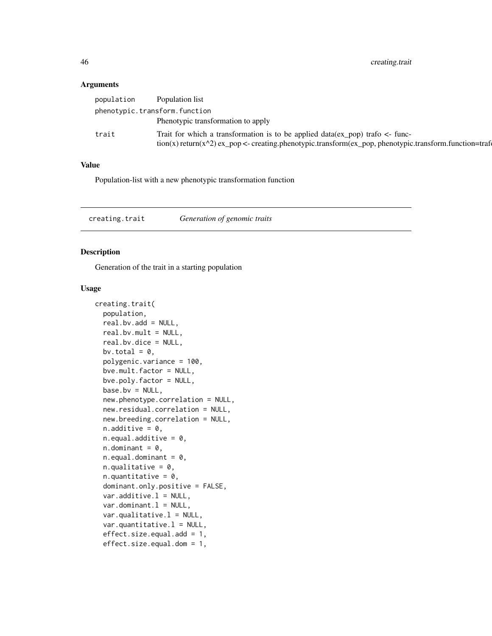46 creating.trait

#### Arguments

| population | Population list                                                                                                 |
|------------|-----------------------------------------------------------------------------------------------------------------|
|            | phenotypic.transform.function                                                                                   |
|            | Phenotypic transformation to apply                                                                              |
| trait      | Trait for which a transformation is to be applied $data(ex\_pop)$ trafo $\lt$ - func-                           |
|            | $\text{tion}(x)$ return(x^2) ex_pop <- creating.phenotypic.transform(ex_pop, phenotypic.transform.function=traf |

#### Value

Population-list with a new phenotypic transformation function

creating.trait *Generation of genomic traits*

### Description

Generation of the trait in a starting population

```
creating.trait(
  population,
  real.bv.add = NULL,
  real.bv.mult = NULL,
  real.bv.dice = NULL,
  bv.total = 0,
  polygenic.variance = 100,
  bve.mult.factor = NULL,
  bve.poly.factor = NULL,
  base.bv = NULL,new.phenotype.correlation = NULL,
  new.residual.correlation = NULL,
  new.breeding.correlation = NULL,
  n.additive = 0,n.equals.additive = 0,
  n.dominant = 0,n.equals.dominant = 0,n.qualitative = 0,
  n.quantitative = 0,
  dominant.only.positive = FALSE,
  var.additive.1 = NULL,var.dominant.1 = NULL,var.qualitative.l = NULL,
  var.quantitative.l = NULL,
  effect.size.equal.add = 1,
  effect.size.equal.dom = 1,
```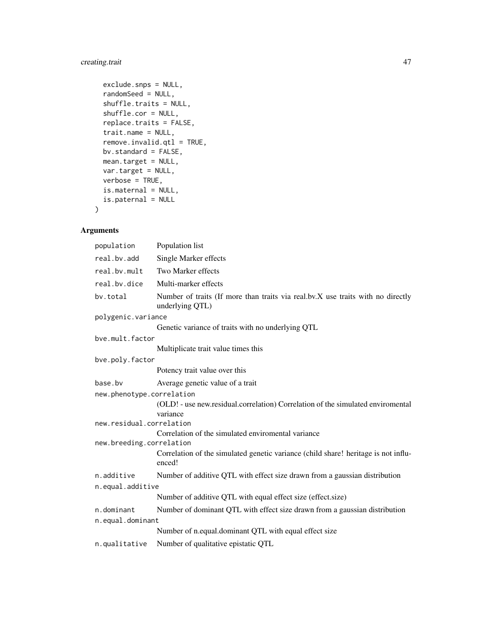# creating.trait 47

```
exclude.snps = NULL,
randomSeed = NULL,
shuffle.traits = NULL,
shuffle.cor = NULL,
replace.traits = FALSE,
trait.name = NULL,
remove.invalid.qtl = TRUE,
bv.standard = FALSE,
mean.target = NULL,
var.target = NULL,
verbose = TRUE,
is.maternal = NULL,
is.paternal = NULL
```
## Arguments

 $\mathcal{L}$ 

| population                | Population list                                                                                    |  |
|---------------------------|----------------------------------------------------------------------------------------------------|--|
| real.bv.add               | Single Marker effects                                                                              |  |
| real.bv.mult              | Two Marker effects                                                                                 |  |
| real.bv.dice              | Multi-marker effects                                                                               |  |
| by.total                  | Number of traits (If more than traits via real.bv.X use traits with no directly<br>underlying QTL) |  |
| polygenic.variance        |                                                                                                    |  |
|                           | Genetic variance of traits with no underlying QTL                                                  |  |
| bye.mult.factor           |                                                                                                    |  |
|                           | Multiplicate trait value times this                                                                |  |
| bve.poly.factor           |                                                                                                    |  |
|                           | Potency trait value over this                                                                      |  |
| base.bv                   | Average genetic value of a trait                                                                   |  |
| new.phenotype.correlation |                                                                                                    |  |
|                           | (OLD! - use new.residual.correlation) Correlation of the simulated enviromental<br>variance        |  |
| new.residual.correlation  |                                                                                                    |  |
| new.breeding.correlation  | Correlation of the simulated enviromental variance                                                 |  |
|                           | Correlation of the simulated genetic variance (child share! heritage is not influ-<br>enced!       |  |
| n.additive                | Number of additive QTL with effect size drawn from a gaussian distribution                         |  |
| n.equal.additive          |                                                                                                    |  |
|                           | Number of additive QTL with equal effect size (effect.size)                                        |  |
| n.dominant                | Number of dominant QTL with effect size drawn from a gaussian distribution                         |  |
| n.equal.dominant          |                                                                                                    |  |
|                           | Number of n.equal.dominant QTL with equal effect size                                              |  |
| n.qualitative             | Number of qualitative epistatic QTL                                                                |  |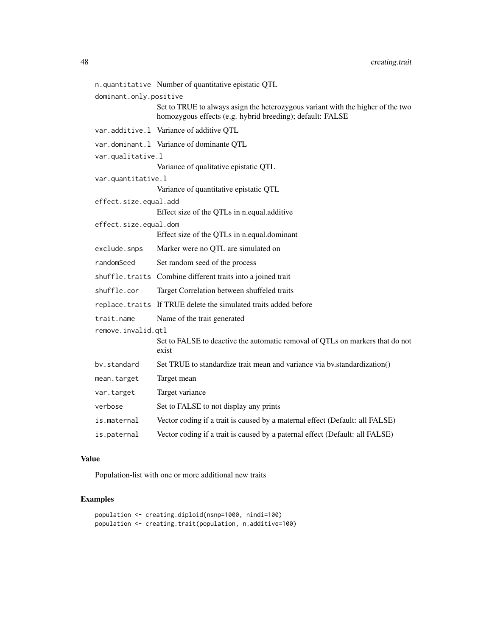|                        | n.quantitative Number of quantitative epistatic QTL                                                                                          |
|------------------------|----------------------------------------------------------------------------------------------------------------------------------------------|
| dominant.only.positive |                                                                                                                                              |
|                        | Set to TRUE to always asign the heterozygous variant with the higher of the two<br>homozygous effects (e.g. hybrid breeding); default: FALSE |
|                        | var.additive.1 Variance of additive QTL                                                                                                      |
|                        | var.dominant.1 Variance of dominante QTL                                                                                                     |
| var.qualitative.l      |                                                                                                                                              |
|                        | Variance of qualitative epistatic QTL                                                                                                        |
| var.quantitative.l     |                                                                                                                                              |
|                        | Variance of quantitative epistatic QTL                                                                                                       |
| effect.size.equal.add  |                                                                                                                                              |
|                        | Effect size of the QTLs in n.equal.additive                                                                                                  |
| effect.size.equal.dom  |                                                                                                                                              |
|                        | Effect size of the QTLs in n.equal.dominant                                                                                                  |
| exclude.snps           | Marker were no QTL are simulated on                                                                                                          |
| randomSeed             | Set random seed of the process                                                                                                               |
|                        | shuffle.traits Combine different traits into a joined trait                                                                                  |
| shuffle.cor            | Target Correlation between shuffeled traits                                                                                                  |
|                        | replace. traits If TRUE delete the simulated traits added before                                                                             |
| trait.name             | Name of the trait generated                                                                                                                  |
| remove.invalid.gtl     |                                                                                                                                              |
|                        | Set to FALSE to deactive the automatic removal of QTLs on markers that do not<br>exist                                                       |
| bv.standard            | Set TRUE to standardize trait mean and variance via by standardization()                                                                     |
| mean.target            | Target mean                                                                                                                                  |
| var.target             | Target variance                                                                                                                              |
| verbose                | Set to FALSE to not display any prints                                                                                                       |
| is.maternal            | Vector coding if a trait is caused by a maternal effect (Default: all FALSE)                                                                 |
| is.paternal            | Vector coding if a trait is caused by a paternal effect (Default: all FALSE)                                                                 |

#### Value

Population-list with one or more additional new traits

# Examples

population <- creating.diploid(nsnp=1000, nindi=100) population <- creating.trait(population, n.additive=100)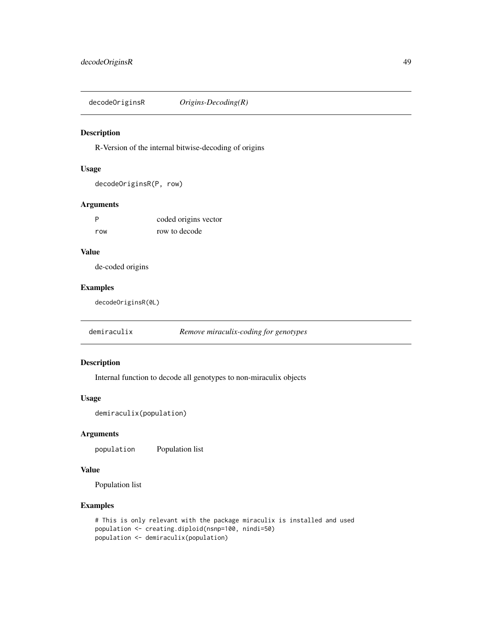decodeOriginsR *Origins-Decoding(R)*

#### Description

R-Version of the internal bitwise-decoding of origins

# Usage

```
decodeOriginsR(P, row)
```
## Arguments

| - P | coded origins vector |
|-----|----------------------|
| row | row to decode        |

#### Value

de-coded origins

## Examples

decodeOriginsR(0L)

demiraculix *Remove miraculix-coding for genotypes*

#### Description

Internal function to decode all genotypes to non-miraculix objects

#### Usage

```
demiraculix(population)
```
#### Arguments

population Population list

## Value

Population list

#### Examples

```
# This is only relevant with the package miraculix is installed and used
population <- creating.diploid(nsnp=100, nindi=50)
population <- demiraculix(population)
```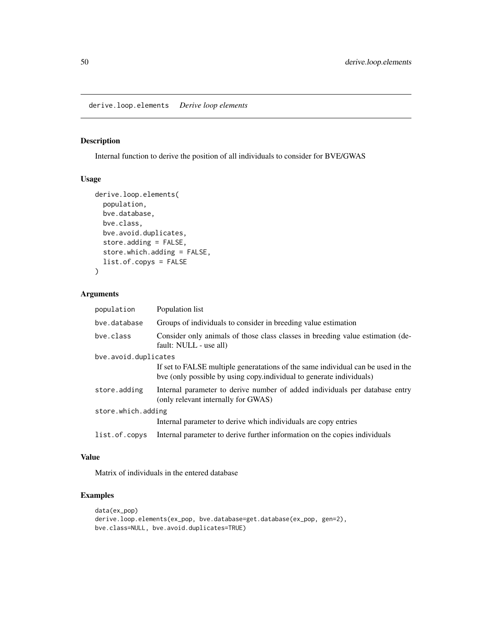derive.loop.elements *Derive loop elements*

## Description

Internal function to derive the position of all individuals to consider for BVE/GWAS

#### Usage

```
derive.loop.elements(
 population,
 bve.database,
 bve.class,
 bve.avoid.duplicates,
  store.adding = FALSE,
  store.which.adding = FALSE,
 list.of.copys = FALSE
)
```
## Arguments

| population           | Population list                                                                                                                                          |  |
|----------------------|----------------------------------------------------------------------------------------------------------------------------------------------------------|--|
| bye.database         | Groups of individuals to consider in breeding value estimation                                                                                           |  |
| bye.class            | Consider only animals of those class classes in breeding value estimation (de-<br>fault: NULL - use all)                                                 |  |
| bye.avoid.duplicates |                                                                                                                                                          |  |
|                      | If set to FALSE multiple generatations of the same individual can be used in the<br>bve (only possible by using copy.individual to generate individuals) |  |
| store.adding         | Internal parameter to derive number of added individuals per database entry<br>(only relevant internally for GWAS)                                       |  |
| store.which.adding   |                                                                                                                                                          |  |
|                      | Internal parameter to derive which individuals are copy entries                                                                                          |  |
| list.of.copys        | Internal parameter to derive further information on the copies individuals                                                                               |  |

#### Value

Matrix of individuals in the entered database

## Examples

```
data(ex_pop)
derive.loop.elements(ex_pop, bve.database=get.database(ex_pop, gen=2),
bve.class=NULL, bve.avoid.duplicates=TRUE)
```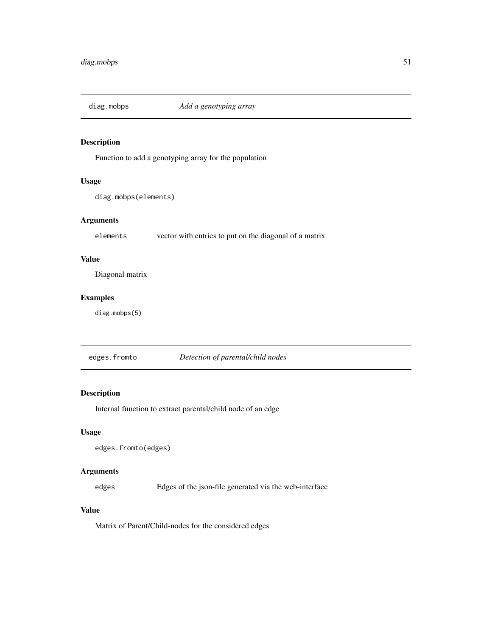Function to add a genotyping array for the population

# Usage

diag.mobps(elements)

## Arguments

elements vector with entries to put on the diagonal of a matrix

## Value

Diagonal matrix

#### Examples

diag.mobps(5)

edges.fromto *Detection of parental/child nodes*

# Description

Internal function to extract parental/child node of an edge

#### Usage

```
edges.fromto(edges)
```
## Arguments

edges Edges of the json-file generated via the web-interface

## Value

Matrix of Parent/Child-nodes for the considered edges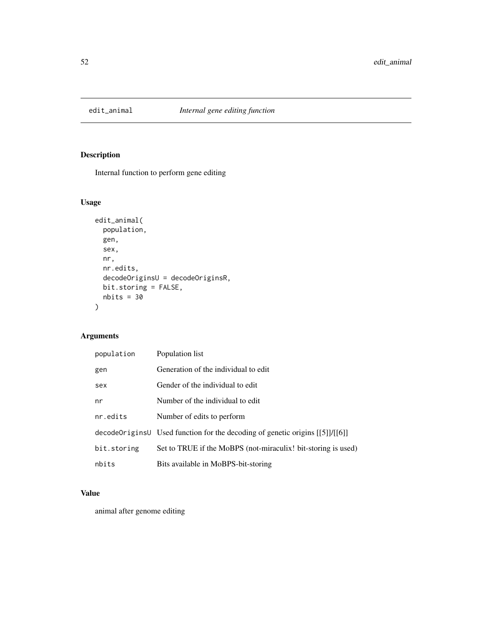Internal function to perform gene editing

## Usage

```
edit_animal(
 population,
 gen,
 sex,
 nr,
 nr.edits,
 decodeOriginsU = decodeOriginsR,
 bit.storing = FALSE,
 nbits = 30)
```
# Arguments

| population  | Population list                                                                  |
|-------------|----------------------------------------------------------------------------------|
| gen         | Generation of the individual to edit                                             |
| sex         | Gender of the individual to edit                                                 |
| nr          | Number of the individual to edit                                                 |
| nr.edits    | Number of edits to perform                                                       |
|             | decode Origins U Used function for the decoding of genetic origins $[[5]]/[[6]]$ |
| bit.storing | Set to TRUE if the MoBPS (not-miraculix! bit-storing is used)                    |
| nbits       | Bits available in MoBPS-bit-storing                                              |

## Value

animal after genome editing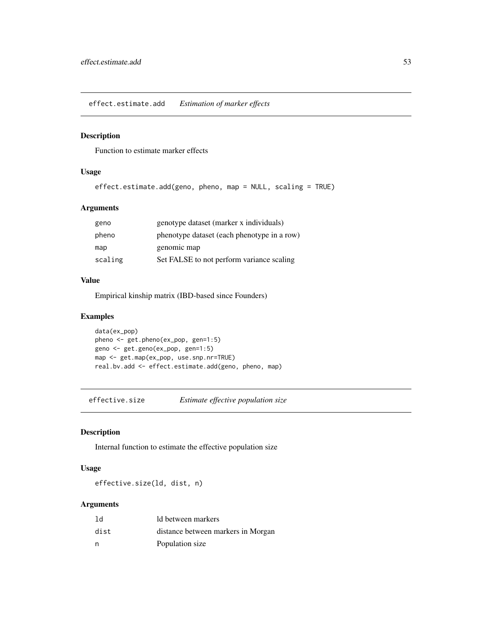effect.estimate.add *Estimation of marker effects*

#### Description

Function to estimate marker effects

#### Usage

```
effect.estimate.add(geno, pheno, map = NULL, scaling = TRUE)
```
## Arguments

| geno    | genotype dataset (marker x individuals)     |
|---------|---------------------------------------------|
| pheno   | phenotype dataset (each phenotype in a row) |
| map     | genomic map                                 |
| scaling | Set FALSE to not perform variance scaling   |

#### Value

Empirical kinship matrix (IBD-based since Founders)

## Examples

```
data(ex_pop)
pheno <- get.pheno(ex_pop, gen=1:5)
geno <- get.geno(ex_pop, gen=1:5)
map <- get.map(ex_pop, use.snp.nr=TRUE)
real.bv.add <- effect.estimate.add(geno, pheno, map)
```
effective.size *Estimate effective population size*

## Description

Internal function to estimate the effective population size

#### Usage

effective.size(ld, dist, n)

#### Arguments

| 1d   | ld between markers                 |
|------|------------------------------------|
| dist | distance between markers in Morgan |
| n    | Population size                    |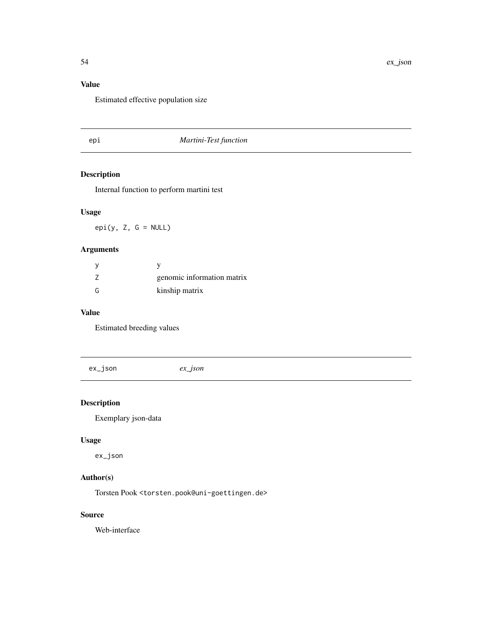# Value

Estimated effective population size

## epi *Martini-Test function*

# Description

Internal function to perform martini test

# Usage

 $epi(y, Z, G = NULL)$ 

## Arguments

|   | genomic information matrix |
|---|----------------------------|
| G | kinship matrix             |

## Value

Estimated breeding values

ex\_json *ex\_json*

# Description

Exemplary json-data

## Usage

ex\_json

# Author(s)

Torsten Pook <torsten.pook@uni-goettingen.de>

#### Source

Web-interface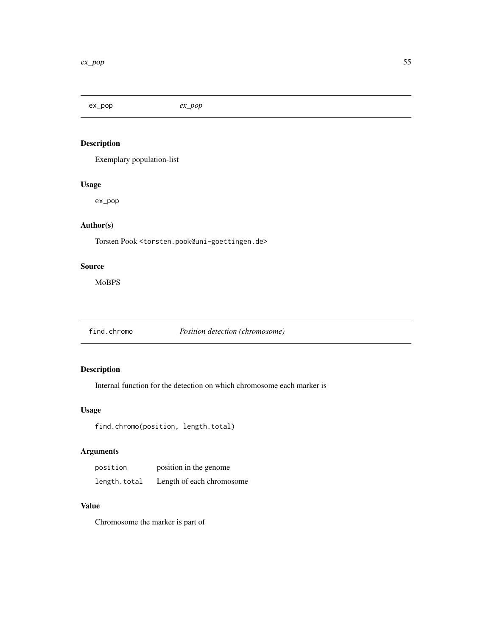ex\_pop *ex\_pop*

# Description

Exemplary population-list

## Usage

ex\_pop

# Author(s)

Torsten Pook <torsten.pook@uni-goettingen.de>

# Source

MoBPS

find.chromo *Position detection (chromosome)*

## Description

Internal function for the detection on which chromosome each marker is

# Usage

find.chromo(position, length.total)

# Arguments

| position     | position in the genome    |
|--------------|---------------------------|
| length.total | Length of each chromosome |

# Value

Chromosome the marker is part of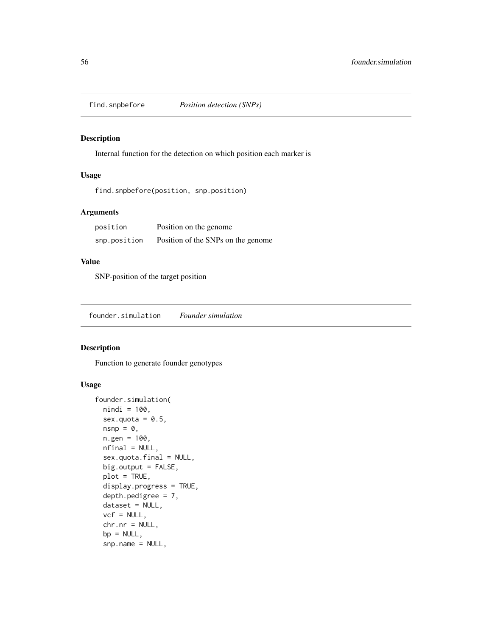Internal function for the detection on which position each marker is

## Usage

find.snpbefore(position, snp.position)

## Arguments

| position     | Position on the genome             |
|--------------|------------------------------------|
| snp.position | Position of the SNPs on the genome |

# Value

SNP-position of the target position

founder.simulation *Founder simulation*

## Description

Function to generate founder genotypes

```
founder.simulation(
  nindi = 100,
  sex.quota = 0.5,
  nsnp = \theta,
  n.gen = 100,nfinal = NULL,sex.quota.final = NULL,
 big.output = FALSE,
  plot = TRUE,
  display.progress = TRUE,
  depth.pedigree = 7,
  dataset = NULL,
  vcf = NULL,chr.nr = NULL,
  bp = NULL,snp.name = NULL,
```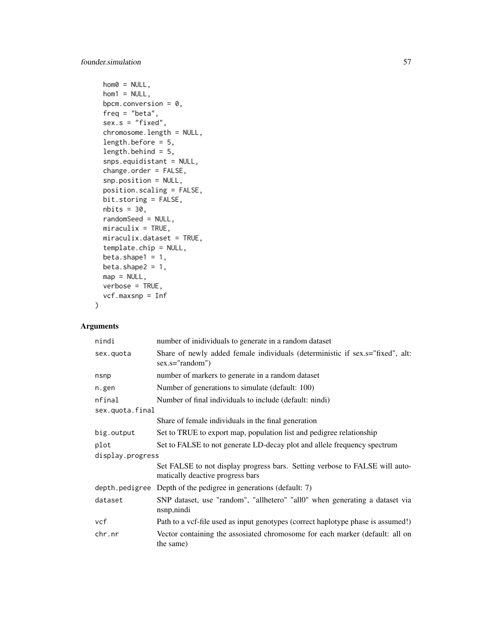```
hom0 = NULL,hom1 = NULL,bpcm.conversion = 0,
freq = "beta",sex.s = "fixed",chromosome.length = NULL,
length.before = 5,
length.behind = 5,
snps.equidistant = NULL,
change.order = FALSE,
snp.position = NULL,
position.scaling = FALSE,
bit.storing = FALSE,
nbits = 30,randomSeed = NULL,
miraculix = TRUE,miraculix.dataset = TRUE,
template.chip = NULL,
beta.shape1 = 1,
beta.shape2 = 1,
map = NULL,verbose = TRUE,
vcf.maxsnp = Inf
```
## Arguments

 $\mathcal{L}$ 

| nindi            | number of inidividuals to generate in a random dataset                                                          |  |
|------------------|-----------------------------------------------------------------------------------------------------------------|--|
| sex.quota        | Share of newly added female individuals (deterministic if sex.s="fixed", alt:<br>sex.s="random")                |  |
| nsnp             | number of markers to generate in a random dataset                                                               |  |
| n.gen            | Number of generations to simulate (default: 100)                                                                |  |
| nfinal           | Number of final individuals to include (default: nindi)                                                         |  |
| sex.quota.final  |                                                                                                                 |  |
|                  | Share of female individuals in the final generation                                                             |  |
| big.output       | Set to TRUE to export map, population list and pedigree relationship                                            |  |
| plot             | Set to FALSE to not generate LD-decay plot and allele frequency spectrum                                        |  |
| display.progress |                                                                                                                 |  |
|                  | Set FALSE to not display progress bars. Setting verbose to FALSE will auto-<br>matically deactive progress bars |  |
|                  | depth.pedigree Depth of the pedigree in generations (default: 7)                                                |  |
| dataset          | SNP dataset, use "random", "allhetero" "all0" when generating a dataset via<br>nsnp, nindi                      |  |
| vcf              | Path to a vcf-file used as input genotypes (correct haplotype phase is assumed!)                                |  |
| chr.nr           | Vector containing the assosiated chromosome for each marker (default: all on<br>the same)                       |  |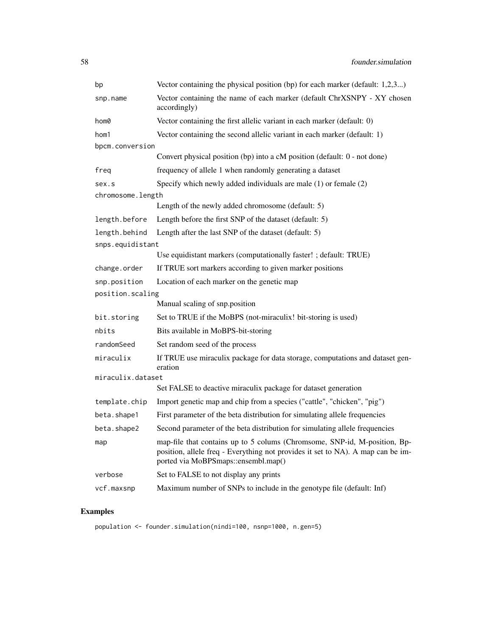| bp                | Vector containing the physical position (bp) for each marker (default: 1,2,3)                                                                                                                       |  |
|-------------------|-----------------------------------------------------------------------------------------------------------------------------------------------------------------------------------------------------|--|
| snp.name          | Vector containing the name of each marker (default ChrXSNPY - XY chosen<br>accordingly)                                                                                                             |  |
| hom0              | Vector containing the first allelic variant in each marker (default: 0)                                                                                                                             |  |
| hom1              | Vector containing the second allelic variant in each marker (default: 1)                                                                                                                            |  |
| bpcm.conversion   |                                                                                                                                                                                                     |  |
|                   | Convert physical position (bp) into a cM position (default: 0 - not done)                                                                                                                           |  |
| freq              | frequency of allele 1 when randomly generating a dataset                                                                                                                                            |  |
| sex.s             | Specify which newly added individuals are male $(1)$ or female $(2)$                                                                                                                                |  |
| chromosome.length |                                                                                                                                                                                                     |  |
|                   | Length of the newly added chromosome (default: 5)                                                                                                                                                   |  |
| length.before     | Length before the first SNP of the dataset (default: 5)                                                                                                                                             |  |
| length.behind     | Length after the last SNP of the dataset (default: 5)                                                                                                                                               |  |
| snps.equidistant  |                                                                                                                                                                                                     |  |
|                   | Use equidistant markers (computationally faster! ; default: TRUE)                                                                                                                                   |  |
| change.order      | If TRUE sort markers according to given marker positions                                                                                                                                            |  |
| snp.position      | Location of each marker on the genetic map                                                                                                                                                          |  |
| position.scaling  |                                                                                                                                                                                                     |  |
|                   | Manual scaling of snp.position                                                                                                                                                                      |  |
| bit.storing       | Set to TRUE if the MoBPS (not-miraculix! bit-storing is used)                                                                                                                                       |  |
| nbits             | Bits available in MoBPS-bit-storing                                                                                                                                                                 |  |
| randomSeed        | Set random seed of the process                                                                                                                                                                      |  |
| miraculix         | If TRUE use miraculix package for data storage, computations and dataset gen-<br>eration                                                                                                            |  |
| miraculix.dataset |                                                                                                                                                                                                     |  |
|                   | Set FALSE to deactive miraculix package for dataset generation                                                                                                                                      |  |
| template.chip     | Import genetic map and chip from a species ("cattle", "chicken", "pig")                                                                                                                             |  |
| beta.shape1       | First parameter of the beta distribution for simulating allele frequencies                                                                                                                          |  |
| beta.shape2       | Second parameter of the beta distribution for simulating allele frequencies                                                                                                                         |  |
| map               | map-file that contains up to 5 colums (Chromsome, SNP-id, M-position, Bp-<br>position, allele freq - Everything not provides it set to NA). A map can be im-<br>ported via MoBPSmaps::ensembl.map() |  |
| verbose           | Set to FALSE to not display any prints                                                                                                                                                              |  |
| vcf.maxsnp        | Maximum number of SNPs to include in the genotype file (default: Inf)                                                                                                                               |  |

# Examples

population <- founder.simulation(nindi=100, nsnp=1000, n.gen=5)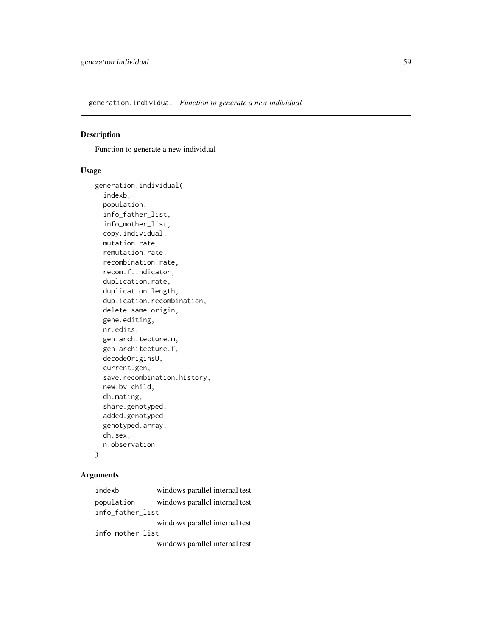generation.individual *Function to generate a new individual*

#### Description

Function to generate a new individual

#### Usage

```
generation.individual(
  indexb,
  population,
  info_father_list,
  info_mother_list,
  copy.individual,
 mutation.rate,
  remutation.rate,
  recombination.rate,
  recom.f.indicator,
  duplication.rate,
  duplication.length,
  duplication.recombination,
  delete.same.origin,
  gene.editing,
 nr.edits,
  gen.architecture.m,
  gen.architecture.f,
  decodeOriginsU,
  current.gen,
  save.recombination.history,
  new.bv.child,
  dh.mating,
  share.genotyped,
  added.genotyped,
  genotyped.array,
 dh.sex,
  n.observation
)
```
#### Arguments

indexb windows parallel internal test population windows parallel internal test info\_father\_list windows parallel internal test info\_mother\_list windows parallel internal test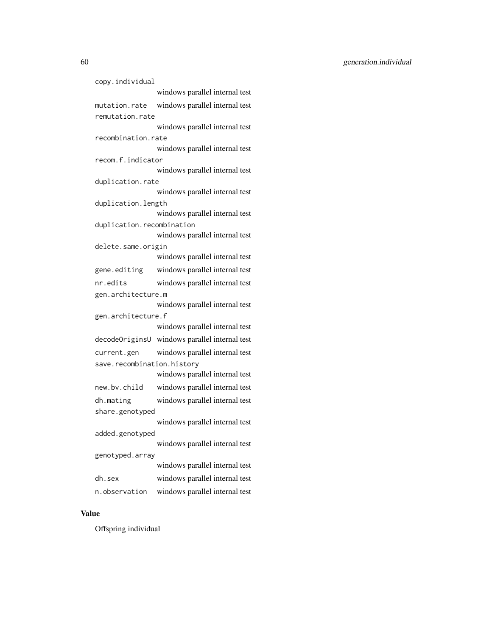60 generation.individual

copy.individual windows parallel internal test mutation.rate windows parallel internal test remutation.rate windows parallel internal test recombination.rate windows parallel internal test recom.f.indicator windows parallel internal test duplication.rate windows parallel internal test duplication.length windows parallel internal test duplication.recombination windows parallel internal test delete.same.origin windows parallel internal test gene.editing windows parallel internal test nr.edits windows parallel internal test gen.architecture.m windows parallel internal test gen.architecture.f windows parallel internal test decodeOriginsU windows parallel internal test current.gen windows parallel internal test save.recombination.history windows parallel internal test new.bv.child windows parallel internal test dh.mating windows parallel internal test share.genotyped windows parallel internal test added.genotyped windows parallel internal test genotyped.array windows parallel internal test dh.sex windows parallel internal test n.observation windows parallel internal test

## Value

Offspring individual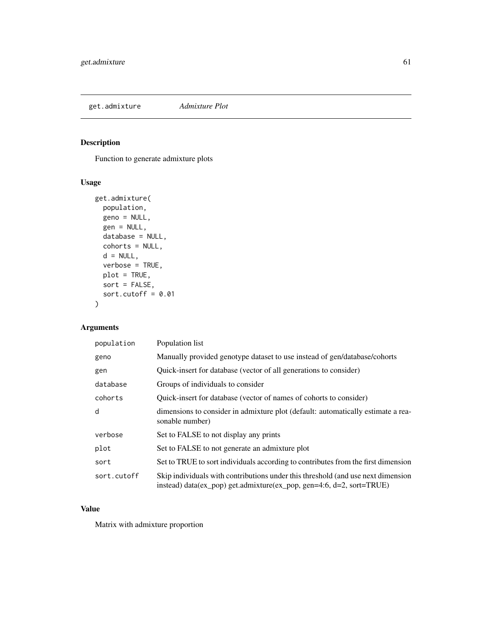get.admixture *Admixture Plot*

# Description

Function to generate admixture plots

## Usage

```
get.admixture(
 population,
 geno = NULL,
 gen = NULL,
 database = NULL,
 cohorts = NULL,
 d = NULL,verbose = TRUE,
 plot = TRUE,
 sort = FALSE,
 sort.cutoff = 0.01)
```
# Arguments

| population  | Population list                                                                                                                                          |
|-------------|----------------------------------------------------------------------------------------------------------------------------------------------------------|
| geno        | Manually provided genotype dataset to use instead of gen/database/cohorts                                                                                |
| gen         | Quick-insert for database (vector of all generations to consider)                                                                                        |
| database    | Groups of individuals to consider                                                                                                                        |
| cohorts     | Quick-insert for database (vector of names of cohorts to consider)                                                                                       |
| d           | dimensions to consider in admixture plot (default: automatically estimate a rea-<br>sonable number)                                                      |
| verbose     | Set to FALSE to not display any prints                                                                                                                   |
| plot        | Set to FALSE to not generate an admixture plot                                                                                                           |
| sort        | Set to TRUE to sort individuals according to contributes from the first dimension                                                                        |
| sort.cutoff | Skip individuals with contributions under this threshold (and use next dimension<br>instead) data(ex_pop) get.admixture(ex_pop, gen=4:6, d=2, sort=TRUE) |

# Value

Matrix with admixture proportion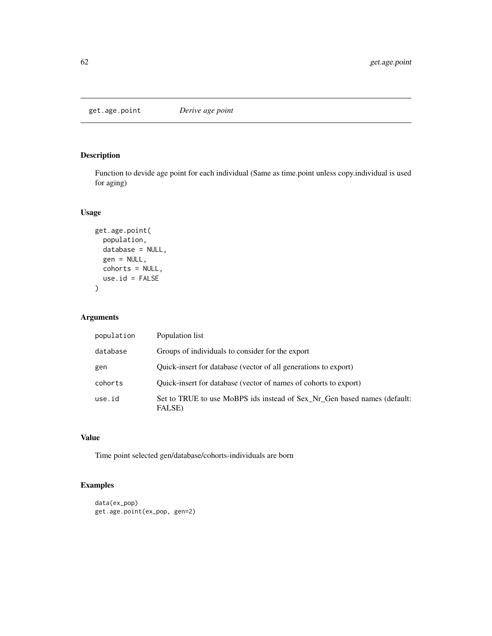get.age.point *Derive age point*

# Description

Function to devide age point for each individual (Same as time.point unless copy.individual is used for aging)

#### Usage

```
get.age.point(
  population,
  database = NULL,
  gen = NULL,
  cohorts = NULL,
  use.id = FALSE\overline{\phantom{0}}
```
## Arguments

| population | Population list                                                                    |
|------------|------------------------------------------------------------------------------------|
| database   | Groups of individuals to consider for the export                                   |
| gen        | Quick-insert for database (vector of all generations to export)                    |
| cohorts    | Quick-insert for database (vector of names of cohorts to export)                   |
| use.id     | Set to TRUE to use MoBPS ids instead of Sex Nr Gen based names (default:<br>FALSE) |

## Value

Time point selected gen/database/cohorts-individuals are born

## Examples

```
data(ex_pop)
get.age.point(ex_pop, gen=2)
```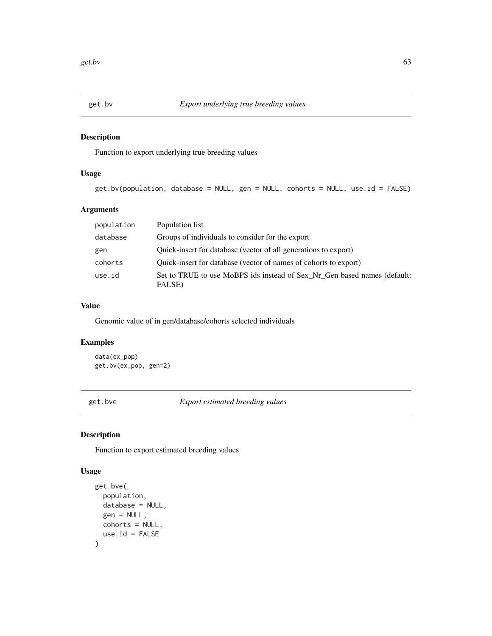Function to export underlying true breeding values

## Usage

get.bv(population, database = NULL, gen = NULL, cohorts = NULL, use.id = FALSE)

## Arguments

| population | Population list                                                                    |
|------------|------------------------------------------------------------------------------------|
| database   | Groups of individuals to consider for the export                                   |
| gen        | Quick-insert for database (vector of all generations to export)                    |
| cohorts    | Quick-insert for database (vector of names of cohorts to export)                   |
| use.id     | Set to TRUE to use MoBPS ids instead of Sex Nr Gen based names (default:<br>FALSE) |

## Value

Genomic value of in gen/database/cohorts selected individuals

## Examples

```
data(ex_pop)
get.bv(ex_pop, gen=2)
```
get.bve *Export estimated breeding values*

## Description

Function to export estimated breeding values

```
get.bve(
  population,
  database = NULL,
  gen = NULL,
  cohorts = NULL,
  use.id = FALSE\mathcal{E}
```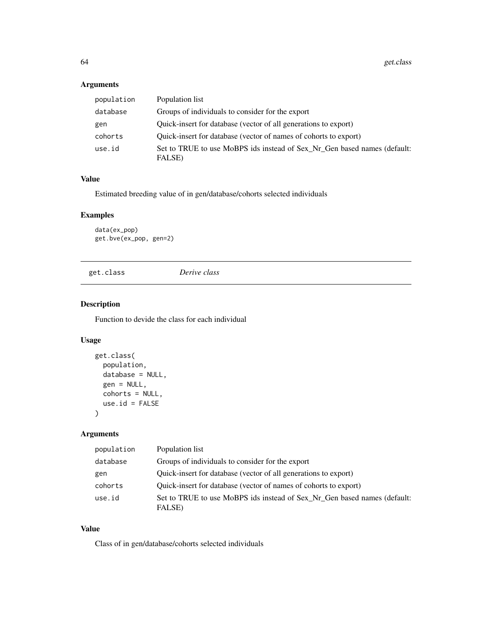# Arguments

| population | Population list                                                                    |
|------------|------------------------------------------------------------------------------------|
| database   | Groups of individuals to consider for the export                                   |
| gen        | Quick-insert for database (vector of all generations to export)                    |
| cohorts    | Quick-insert for database (vector of names of cohorts to export)                   |
| use.id     | Set to TRUE to use MoBPS ids instead of Sex_Nr_Gen based names (default:<br>FALSE) |

# Value

Estimated breeding value of in gen/database/cohorts selected individuals

## Examples

data(ex\_pop) get.bve(ex\_pop, gen=2)

get.class *Derive class*

# Description

Function to devide the class for each individual

# Usage

```
get.class(
 population,
 database = NULL,
 gen = NULL,
 cohorts = NULL,
 use.id = FALSE)
```
# Arguments

| population | Population list                                                                    |
|------------|------------------------------------------------------------------------------------|
| database   | Groups of individuals to consider for the export                                   |
| gen        | Quick-insert for database (vector of all generations to export)                    |
| cohorts    | Quick-insert for database (vector of names of cohorts to export)                   |
| use.id     | Set to TRUE to use MoBPS ids instead of Sex_Nr_Gen based names (default:<br>FALSE) |

## Value

Class of in gen/database/cohorts selected individuals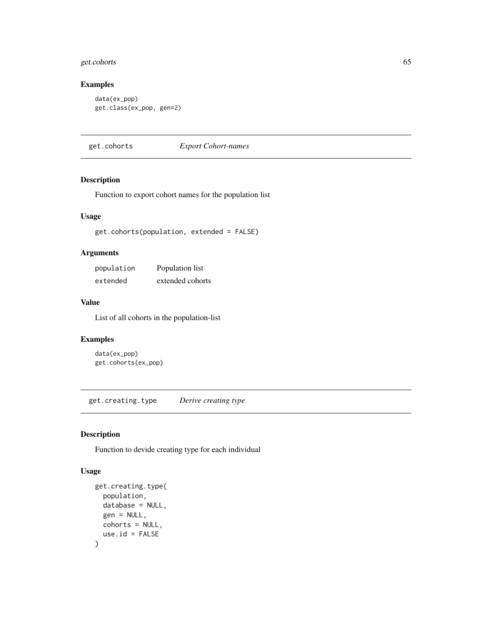## get.cohorts 65

## Examples

```
data(ex_pop)
get.class(ex_pop, gen=2)
```
get.cohorts *Export Cohort-names*

## Description

Function to export cohort names for the population list

## Usage

get.cohorts(population, extended = FALSE)

#### Arguments

| population | Population list  |
|------------|------------------|
| extended   | extended cohorts |

#### Value

List of all cohorts in the population-list

## Examples

data(ex\_pop) get.cohorts(ex\_pop)

get.creating.type *Derive creating type*

## Description

Function to devide creating type for each individual

```
get.creating.type(
  population,
  database = NULL,
  gen = NULL,
  cohorts = NULL,
  use.id = FALSE\mathcal{E}
```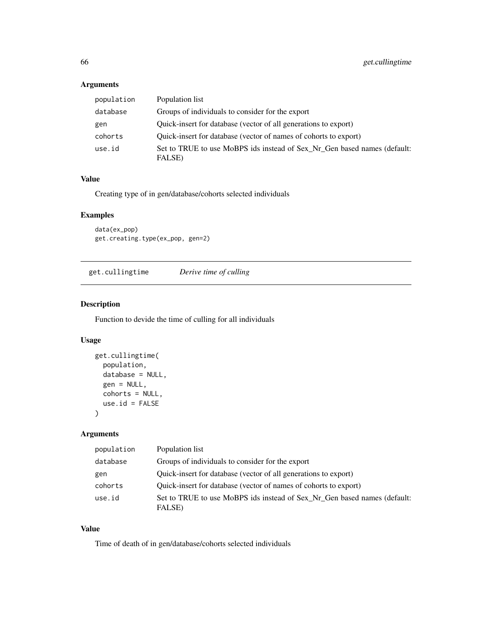# Arguments

| population | Population list                                                                    |
|------------|------------------------------------------------------------------------------------|
| database   | Groups of individuals to consider for the export                                   |
| gen        | Quick-insert for database (vector of all generations to export)                    |
| cohorts    | Quick-insert for database (vector of names of cohorts to export)                   |
| use.id     | Set to TRUE to use MoBPS ids instead of Sex Nr Gen based names (default:<br>FALSE) |

# Value

Creating type of in gen/database/cohorts selected individuals

## Examples

```
data(ex_pop)
get.creating.type(ex_pop, gen=2)
```
get.cullingtime *Derive time of culling*

# Description

Function to devide the time of culling for all individuals

# Usage

```
get.cullingtime(
 population,
 database = NULL,
 gen = NULL,
 cohorts = NULL,
 use.id = FALSE)
```
# Arguments

| population | Population list                                                                    |
|------------|------------------------------------------------------------------------------------|
| database   | Groups of individuals to consider for the export                                   |
| gen        | Quick-insert for database (vector of all generations to export)                    |
| cohorts    | Quick-insert for database (vector of names of cohorts to export)                   |
| use.id     | Set to TRUE to use MoBPS ids instead of Sex_Nr_Gen based names (default:<br>FALSE) |

#### Value

Time of death of in gen/database/cohorts selected individuals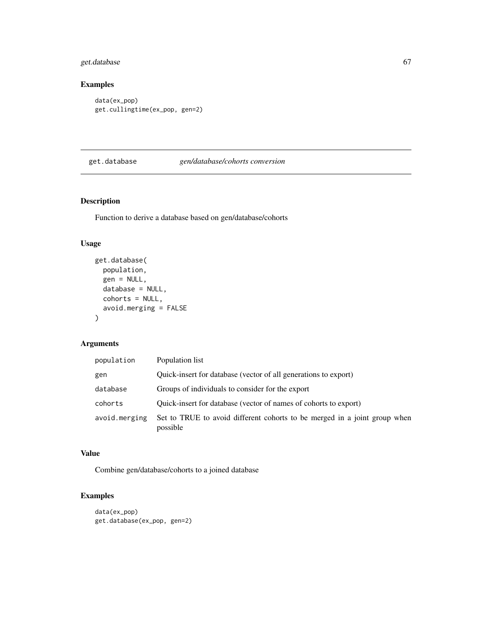## get.database 67

# Examples

```
data(ex_pop)
get.cullingtime(ex_pop, gen=2)
```
#### get.database *gen/database/cohorts conversion*

## Description

Function to derive a database based on gen/database/cohorts

#### Usage

```
get.database(
 population,
 gen = NULL,
 database = NULL,
 cohorts = NULL,avoid.merging = FALSE
)
```
## Arguments

| population    | Population list                                                                       |
|---------------|---------------------------------------------------------------------------------------|
| gen           | Quick-insert for database (vector of all generations to export)                       |
| database      | Groups of individuals to consider for the export                                      |
| cohorts       | Quick-insert for database (vector of names of cohorts to export)                      |
| avoid.merging | Set to TRUE to avoid different cohorts to be merged in a joint group when<br>possible |

## Value

Combine gen/database/cohorts to a joined database

# Examples

```
data(ex_pop)
get.database(ex_pop, gen=2)
```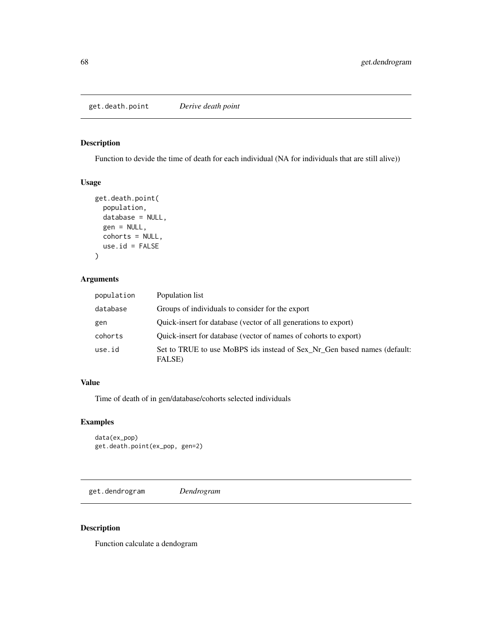Function to devide the time of death for each individual (NA for individuals that are still alive))

#### Usage

```
get.death.point(
 population,
  database = NULL,
 gen = NULL,
 cohorts = NULL,
 use.id = FALSE)
```
# Arguments

| population | Population list                                                                    |
|------------|------------------------------------------------------------------------------------|
| database   | Groups of individuals to consider for the export                                   |
| gen        | Quick-insert for database (vector of all generations to export)                    |
| cohorts    | Quick-insert for database (vector of names of cohorts to export)                   |
| use.id     | Set to TRUE to use MoBPS ids instead of Sex_Nr_Gen based names (default:<br>FALSE) |

## Value

Time of death of in gen/database/cohorts selected individuals

# Examples

```
data(ex_pop)
get.death.point(ex_pop, gen=2)
```
get.dendrogram *Dendrogram*

## Description

Function calculate a dendogram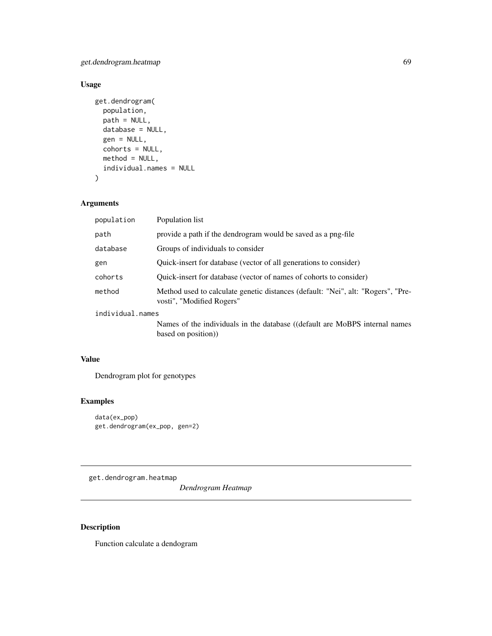get.dendrogram.heatmap 69

# Usage

```
get.dendrogram(
 population,
 path = NULL,
 database = NULL,
  gen = NULL,
  cohorts = NULL,
 method = NULL,individual.names = NULL
\mathcal{L}
```
## Arguments

| population       | Population list                                                                                               |
|------------------|---------------------------------------------------------------------------------------------------------------|
| path             | provide a path if the dendrogram would be saved as a png-file                                                 |
| database         | Groups of individuals to consider                                                                             |
| gen              | Quick-insert for database (vector of all generations to consider)                                             |
| cohorts          | Quick-insert for database (vector of names of cohorts to consider)                                            |
| method           | Method used to calculate genetic distances (default: "Nei", alt: "Rogers", "Pre-<br>vosti", "Modified Rogers" |
| individual.names |                                                                                                               |
|                  | Names of the individuals in the database ((default are MoBPS internal names                                   |
|                  | based on position)                                                                                            |

## Value

Dendrogram plot for genotypes

## Examples

```
data(ex_pop)
get.dendrogram(ex_pop, gen=2)
```
get.dendrogram.heatmap

*Dendrogram Heatmap*

# Description

Function calculate a dendogram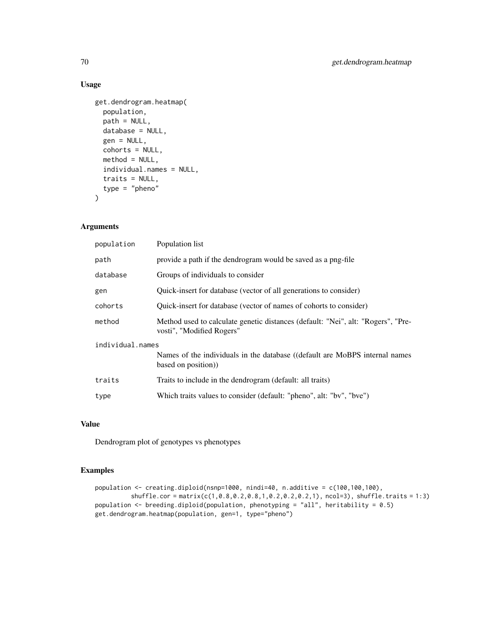# Usage

```
get.dendrogram.heatmap(
 population,
 path = NULL,
 database = NULL,
  gen = NULL,
  cohorts = NULL,
 method = NULL,individual.names = NULL,
  traits = NULL,
  type = "pheno"\mathcal{L}
```
# Arguments

| population       | Population list                                                                                               |  |
|------------------|---------------------------------------------------------------------------------------------------------------|--|
| path             | provide a path if the dendrogram would be saved as a png-file                                                 |  |
| database         | Groups of individuals to consider                                                                             |  |
| gen              | Quick-insert for database (vector of all generations to consider)                                             |  |
| cohorts          | Quick-insert for database (vector of names of cohorts to consider)                                            |  |
| method           | Method used to calculate genetic distances (default: "Nei", alt: "Rogers", "Pre-<br>vosti", "Modified Rogers" |  |
| individual.names |                                                                                                               |  |
|                  | Names of the individuals in the database ((default are MoBPS internal names<br>based on position))            |  |
| traits           | Traits to include in the dendrogram (default: all traits)                                                     |  |
| type             | Which traits values to consider (default: "pheno", alt: "bv", "bve")                                          |  |
|                  |                                                                                                               |  |

# Value

Dendrogram plot of genotypes vs phenotypes

#### Examples

```
population <- creating.diploid(nsnp=1000, nindi=40, n.additive = c(100,100,100),
          shiftle.cor = matrix(c(1, 0.8, 0.2, 0.8, 1, 0.2, 0.2, 0.2, 1), ncol=3), shuffle.traints = 1:3)population <- breeding.diploid(population, phenotyping = "all", heritability = 0.5)
get.dendrogram.heatmap(population, gen=1, type="pheno")
```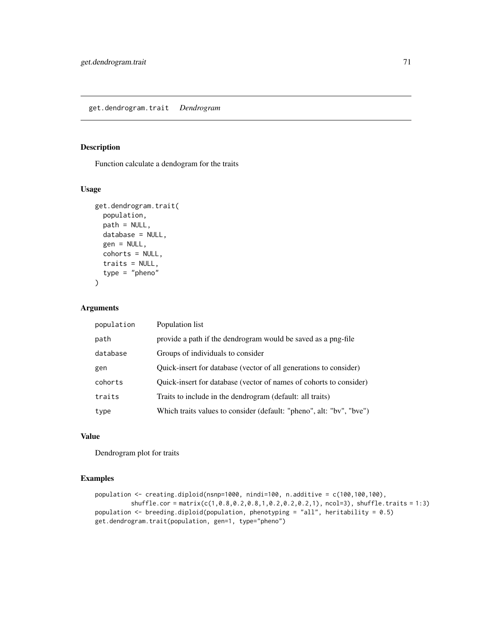Function calculate a dendogram for the traits

## Usage

```
get.dendrogram.trait(
  population,
  path = NULL,
  database = NULL,
  gen = NULL,
  cohorts = NULL,
  traits = NULL,
  type = "pheno"
\mathcal{L}
```
## Arguments

| population | Population list                                                      |
|------------|----------------------------------------------------------------------|
| path       | provide a path if the dendrogram would be saved as a png-file        |
| database   | Groups of individuals to consider                                    |
| gen        | Quick-insert for database (vector of all generations to consider)    |
| cohorts    | Quick-insert for database (vector of names of cohorts to consider)   |
| traits     | Traits to include in the dendrogram (default: all traits)            |
| type       | Which traits values to consider (default: "pheno", alt: "bv", "bve") |

#### Value

Dendrogram plot for traits

#### Examples

```
population <- creating.diploid(nsnp=1000, nindi=100, n.additive = c(100,100,100),
         shuffle.cor = matrix(c(1,0.8,0.2,0.8,1,0.2,0.2,0.2,1), ncol=3), shuffle.traits = 1:3)
population <- breeding.diploid(population, phenotyping = "all", heritability = 0.5)
get.dendrogram.trait(population, gen=1, type="pheno")
```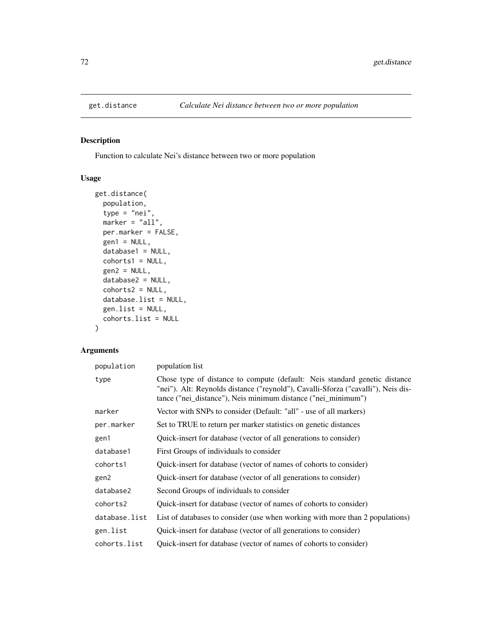Function to calculate Nei's distance between two or more population

## Usage

```
get.distance(
 population,
  type = "nei",marker = "all",
 per.marker = FALSE,
 gen1 = NULL,database1 = NULL,
 cohorts1 = NULL,
 gen2 = NULL,database2 = NULL,
 cohorts2 = NULL,
 database.list = NULL,
 gen.list = NULL,
 cohorts.list = NULL
)
```
## Arguments

| population    | population list                                                                                                                                                                                                                  |
|---------------|----------------------------------------------------------------------------------------------------------------------------------------------------------------------------------------------------------------------------------|
| type          | Chose type of distance to compute (default: Neis standard genetic distance<br>"nei"). Alt: Reynolds distance ("reynold"), Cavalli-Sforza ("cavalli"), Neis dis-<br>tance ("nei_distance"), Neis minimum distance ("nei_minimum") |
| marker        | Vector with SNPs to consider (Default: "all" - use of all markers)                                                                                                                                                               |
| per.marker    | Set to TRUE to return per marker statistics on genetic distances                                                                                                                                                                 |
| gen1          | Quick-insert for database (vector of all generations to consider)                                                                                                                                                                |
| database1     | First Groups of individuals to consider                                                                                                                                                                                          |
| cohorts1      | Quick-insert for database (vector of names of cohorts to consider)                                                                                                                                                               |
| gen2          | Quick-insert for database (vector of all generations to consider)                                                                                                                                                                |
| database2     | Second Groups of individuals to consider                                                                                                                                                                                         |
| cohorts2      | Quick-insert for database (vector of names of cohorts to consider)                                                                                                                                                               |
| database.list | List of databases to consider (use when working with more than 2 populations)                                                                                                                                                    |
| gen.list      | Quick-insert for database (vector of all generations to consider)                                                                                                                                                                |
| cohorts.list  | Quick-insert for database (vector of names of cohorts to consider)                                                                                                                                                               |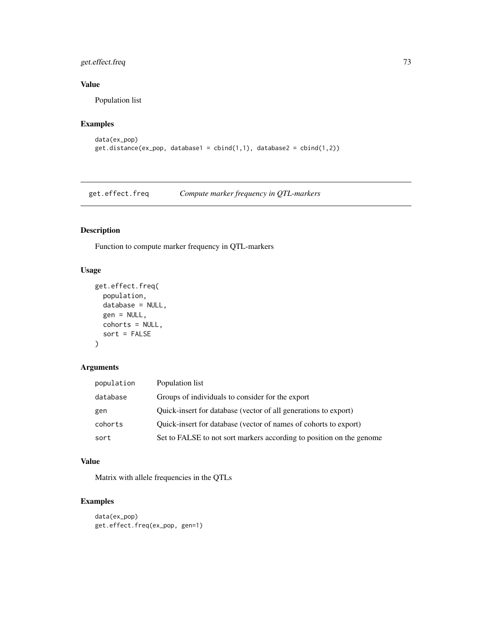### get.effect.freq 73

### Value

Population list

# Examples

```
data(ex_pop)
get.distance(ex_pop, database1 = cbind(1,1), database2 = cbind(1,2))
```
get.effect.freq *Compute marker frequency in QTL-markers*

# Description

Function to compute marker frequency in QTL-markers

### Usage

```
get.effect.freq(
  population,
  database = NULL,
  gen = NULL,
  cohorts = NULL,
  sort = FALSE
)
```
#### Arguments

| population | Population list                                                      |
|------------|----------------------------------------------------------------------|
| database   | Groups of individuals to consider for the export                     |
| gen        | Quick-insert for database (vector of all generations to export)      |
| cohorts    | Quick-insert for database (vector of names of cohorts to export)     |
| sort       | Set to FALSE to not sort markers according to position on the genome |

### Value

Matrix with allele frequencies in the QTLs

```
data(ex_pop)
get.effect.freq(ex_pop, gen=1)
```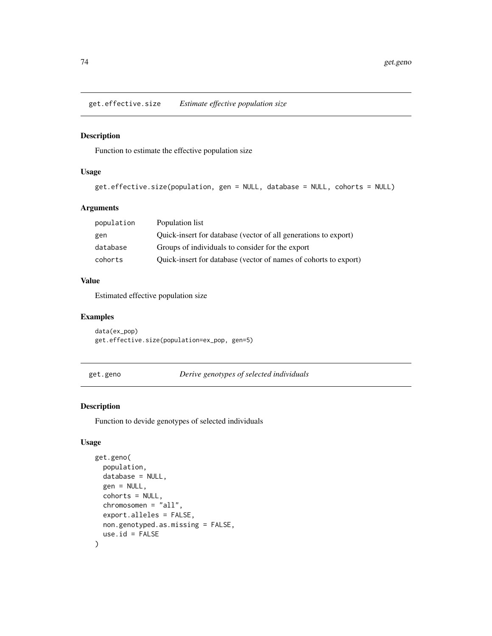get.effective.size *Estimate effective population size*

#### Description

Function to estimate the effective population size

### Usage

```
get.effective.size(population, gen = NULL, database = NULL, cohorts = NULL)
```
### Arguments

| population | Population list                                                  |
|------------|------------------------------------------------------------------|
| gen        | Quick-insert for database (vector of all generations to export)  |
| database   | Groups of individuals to consider for the export                 |
| cohorts    | Quick-insert for database (vector of names of cohorts to export) |

#### Value

Estimated effective population size

### Examples

```
data(ex_pop)
get.effective.size(population=ex_pop, gen=5)
```

```
get.geno Derive genotypes of selected individuals
```
### Description

Function to devide genotypes of selected individuals

```
get.geno(
 population,
  database = NULL,
  gen = NULL,
  cohorts = NULL,
  chromosomen = "all",
  export.alleles = FALSE,
 non.genotyped.as.missing = FALSE,
  use.id = FALSE\mathcal{E}
```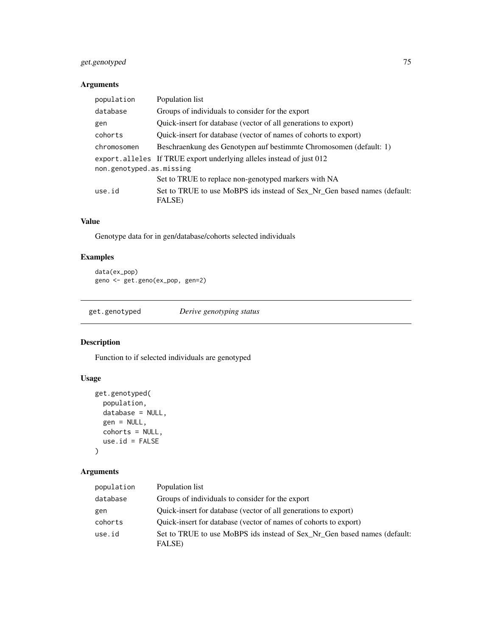## get.genotyped 75

### Arguments

| population               | Population list                                                                    |  |
|--------------------------|------------------------------------------------------------------------------------|--|
| database                 | Groups of individuals to consider for the export                                   |  |
| gen                      | Quick-insert for database (vector of all generations to export)                    |  |
| cohorts                  | Quick-insert for database (vector of names of cohorts to export)                   |  |
| chromosomen              | Beschraenkung des Genotypen auf bestimmte Chromosomen (default: 1)                 |  |
|                          | export.alleles If TRUE export underlying alleles instead of just 012               |  |
| non.genotyped.as.missing |                                                                                    |  |
|                          | Set to TRUE to replace non-genotyped markers with NA                               |  |
| use.id                   | Set to TRUE to use MoBPS ids instead of Sex_Nr_Gen based names (default:<br>FALSE) |  |

## Value

Genotype data for in gen/database/cohorts selected individuals

### Examples

```
data(ex_pop)
geno <- get.geno(ex_pop, gen=2)
```
get.genotyped *Derive genotyping status*

### Description

Function to if selected individuals are genotyped

### Usage

```
get.genotyped(
  population,
  database = NULL,
  gen = NULL,
  cohorts = NULL,
  use.id = FALSE\mathcal{L}
```

| population | Population list                                                                    |
|------------|------------------------------------------------------------------------------------|
| database   | Groups of individuals to consider for the export                                   |
| gen        | Quick-insert for database (vector of all generations to export)                    |
| cohorts    | Quick-insert for database (vector of names of cohorts to export)                   |
| use.id     | Set to TRUE to use MoBPS ids instead of Sex Nr Gen based names (default:<br>FALSE) |
|            |                                                                                    |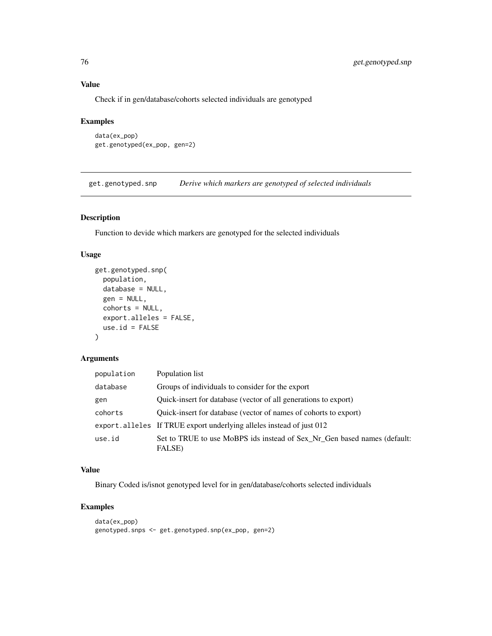### Value

Check if in gen/database/cohorts selected individuals are genotyped

### Examples

```
data(ex_pop)
get.genotyped(ex_pop, gen=2)
```
get.genotyped.snp *Derive which markers are genotyped of selected individuals*

### Description

Function to devide which markers are genotyped for the selected individuals

#### Usage

```
get.genotyped.snp(
  population,
 database = NULL,
  gen = NULL,
 cohorts = NULL,
  export.alleles = FALSE,
 use.id = FALSE)
```
### Arguments

| population | Population list                                                                    |
|------------|------------------------------------------------------------------------------------|
| database   | Groups of individuals to consider for the export                                   |
| gen        | Quick-insert for database (vector of all generations to export)                    |
| cohorts    | Quick-insert for database (vector of names of cohorts to export)                   |
|            | export.alleles If TRUE export underlying alleles instead of just 012               |
| use.id     | Set to TRUE to use MoBPS ids instead of Sex Nr Gen based names (default:<br>FALSE) |

#### Value

Binary Coded is/isnot genotyped level for in gen/database/cohorts selected individuals

```
data(ex_pop)
genotyped.snps <- get.genotyped.snp(ex_pop, gen=2)
```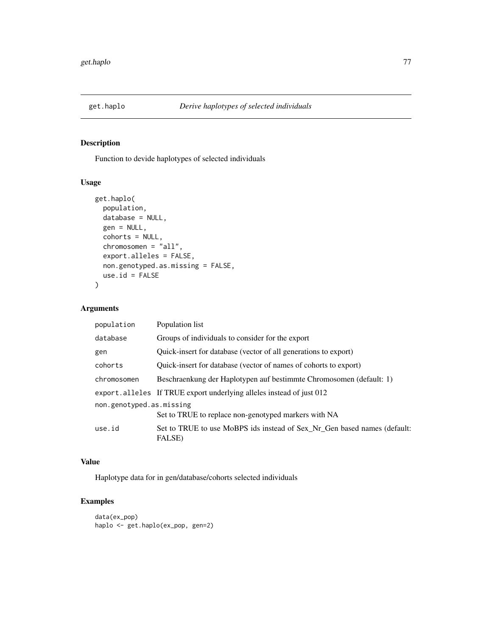Function to devide haplotypes of selected individuals

### Usage

```
get.haplo(
 population,
 database = NULL,
 gen = NULL,
  cohorts = NULL,
  chromosomen = "all",
  export.alleles = FALSE,
 non.genotyped.as.missing = FALSE,
 use.id = FALSE)
```
### Arguments

| Population list                                                                    |  |  |
|------------------------------------------------------------------------------------|--|--|
| Groups of individuals to consider for the export                                   |  |  |
| Quick-insert for database (vector of all generations to export)                    |  |  |
| Quick-insert for database (vector of names of cohorts to export)                   |  |  |
| Beschraenkung der Haplotypen auf bestimmte Chromosomen (default: 1)                |  |  |
| export.alleles If TRUE export underlying alleles instead of just 012               |  |  |
| non.genotyped.as.missing                                                           |  |  |
| Set to TRUE to replace non-genotyped markers with NA                               |  |  |
| Set to TRUE to use MoBPS ids instead of Sex_Nr_Gen based names (default:<br>FALSE) |  |  |
|                                                                                    |  |  |

#### Value

Haplotype data for in gen/database/cohorts selected individuals

```
data(ex_pop)
haplo <- get.haplo(ex_pop, gen=2)
```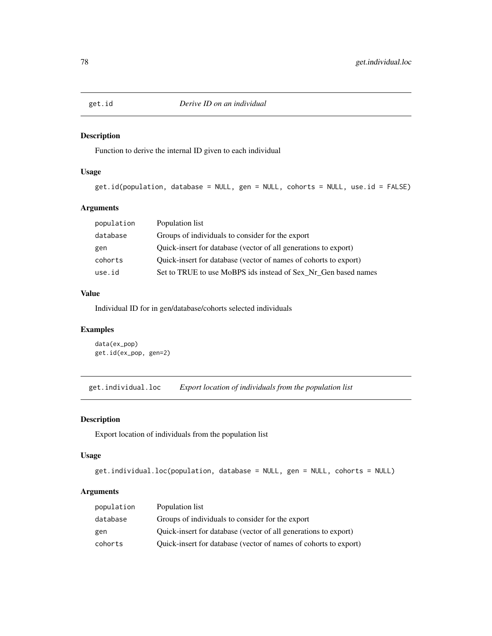Function to derive the internal ID given to each individual

### Usage

```
get.id(population, database = NULL, gen = NULL, cohorts = NULL, use.id = FALSE)
```
#### Arguments

| population | Population list                                                  |
|------------|------------------------------------------------------------------|
| database   | Groups of individuals to consider for the export                 |
| gen        | Quick-insert for database (vector of all generations to export)  |
| cohorts    | Quick-insert for database (vector of names of cohorts to export) |
| use.id     | Set to TRUE to use MoBPS ids instead of Sex_Nr_Gen based names   |
|            |                                                                  |

### Value

Individual ID for in gen/database/cohorts selected individuals

#### Examples

data(ex\_pop) get.id(ex\_pop, gen=2)

get.individual.loc *Export location of individuals from the population list*

### Description

Export location of individuals from the population list

#### Usage

```
get.individual.loc(population, database = NULL, gen = NULL, cohorts = NULL)
```

| population | Population list                                                  |
|------------|------------------------------------------------------------------|
| database   | Groups of individuals to consider for the export                 |
| gen        | Quick-insert for database (vector of all generations to export)  |
| cohorts    | Quick-insert for database (vector of names of cohorts to export) |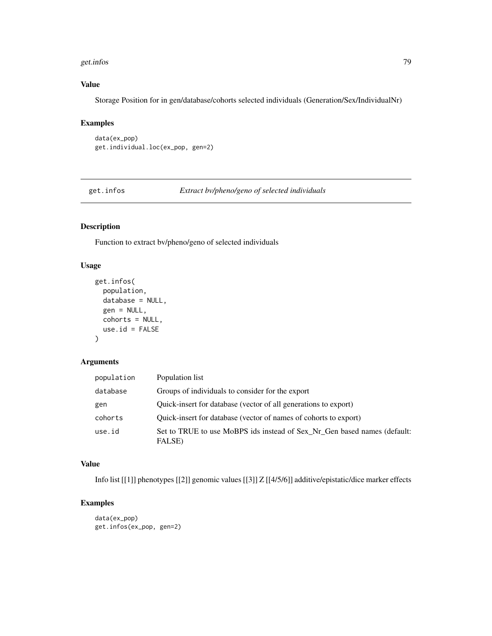#### get.infos 79

## Value

Storage Position for in gen/database/cohorts selected individuals (Generation/Sex/IndividualNr)

### Examples

data(ex\_pop) get.individual.loc(ex\_pop, gen=2)

get.infos *Extract bv/pheno/geno of selected individuals*

### Description

Function to extract bv/pheno/geno of selected individuals

#### Usage

```
get.infos(
 population,
  database = NULL,
 gen = NULL,
 cohorts = NULL,
 use.id = FALSE)
```
### Arguments

| population | Population list                                                                    |
|------------|------------------------------------------------------------------------------------|
| database   | Groups of individuals to consider for the export                                   |
| gen        | Quick-insert for database (vector of all generations to export)                    |
| cohorts    | Quick-insert for database (vector of names of cohorts to export)                   |
| use.id     | Set to TRUE to use MoBPS ids instead of Sex_Nr_Gen based names (default:<br>FALSE) |

## Value

Info list [[1]] phenotypes [[2]] genomic values [[3]] Z [[4/5/6]] additive/epistatic/dice marker effects

```
data(ex_pop)
get.infos(ex_pop, gen=2)
```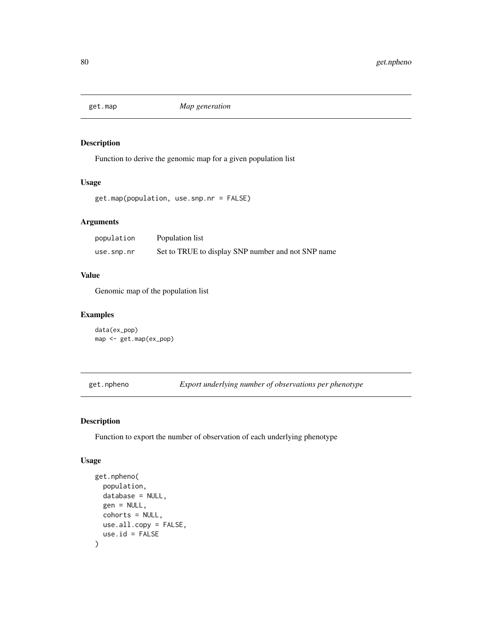Function to derive the genomic map for a given population list

#### Usage

```
get.map(population, use.snp.nr = FALSE)
```
#### Arguments

| population | Population list                                    |
|------------|----------------------------------------------------|
| use.snp.nr | Set to TRUE to display SNP number and not SNP name |

### Value

Genomic map of the population list

#### Examples

```
data(ex_pop)
map <- get.map(ex_pop)
```
get.npheno *Export underlying number of observations per phenotype*

#### Description

Function to export the number of observation of each underlying phenotype

```
get.npheno(
 population,
  database = NULL,gen = NULL,
  cohorts = NULL,
 use.all.copy = FALSE,
  use.id = FALSE\mathcal{E}
```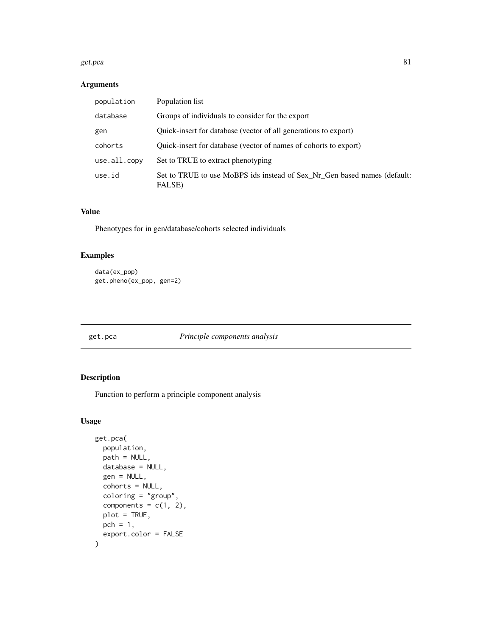#### get.pca 81

### Arguments

| population   | Population list                                                                    |
|--------------|------------------------------------------------------------------------------------|
| database     | Groups of individuals to consider for the export                                   |
| gen          | Quick-insert for database (vector of all generations to export)                    |
| cohorts      | Quick-insert for database (vector of names of cohorts to export)                   |
| use.all.copy | Set to TRUE to extract phenotyping                                                 |
| use.id       | Set to TRUE to use MoBPS ids instead of Sex Nr Gen based names (default:<br>FALSE) |

## Value

Phenotypes for in gen/database/cohorts selected individuals

### Examples

```
data(ex_pop)
get.pheno(ex_pop, gen=2)
```
get.pca *Principle components analysis*

### Description

Function to perform a principle component analysis

```
get.pca(
 population,
 path = NULL,
 database = NULL,
 gen = NULL,
 cohorts = NULL,
 coloring = "group",
  components = c(1, 2),
 plot = TRUE,
 pch = 1,
  export.color = FALSE
\mathcal{E}
```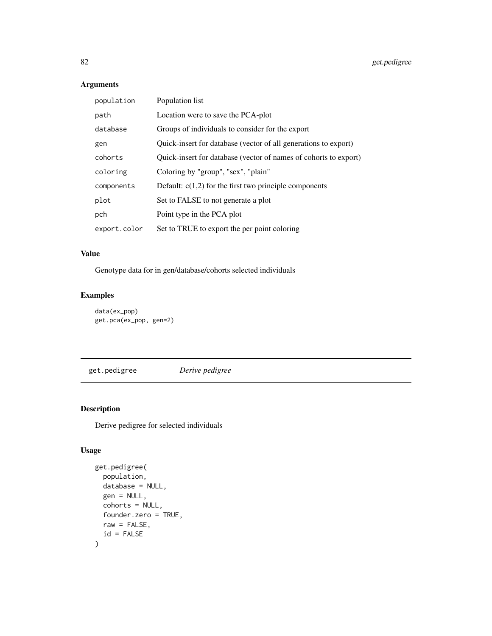## Arguments

| population   | Population list                                                  |
|--------------|------------------------------------------------------------------|
| path         | Location were to save the PCA-plot                               |
| database     | Groups of individuals to consider for the export                 |
| gen          | Quick-insert for database (vector of all generations to export)  |
| cohorts      | Quick-insert for database (vector of names of cohorts to export) |
| coloring     | Coloring by "group", "sex", "plain"                              |
| components   | Default: $c(1,2)$ for the first two principle components         |
| plot         | Set to FALSE to not generate a plot                              |
| pch          | Point type in the PCA plot                                       |
| export.color | Set to TRUE to export the per point coloring                     |

## Value

Genotype data for in gen/database/cohorts selected individuals

### Examples

```
data(ex_pop)
get.pca(ex_pop, gen=2)
```
get.pedigree *Derive pedigree*

### Description

Derive pedigree for selected individuals

```
get.pedigree(
 population,
 database = NULL,
  gen = NULL,
 cohorts = NULL,
  founder.zero = TRUE,
 raw = FALSE,id = FALSE\mathcal{E}
```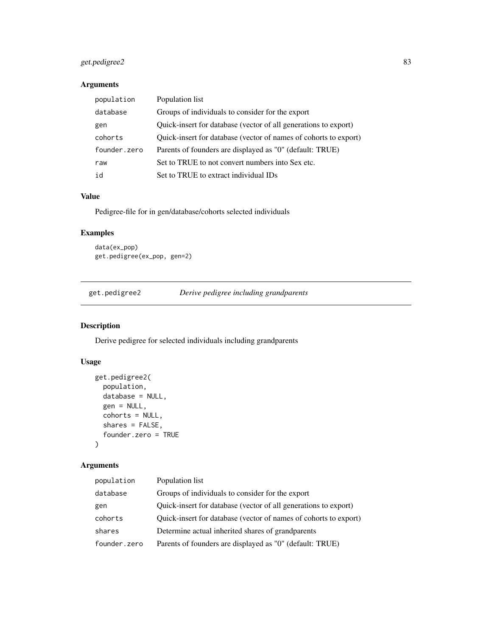### get.pedigree2 83

### Arguments

| population   | Population list                                                  |
|--------------|------------------------------------------------------------------|
| database     | Groups of individuals to consider for the export                 |
| gen          | Quick-insert for database (vector of all generations to export)  |
| cohorts      | Quick-insert for database (vector of names of cohorts to export) |
| founder.zero | Parents of founders are displayed as "0" (default: TRUE)         |
| raw          | Set to TRUE to not convert numbers into Sex etc.                 |
| id           | Set to TRUE to extract individual IDs                            |

#### Value

Pedigree-file for in gen/database/cohorts selected individuals

### Examples

```
data(ex_pop)
get.pedigree(ex_pop, gen=2)
```
get.pedigree2 *Derive pedigree including grandparents*

### Description

Derive pedigree for selected individuals including grandparents

### Usage

```
get.pedigree2(
  population,
  database = NULL,
  gen = NULL,
  cohorts = NULL,
  shares = FALSE,
  founder.zero = TRUE
\mathcal{E}
```

| population   | Population list                                                  |
|--------------|------------------------------------------------------------------|
| database     | Groups of individuals to consider for the export                 |
| gen          | Quick-insert for database (vector of all generations to export)  |
| cohorts      | Quick-insert for database (vector of names of cohorts to export) |
| shares       | Determine actual inherited shares of grandparents                |
| founder.zero | Parents of founders are displayed as "0" (default: TRUE)         |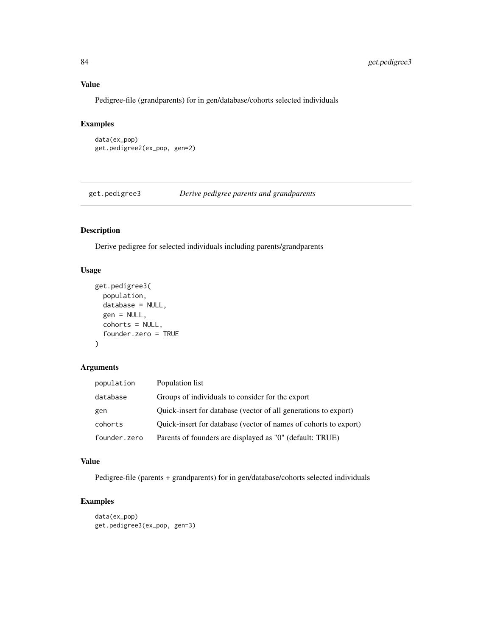### Value

Pedigree-file (grandparents) for in gen/database/cohorts selected individuals

## Examples

```
data(ex_pop)
get.pedigree2(ex_pop, gen=2)
```
get.pedigree3 *Derive pedigree parents and grandparents*

# Description

Derive pedigree for selected individuals including parents/grandparents

#### Usage

```
get.pedigree3(
 population,
 database = NULL,
 gen = NULL,
 cohorts = NULL,
  founder.zero = TRUE
)
```
#### Arguments

| population   | Population list                                                  |
|--------------|------------------------------------------------------------------|
| database     | Groups of individuals to consider for the export                 |
| gen          | Quick-insert for database (vector of all generations to export)  |
| cohorts      | Quick-insert for database (vector of names of cohorts to export) |
| founder.zero | Parents of founders are displayed as "0" (default: TRUE)         |

#### Value

Pedigree-file (parents + grandparents) for in gen/database/cohorts selected individuals

```
data(ex_pop)
get.pedigree3(ex_pop, gen=3)
```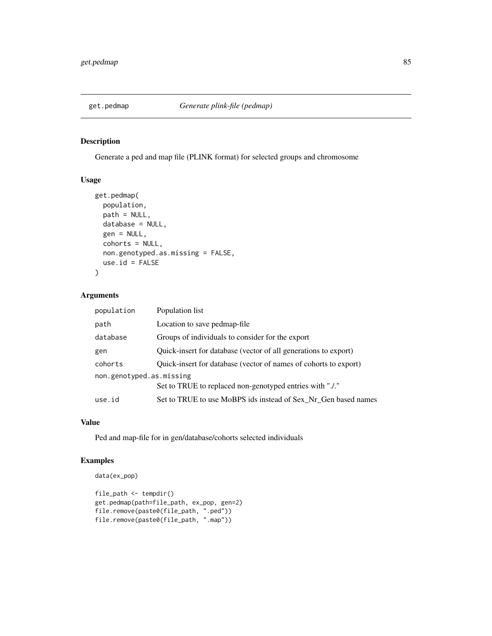Generate a ped and map file (PLINK format) for selected groups and chromosome

#### Usage

```
get.pedmap(
  population,
  path = NULL,
  database = NULL,
  gen = NULL,
  cohorts = NULL,
  non.genotyped.as.missing = FALSE,
  use.id = FALSE)
```
#### Arguments

| population               | Population list                                                  |  |
|--------------------------|------------------------------------------------------------------|--|
| path                     | Location to save pedmap-file                                     |  |
| database                 | Groups of individuals to consider for the export                 |  |
| gen                      | Quick-insert for database (vector of all generations to export)  |  |
| cohorts                  | Quick-insert for database (vector of names of cohorts to export) |  |
| non.genotyped.as.missing |                                                                  |  |
|                          | Set to TRUE to replaced non-genotyped entries with "./."         |  |
| use.id                   | Set to TRUE to use MoBPS ids instead of Sex_Nr_Gen based names   |  |
|                          |                                                                  |  |

### Value

Ped and map-file for in gen/database/cohorts selected individuals

```
data(ex_pop)
```

```
file_path <- tempdir()
get.pedmap(path=file_path, ex_pop, gen=2)
file.remove(paste0(file_path, ".ped"))
file.remove(paste0(file_path, ".map"))
```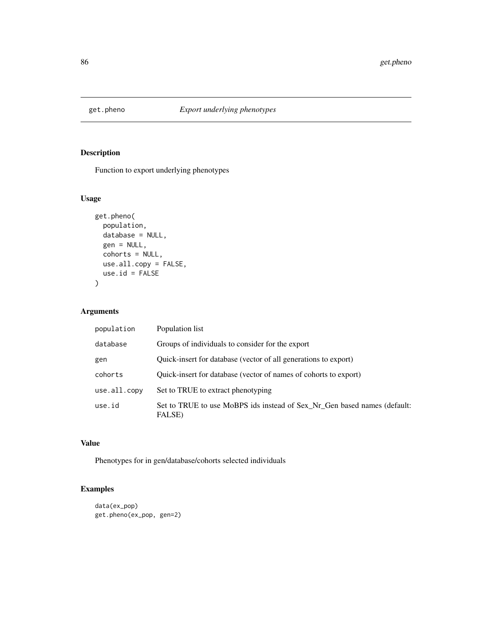Function to export underlying phenotypes

## Usage

```
get.pheno(
 population,
 database = NULL,
 gen = NULL,
 cohorts = NULL,
 use.all.copy = FALSE,
 use.id = FALSE\mathcal{L}
```
## Arguments

| population   | Population list                                                                    |
|--------------|------------------------------------------------------------------------------------|
| database     | Groups of individuals to consider for the export                                   |
| gen          | Quick-insert for database (vector of all generations to export)                    |
| cohorts      | Quick-insert for database (vector of names of cohorts to export)                   |
| use.all.copy | Set to TRUE to extract phenotyping                                                 |
| use.id       | Set to TRUE to use MoBPS ids instead of Sex Nr Gen based names (default:<br>FALSE) |

#### Value

Phenotypes for in gen/database/cohorts selected individuals

```
data(ex_pop)
get.pheno(ex_pop, gen=2)
```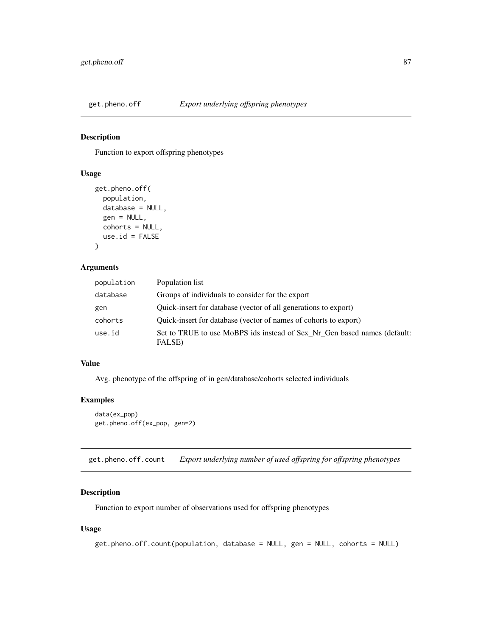Function to export offspring phenotypes

### Usage

```
get.pheno.off(
 population,
 database = NULL,
  gen = NULL,
 cohorts = NULL,
  use.id = FALSE)
```
#### Arguments

| population | Population list                                                                    |
|------------|------------------------------------------------------------------------------------|
| database   | Groups of individuals to consider for the export                                   |
| gen        | Quick-insert for database (vector of all generations to export)                    |
| cohorts    | Quick-insert for database (vector of names of cohorts to export)                   |
| use.id     | Set to TRUE to use MoBPS ids instead of Sex Nr Gen based names (default:<br>FALSE) |

## Value

Avg. phenotype of the offspring of in gen/database/cohorts selected individuals

#### Examples

```
data(ex_pop)
get.pheno.off(ex_pop, gen=2)
```
get.pheno.off.count *Export underlying number of used offspring for offspring phenotypes*

### Description

Function to export number of observations used for offspring phenotypes

```
get.pheno.off.count(population, database = NULL, gen = NULL, cohorts = NULL)
```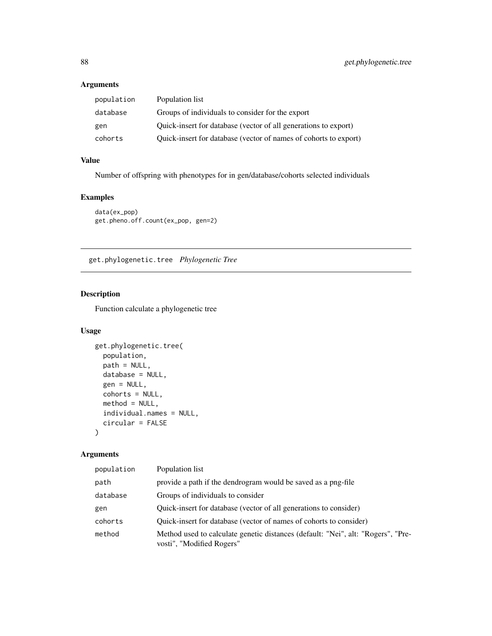### Arguments

| population | Population list                                                  |
|------------|------------------------------------------------------------------|
| database   | Groups of individuals to consider for the export                 |
| gen        | Quick-insert for database (vector of all generations to export)  |
| cohorts    | Quick-insert for database (vector of names of cohorts to export) |

## Value

Number of offspring with phenotypes for in gen/database/cohorts selected individuals

### Examples

```
data(ex_pop)
get.pheno.off.count(ex_pop, gen=2)
```
get.phylogenetic.tree *Phylogenetic Tree*

## Description

Function calculate a phylogenetic tree

## Usage

```
get.phylogenetic.tree(
 population,
 path = NULL,
 database = NULL,
 gen = NULL,
 cohorts = NULL,
 method = NULL,
 individual.names = NULL,
  circular = FALSE
\mathcal{E}
```

| population | Population list                                                                                               |
|------------|---------------------------------------------------------------------------------------------------------------|
| path       | provide a path if the dendrogram would be saved as a png-file                                                 |
| database   | Groups of individuals to consider                                                                             |
| gen        | Quick-insert for database (vector of all generations to consider)                                             |
| cohorts    | Quick-insert for database (vector of names of cohorts to consider)                                            |
| method     | Method used to calculate genetic distances (default: "Nei", alt: "Rogers", "Pre-<br>vosti", "Modified Rogers" |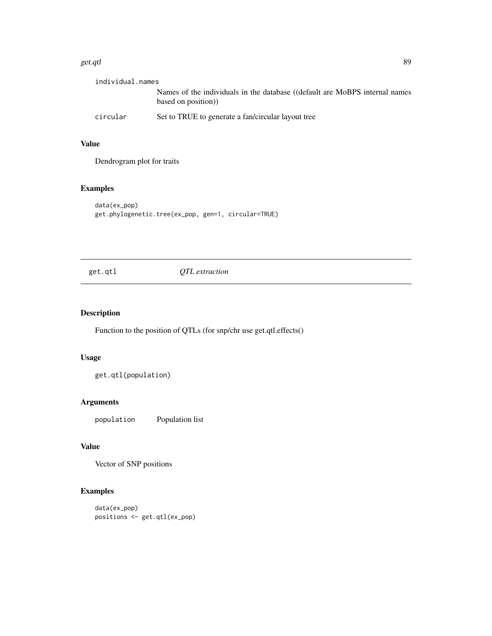#### get.qtl 89

| individual.names |                                                                                                   |
|------------------|---------------------------------------------------------------------------------------------------|
|                  | Names of the individuals in the database ((default are MoBPS internal names<br>based on position) |
| circular         | Set to TRUE to generate a fan/circular layout tree                                                |

### Value

Dendrogram plot for traits

### Examples

```
data(ex_pop)
get.phylogenetic.tree(ex_pop, gen=1, circular=TRUE)
```
get.qtl *QTL extraction*

## Description

Function to the position of QTLs (for snp/chr use get.qtl.effects()

## Usage

get.qtl(population)

### Arguments

population Population list

# Value

Vector of SNP positions

```
data(ex_pop)
positions <- get.qtl(ex_pop)
```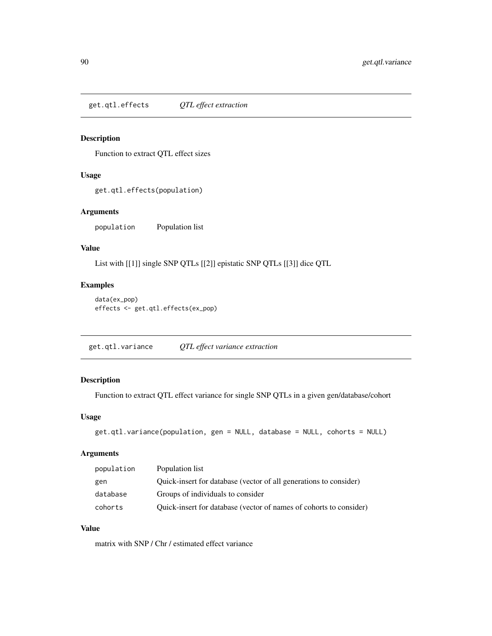get.qtl.effects *QTL effect extraction*

### Description

Function to extract QTL effect sizes

### Usage

get.qtl.effects(population)

## Arguments

population Population list

#### Value

List with [[1]] single SNP QTLs [[2]] epistatic SNP QTLs [[3]] dice QTL

### Examples

```
data(ex_pop)
effects <- get.qtl.effects(ex_pop)
```
get.qtl.variance *QTL effect variance extraction*

## Description

Function to extract QTL effect variance for single SNP QTLs in a given gen/database/cohort

#### Usage

```
get.qtl.variance(population, gen = NULL, database = NULL, cohorts = NULL)
```
#### Arguments

| population | Population list                                                    |
|------------|--------------------------------------------------------------------|
| gen        | Quick-insert for database (vector of all generations to consider)  |
| database   | Groups of individuals to consider                                  |
| cohorts    | Quick-insert for database (vector of names of cohorts to consider) |

### Value

matrix with SNP / Chr / estimated effect variance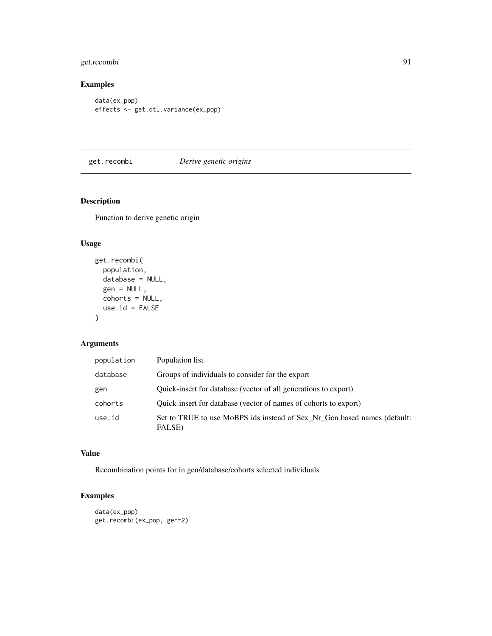## get.recombi 91

## Examples

```
data(ex_pop)
effects <- get.qtl.variance(ex_pop)
```
### get.recombi *Derive genetic origins*

## Description

Function to derive genetic origin

#### Usage

```
get.recombi(
 population,
 database = NULL,
 gen = NULL,
 cohorts = NULL,
 use.id = FALSE)
```
### Arguments

| population | Population list                                                                    |
|------------|------------------------------------------------------------------------------------|
| database   | Groups of individuals to consider for the export                                   |
| gen        | Quick-insert for database (vector of all generations to export)                    |
| cohorts    | Quick-insert for database (vector of names of cohorts to export)                   |
| use.id     | Set to TRUE to use MoBPS ids instead of Sex_Nr_Gen based names (default:<br>FALSE) |

### Value

Recombination points for in gen/database/cohorts selected individuals

```
data(ex_pop)
get.recombi(ex_pop, gen=2)
```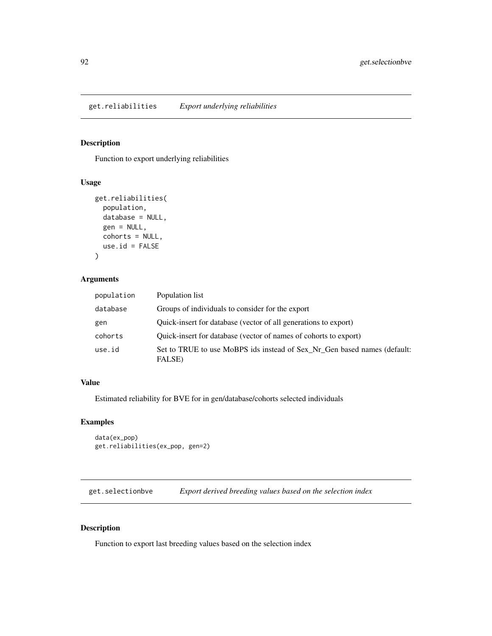get.reliabilities *Export underlying reliabilities*

#### Description

Function to export underlying reliabilities

#### Usage

```
get.reliabilities(
  population,
  database = NULL,
  gen = NULL,
  cohorts = NULL,
  use.id = FALSE\mathcal{E}
```
### Arguments

| population | Population list                                                                    |
|------------|------------------------------------------------------------------------------------|
| database   | Groups of individuals to consider for the export                                   |
| gen        | Quick-insert for database (vector of all generations to export)                    |
| cohorts    | Quick-insert for database (vector of names of cohorts to export)                   |
| use.id     | Set to TRUE to use MoBPS ids instead of Sex_Nr_Gen based names (default:<br>FALSE) |

### Value

Estimated reliability for BVE for in gen/database/cohorts selected individuals

### Examples

```
data(ex_pop)
get.reliabilities(ex_pop, gen=2)
```
get.selectionbve *Export derived breeding values based on the selection index*

### Description

Function to export last breeding values based on the selection index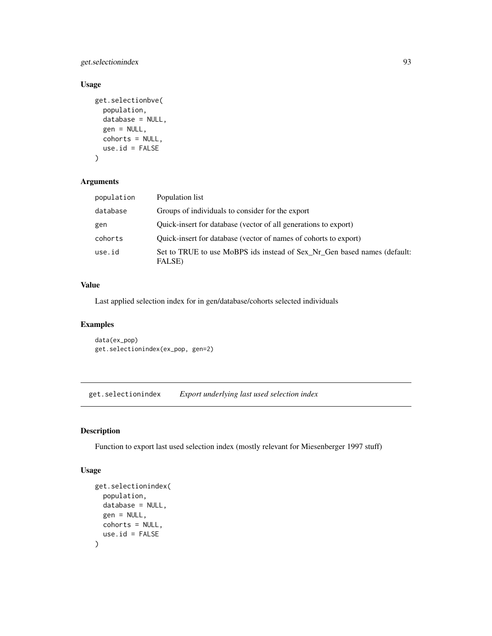get.selectionindex 93

#### Usage

```
get.selectionbve(
 population,
  database = NULL,
  gen = NULL,
 cohorts = NULL,
  use.id = FALSE)
```
### Arguments

| population | Population list                                                                    |
|------------|------------------------------------------------------------------------------------|
| database   | Groups of individuals to consider for the export                                   |
| gen        | Quick-insert for database (vector of all generations to export)                    |
| cohorts    | Quick-insert for database (vector of names of cohorts to export)                   |
| use.id     | Set to TRUE to use MoBPS ids instead of Sex_Nr_Gen based names (default:<br>FALSE) |

#### Value

Last applied selection index for in gen/database/cohorts selected individuals

### Examples

```
data(ex_pop)
get.selectionindex(ex_pop, gen=2)
```
get.selectionindex *Export underlying last used selection index*

### Description

Function to export last used selection index (mostly relevant for Miesenberger 1997 stuff)

```
get.selectionindex(
 population,
 database = NULL,
 gen = NULL,
 cohorts = NULL,
 use.id = FALSE)
```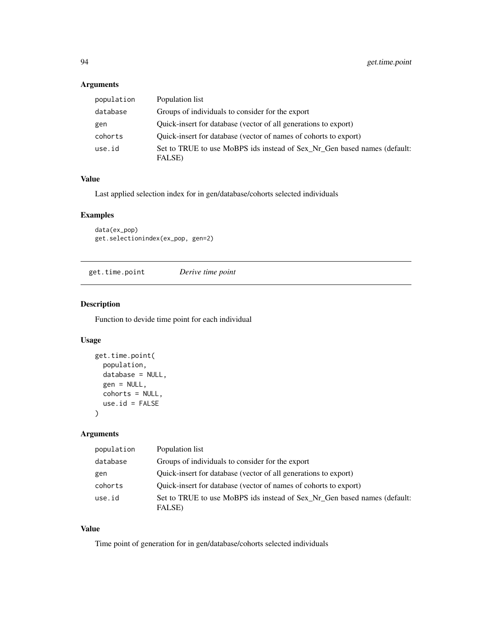### Arguments

| population | Population list                                                                    |
|------------|------------------------------------------------------------------------------------|
| database   | Groups of individuals to consider for the export                                   |
| gen        | Quick-insert for database (vector of all generations to export)                    |
| cohorts    | Quick-insert for database (vector of names of cohorts to export)                   |
| use.id     | Set to TRUE to use MoBPS ids instead of Sex_Nr_Gen based names (default:<br>FALSE) |

### Value

Last applied selection index for in gen/database/cohorts selected individuals

### Examples

data(ex\_pop) get.selectionindex(ex\_pop, gen=2)

get.time.point *Derive time point*

### Description

Function to devide time point for each individual

#### Usage

```
get.time.point(
 population,
 database = NULL,
 gen = NULL,
 cohorts = NULL,
 use.id = FALSE)
```
### Arguments

| population | Population list                                                                    |
|------------|------------------------------------------------------------------------------------|
| database   | Groups of individuals to consider for the export                                   |
| gen        | Quick-insert for database (vector of all generations to export)                    |
| cohorts    | Quick-insert for database (vector of names of cohorts to export)                   |
| use.id     | Set to TRUE to use MoBPS ids instead of Sex_Nr_Gen based names (default:<br>FALSE) |

#### Value

Time point of generation for in gen/database/cohorts selected individuals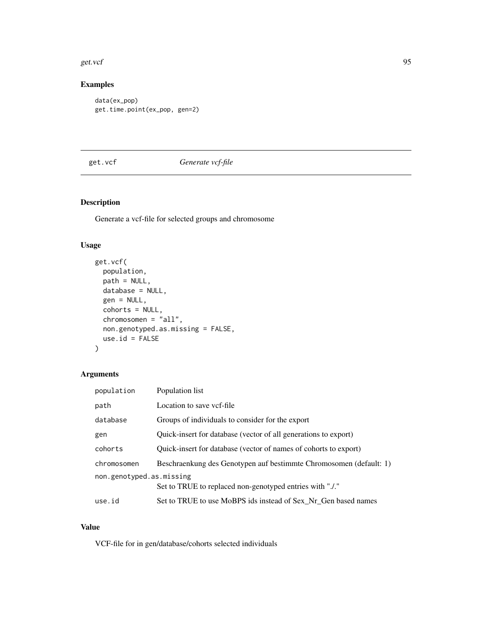#### get.vcf 95

## Examples

```
data(ex_pop)
get.time.point(ex_pop, gen=2)
```
### get.vcf *Generate vcf-file*

### Description

Generate a vcf-file for selected groups and chromosome

### Usage

```
get.vcf(
 population,
 path = NULL,
 database = NULL,
  gen = NULL,
  cohorts = NULL,
  chromosomen = "all",
 non.genotyped.as.missing = FALSE,
 use.id = FALSE)
```
### Arguments

| population                                                                           | Population list                                                    |
|--------------------------------------------------------------------------------------|--------------------------------------------------------------------|
| path                                                                                 | Location to save vcf-file                                          |
| database                                                                             | Groups of individuals to consider for the export                   |
| gen                                                                                  | Quick-insert for database (vector of all generations to export)    |
| cohorts                                                                              | Quick-insert for database (vector of names of cohorts to export)   |
| chromosomen                                                                          | Beschraenkung des Genotypen auf bestimmte Chromosomen (default: 1) |
| non.genotyped.as.missing<br>Set to TRUE to replaced non-genotyped entries with "./." |                                                                    |
| use.id                                                                               | Set to TRUE to use MoBPS ids instead of Sex_Nr_Gen based names     |

## Value

VCF-file for in gen/database/cohorts selected individuals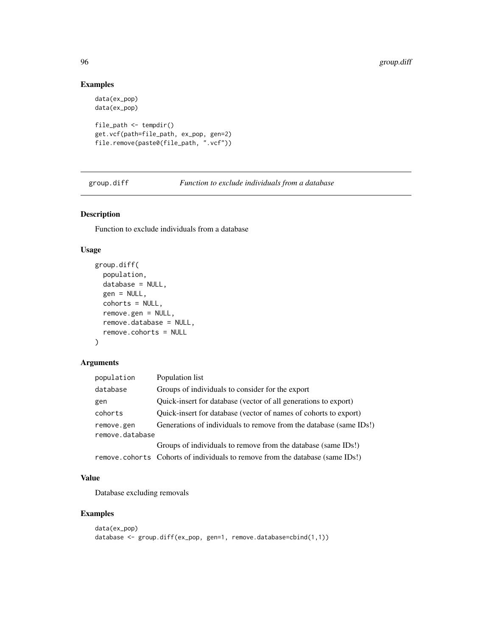### Examples

```
data(ex_pop)
data(ex_pop)
file_path <- tempdir()
get.vcf(path=file_path, ex_pop, gen=2)
file.remove(paste0(file_path, ".vcf"))
```
group.diff *Function to exclude individuals from a database*

### Description

Function to exclude individuals from a database

#### Usage

```
group.diff(
  population,
  database = NULL,
  gen = NULL,
  cohorts = NULL,
  remove.gen = NULL,
  remove.database = NULL,
  remove.cohorts = NULL
)
```
### Arguments

| population      | Population list                                                               |
|-----------------|-------------------------------------------------------------------------------|
| database        | Groups of individuals to consider for the export                              |
| gen             | Quick-insert for database (vector of all generations to export)               |
| cohorts         | Quick-insert for database (vector of names of cohorts to export)              |
| remove.gen      | Generations of individuals to remove from the database (same IDs!)            |
| remove.database |                                                                               |
|                 | Groups of individuals to remove from the database (same IDs!)                 |
|                 | remove.cohorts Cohorts of individuals to remove from the database (same IDs!) |

## Value

Database excluding removals

```
data(ex_pop)
database <- group.diff(ex_pop, gen=1, remove.database=cbind(1,1))
```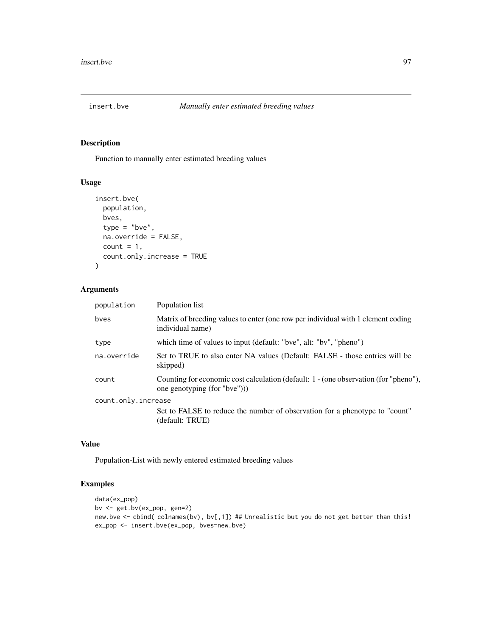Function to manually enter estimated breeding values

#### Usage

```
insert.bve(
 population,
 bves,
  type = "bve",
  na.override = FALSE,
 count = 1,
  count.only.increase = TRUE
\mathcal{L}
```
### Arguments

| population          | Population list                                                                                                     |
|---------------------|---------------------------------------------------------------------------------------------------------------------|
| byes                | Matrix of breeding values to enter (one row per individual with 1 element coding<br>individual name)                |
| type                | which time of values to input (default: "bve", alt: "bv", "pheno")                                                  |
| na.override         | Set to TRUE to also enter NA values (Default: FALSE - those entries will be<br>skipped)                             |
| count               | Counting for economic cost calculation (default: 1 - (one observation (for "pheno"),<br>one genotyping (for "bve")) |
| count.only.increase |                                                                                                                     |
|                     | Set to FALSE to reduce the number of observation for a phenotype to "count"<br>(default: TRUE)                      |

#### Value

Population-List with newly entered estimated breeding values

```
data(ex_pop)
bv <- get.bv(ex_pop, gen=2)
new.bve <- cbind( colnames(bv), bv[,1]) ## Unrealistic but you do not get better than this!
ex_pop <- insert.bve(ex_pop, bves=new.bve)
```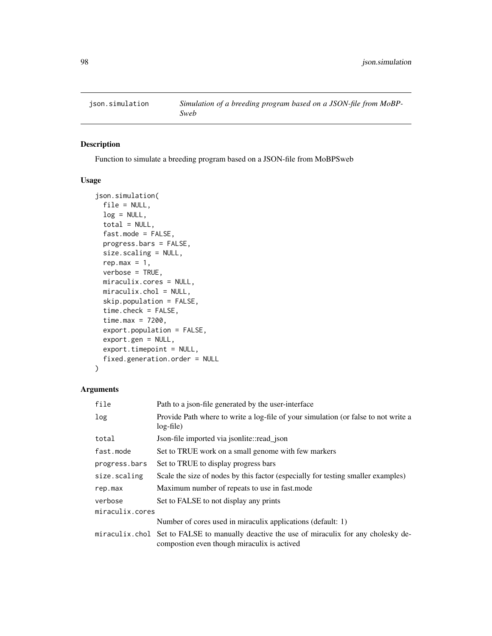Function to simulate a breeding program based on a JSON-file from MoBPSweb

### Usage

```
json.simulation(
 file = NULL,
  log = NULL,total = NULL,fast.mode = FALSE,
 progress.bars = FALSE,
  size.scaling = NULL,
  rep.max = 1,
 verbose = TRUE,
 miraculix.cores = NULL,
 miraculix.chol = NULL,
  skip.population = FALSE,
  time.check = FALSE,
  time.max = 7200,
  export.population = FALSE,
  export.gen = NULL,
  export.timepoint = NULL,
  fixed.generation.order = NULL
)
```

| file            | Path to a json-file generated by the user-interface                                                                                       |  |
|-----------------|-------------------------------------------------------------------------------------------------------------------------------------------|--|
| log             | Provide Path where to write a log-file of your simulation (or false to not write a<br>$log$ -file)                                        |  |
| total           | Json-file imported via ison lite: read json                                                                                               |  |
| fast.mode       | Set to TRUE work on a small genome with few markers                                                                                       |  |
| progress.bars   | Set to TRUE to display progress bars                                                                                                      |  |
| size.scaling    | Scale the size of nodes by this factor (especially for testing smaller examples)                                                          |  |
| rep.max         | Maximum number of repeats to use in fast mode                                                                                             |  |
| verbose         | Set to FALSE to not display any prints                                                                                                    |  |
| miraculix.cores |                                                                                                                                           |  |
|                 | Number of cores used in miraculix applications (default: 1)                                                                               |  |
|                 | miraculix chol Set to FALSE to manually deactive the use of miraculix for any cholesky de-<br>compostion even though miraculix is actived |  |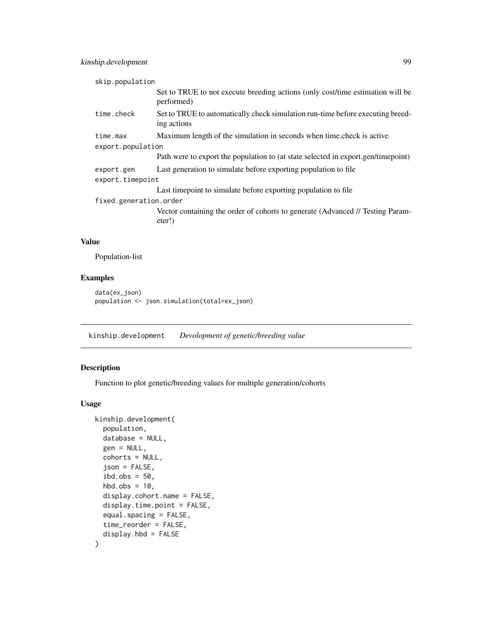## kinship.development 99

| skip.population        |                                                                                               |  |
|------------------------|-----------------------------------------------------------------------------------------------|--|
|                        | Set to TRUE to not execute breeding actions (only cost/time estimation will be<br>performed)  |  |
| time.check             | Set to TRUE to automatically check simulation run-time before executing breed-<br>ing actions |  |
| time.max               | Maximum length of the simulation in seconds when time check is active                         |  |
| export.population      |                                                                                               |  |
|                        | Path were to export the population to (at state selected in export.gen/timepoint)             |  |
| export.gen             | Last generation to simulate before exporting population to file                               |  |
| export.timepoint       |                                                                                               |  |
|                        | Last time point to simulate before exporting population to file                               |  |
| fixed.generation.order |                                                                                               |  |
|                        | Vector containing the order of cohorts to generate (Advanced // Testing Param-<br>eter!)      |  |

#### Value

Population-list

### Examples

```
data(ex_json)
population <- json.simulation(total=ex_json)
```
kinship.development *Devolopment of genetic/breeding value*

#### Description

Function to plot genetic/breeding values for multiple generation/cohorts

```
kinship.development(
 population,
  database = NULL,
 gen = NULL,
  cohorts = NULL,
  json = FALSE,
  ibd.obs = 50,
  hbd.obs = 10,
  display.cohort.name = FALSE,
  display.time.point = FALSE,
  equal.spacing = FALSE,
  time_reorder = FALSE,
  display.hbd = FALSE
\mathcal{E}
```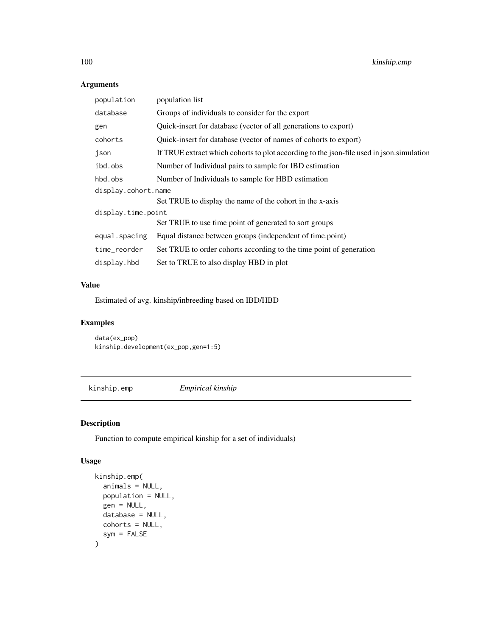## Arguments

| population          | population list                                                                          |  |
|---------------------|------------------------------------------------------------------------------------------|--|
| database            | Groups of individuals to consider for the export                                         |  |
| gen                 | Quick-insert for database (vector of all generations to export)                          |  |
| cohorts             | Quick-insert for database (vector of names of cohorts to export)                         |  |
| json                | If TRUE extract which cohorts to plot according to the json-file used in json simulation |  |
| ibd.obs             | Number of Individual pairs to sample for IBD estimation                                  |  |
| hbd.obs             | Number of Individuals to sample for HBD estimation                                       |  |
| display.cohort.name |                                                                                          |  |
|                     | Set TRUE to display the name of the cohort in the x-axis                                 |  |
| display.time.point  |                                                                                          |  |
|                     | Set TRUE to use time point of generated to sort groups                                   |  |
| equal.spacing       | Equal distance between groups (independent of time.point)                                |  |
| time_reorder        | Set TRUE to order cohorts according to the time point of generation                      |  |
| display.hbd         | Set to TRUE to also display HBD in plot                                                  |  |

### Value

Estimated of avg. kinship/inbreeding based on IBD/HBD

## Examples

data(ex\_pop) kinship.development(ex\_pop,gen=1:5)

kinship.emp *Empirical kinship*

### Description

Function to compute empirical kinship for a set of individuals)

```
kinship.emp(
  animals = NULL,
  population = NULL,
  gen = NULL,
  database = NULL,
  cohorts = NULL,
  sym = FALSE
\mathcal{E}
```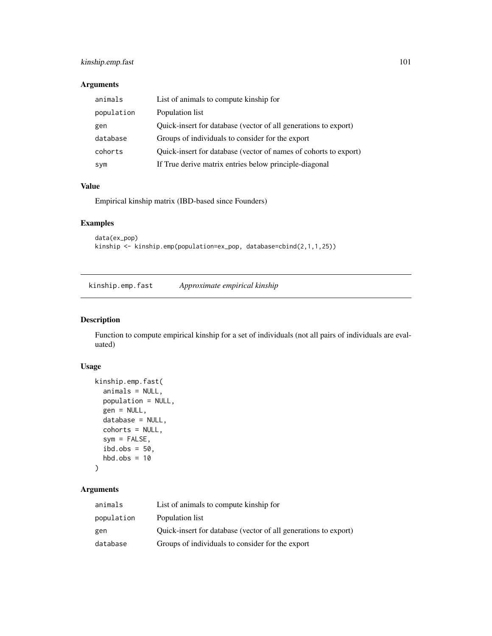### kinship.emp.fast 101

### Arguments

| animals    | List of animals to compute kinship for                           |
|------------|------------------------------------------------------------------|
| population | Population list                                                  |
| gen        | Quick-insert for database (vector of all generations to export)  |
| database   | Groups of individuals to consider for the export                 |
| cohorts    | Quick-insert for database (vector of names of cohorts to export) |
| sym        | If True derive matrix entries below principle-diagonal           |

### Value

Empirical kinship matrix (IBD-based since Founders)

### Examples

```
data(ex_pop)
kinship <- kinship.emp(population=ex_pop, database=cbind(2,1,1,25))
```
kinship.emp.fast *Approximate empirical kinship*

#### Description

Function to compute empirical kinship for a set of individuals (not all pairs of individuals are evaluated)

#### Usage

```
kinship.emp.fast(
  animals = NULL,
 population = NULL,
 gen = NULL,
 database = NULL,
  cohorts = NULL,
  sym = FALSE,
  ibd.obs = 50,
  hbd.obs = 10)
```

| animals    | List of animals to compute kinship for                          |
|------------|-----------------------------------------------------------------|
| population | Population list                                                 |
| gen        | Quick-insert for database (vector of all generations to export) |
| database   | Groups of individuals to consider for the export                |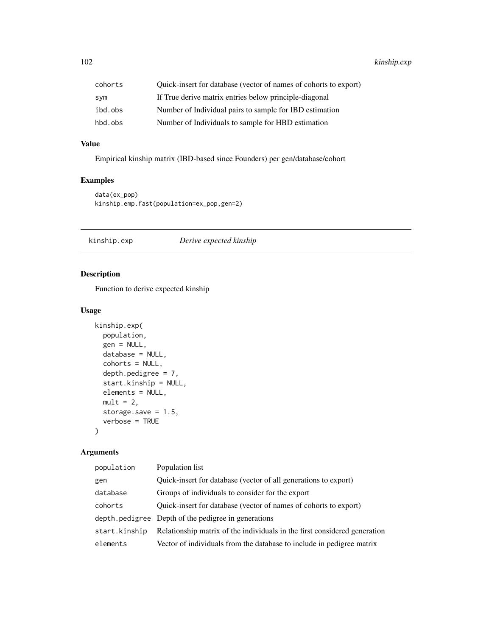| cohorts | Quick-insert for database (vector of names of cohorts to export) |
|---------|------------------------------------------------------------------|
| sym     | If True derive matrix entries below principle-diagonal           |
| ibd.obs | Number of Individual pairs to sample for IBD estimation          |
| hbd.obs | Number of Individuals to sample for HBD estimation               |

#### Value

Empirical kinship matrix (IBD-based since Founders) per gen/database/cohort

### Examples

```
data(ex_pop)
kinship.emp.fast(population=ex_pop,gen=2)
```
kinship.exp *Derive expected kinship*

### Description

Function to derive expected kinship

#### Usage

```
kinship.exp(
  population,
  gen = NULL,
  database = NULL,
  cohorts = NULL,
  depth.pedigree = 7,
  start.kinship = NULL,
 elements = NULL,
 mult = 2,
  storage.save = 1.5,
  verbose = TRUE
\mathcal{E}
```

| population    | Population list                                                           |
|---------------|---------------------------------------------------------------------------|
| gen           | Quick-insert for database (vector of all generations to export)           |
| database      | Groups of individuals to consider for the export                          |
| cohorts       | Quick-insert for database (vector of names of cohorts to export)          |
|               | depth pedigree Depth of the pedigree in generations                       |
| start.kinship | Relationship matrix of the individuals in the first considered generation |
| elements      | Vector of individuals from the database to include in pedigree matrix     |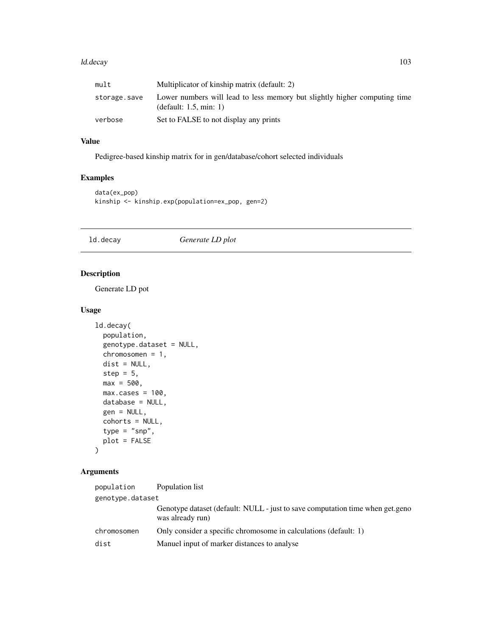#### ld.decay and the contract of the contract of the contract of the contract of the contract of the contract of the contract of the contract of the contract of the contract of the contract of the contract of the contract of t

| mult         | Multiplicator of kinship matrix (default: 2)                                                           |
|--------------|--------------------------------------------------------------------------------------------------------|
| storage.save | Lower numbers will lead to less memory but slightly higher computing time<br>(default: $1.5$ , min: 1) |
| verbose      | Set to FALSE to not display any prints                                                                 |

# Value

Pedigree-based kinship matrix for in gen/database/cohort selected individuals

### Examples

```
data(ex_pop)
kinship <- kinship.exp(population=ex_pop, gen=2)
```
ld.decay *Generate LD plot*

### Description

Generate LD pot

#### Usage

```
ld.decay(
 population,
  genotype.dataset = NULL,
 chromosomen = 1,
 dist = NULL,step = 5,
 max = 500,max.class = 100,database = NULL,
 gen = NULL,
 cohorts = NULL,
  type = "snp",
 plot = FALSE
)
```

| population       | Population list                                                                                   |  |
|------------------|---------------------------------------------------------------------------------------------------|--|
| genotype.dataset |                                                                                                   |  |
|                  | Genotype dataset (default: NULL - just to save computation time when get.geno<br>was already run) |  |
| chromosomen      | Only consider a specific chromosome in calculations (default: 1)                                  |  |
| dist             | Manuel input of marker distances to analyse                                                       |  |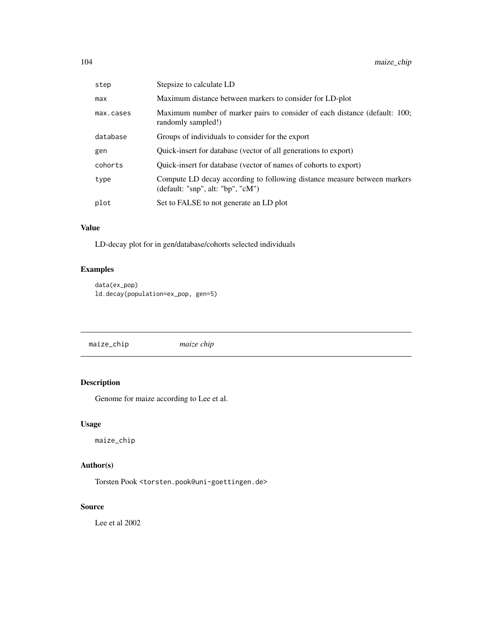| step      | Stepsize to calculate LD                                                                                          |
|-----------|-------------------------------------------------------------------------------------------------------------------|
| max       | Maximum distance between markers to consider for LD-plot                                                          |
| max.cases | Maximum number of marker pairs to consider of each distance (default: 100;<br>randomly sampled!)                  |
| database  | Groups of individuals to consider for the export                                                                  |
| gen       | Quick-insert for database (vector of all generations to export)                                                   |
| cohorts   | Quick-insert for database (vector of names of cohorts to export)                                                  |
| type      | Compute LD decay according to following distance measure between markers<br>(default: "snp", alt: "bp", "c $M$ ") |
| plot      | Set to FALSE to not generate an LD plot                                                                           |
|           |                                                                                                                   |

## Value

LD-decay plot for in gen/database/cohorts selected individuals

## Examples

```
data(ex_pop)
ld.decay(population=ex_pop, gen=5)
```
maize\_chip *maize chip*

# Description

Genome for maize according to Lee et al.

## Usage

maize\_chip

## Author(s)

Torsten Pook <torsten.pook@uni-goettingen.de>

#### Source

Lee et al 2002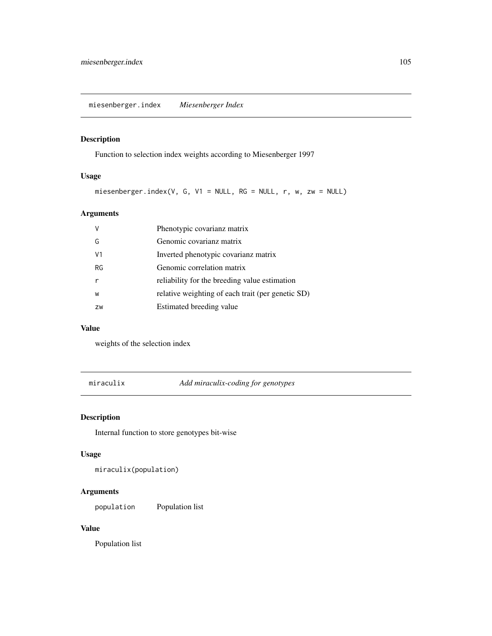miesenberger.index *Miesenberger Index*

### Description

Function to selection index weights according to Miesenberger 1997

### Usage

miesenberger.index(V, G, V1 = NULL, RG = NULL, r, w, zw = NULL)

### Arguments

| V  | Phenotypic covarianz matrix                       |
|----|---------------------------------------------------|
| G  | Genomic covarianz matrix                          |
| V1 | Inverted phenotypic covarianz matrix              |
| RG | Genomic correlation matrix                        |
|    | reliability for the breeding value estimation     |
| W  | relative weighting of each trait (per genetic SD) |
| ZW | Estimated breeding value                          |

#### Value

weights of the selection index

miraculix *Add miraculix-coding for genotypes*

### Description

Internal function to store genotypes bit-wise

### Usage

miraculix(population)

# Arguments

population Population list

#### Value

Population list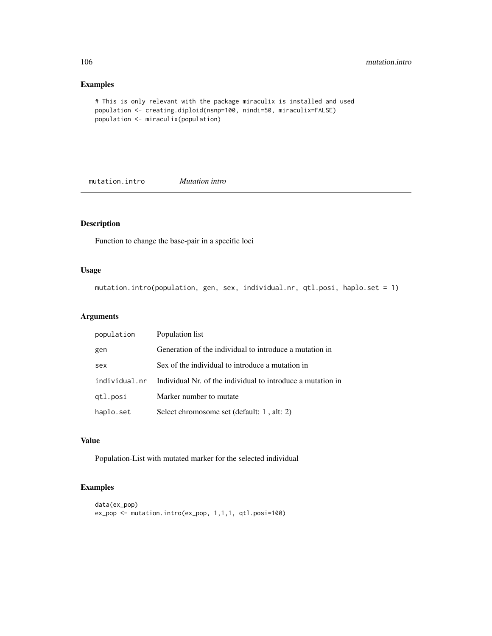#### Examples

```
# This is only relevant with the package miraculix is installed and used
population <- creating.diploid(nsnp=100, nindi=50, miraculix=FALSE)
population <- miraculix(population)
```
mutation.intro *Mutation intro*

### Description

Function to change the base-pair in a specific loci

#### Usage

mutation.intro(population, gen, sex, individual.nr, qtl.posi, haplo.set = 1)

### Arguments

| population    | Population list                                             |
|---------------|-------------------------------------------------------------|
| gen           | Generation of the individual to introduce a mutation in     |
| sex           | Sex of the individual to introduce a mutation in            |
| individual nr | Individual Nr. of the individual to introduce a mutation in |
| gtl.posi      | Marker number to mutate                                     |
| haplo.set     | Select chromosome set (default: 1, alt: 2)                  |

#### Value

Population-List with mutated marker for the selected individual

```
data(ex_pop)
ex_pop <- mutation.intro(ex_pop, 1,1,1, qtl.posi=100)
```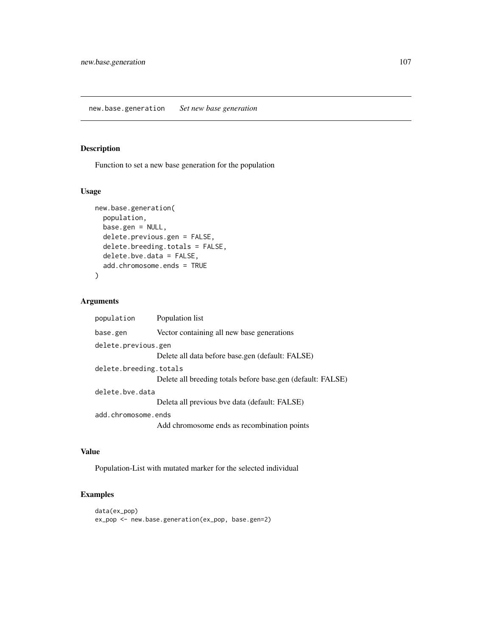Function to set a new base generation for the population

new.base.generation *Set new base generation*

### Usage

```
new.base.generation(
 population,
 base.gen = NULL,
  delete.previous.gen = FALSE,
  delete.breeding.totals = FALSE,
  delete.bve.data = FALSE,
  add.chromosome.ends = TRUE
\mathcal{E}
```
#### Arguments

| population             | Population list                                             |
|------------------------|-------------------------------------------------------------|
| base.gen               | Vector containing all new base generations                  |
| delete.previous.gen    |                                                             |
|                        | Delete all data before base.gen (default: FALSE)            |
| delete.breeding.totals |                                                             |
|                        | Delete all breeding totals before base.gen (default: FALSE) |
| delete.bve.data        |                                                             |
|                        | Deleta all previous bve data (default: FALSE)               |
| add.chromosome.ends    |                                                             |
|                        | Add chromosome ends as recombination points                 |

### Value

Population-List with mutated marker for the selected individual

```
data(ex_pop)
ex_pop <- new.base.generation(ex_pop, base.gen=2)
```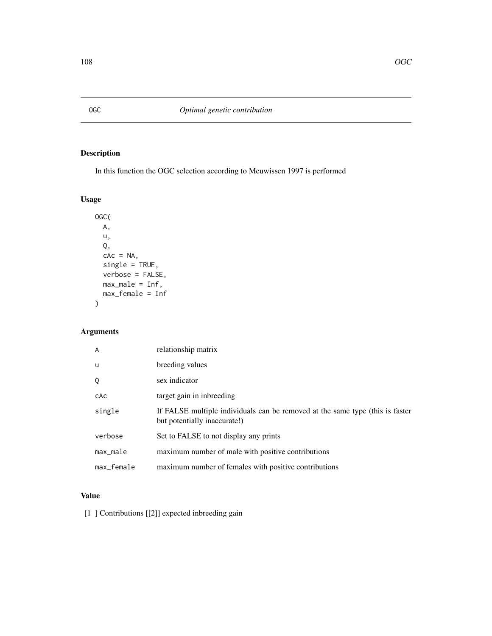In this function the OGC selection according to Meuwissen 1997 is performed

## Usage

```
OGC(
 A,
 u,
 Q,
 cAc = NA,
 single = TRUE,
 verbose = FALSE,
 max_male = Inf,
 max_female = Inf
)
```
# Arguments

| $\overline{A}$ | relationship matrix                                                                                           |
|----------------|---------------------------------------------------------------------------------------------------------------|
| u              | breeding values                                                                                               |
| Q              | sex indicator                                                                                                 |
| cAc            | target gain in inbreeding                                                                                     |
| single         | If FALSE multiple individuals can be removed at the same type (this is faster<br>but potentially inaccurate!) |
| verbose        | Set to FALSE to not display any prints                                                                        |
| $max_male$     | maximum number of male with positive contributions                                                            |
| max_female     | maximum number of females with positive contributions                                                         |

# Value

[1 ] Contributions [[2]] expected inbreeding gain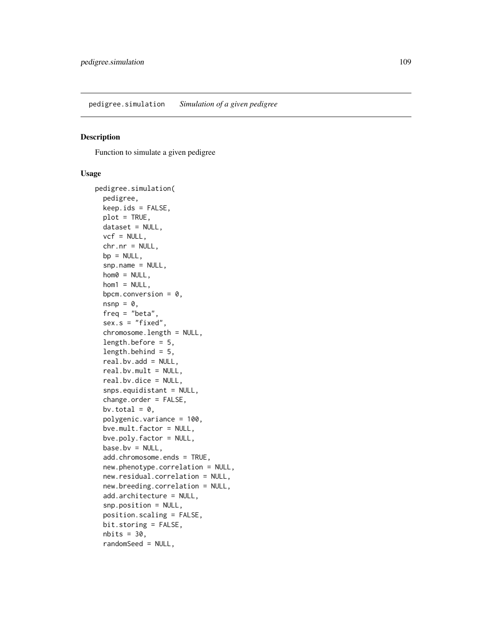#### <span id="page-108-0"></span>Description

Function to simulate a given pedigree

#### Usage

```
pedigree.simulation(
  pedigree,
  keep.ids = FALSE,plot = TRUE,
  dataset = NULL,
  vcf = NULL,chr.nr = NULL,
 bp = NULL,snp.name = NULL,
  hom0 = NULL,hom1 = NULL,bpcm.conversion = 0,
  nsnp = \emptyset,
  freq = "beta",
  sex.s = "fixed",chromosome.length = NULL,
  length.before = 5,
  length.behind = 5,
  real.bv.add = NULL,
  real.bv.mult = NULL,
  real.bv.dice = NULL,
  snps.equidistant = NULL,
  change.order = FALSE,
  bv.total = 0,
  polygenic.variance = 100,
  bve.mult.factor = NULL,
  bve.poly.factor = NULL,
 base.bv = NULL,add.chromosome.ends = TRUE,
  new.phenotype.correlation = NULL,
  new.residual.correlation = NULL,
  new.breeding.correlation = NULL,
  add.architecture = NULL,
  snp.position = NULL,
  position.scaling = FALSE,
 bit.storing = FALSE,
  nbits = 30,randomSeed = NULL,
```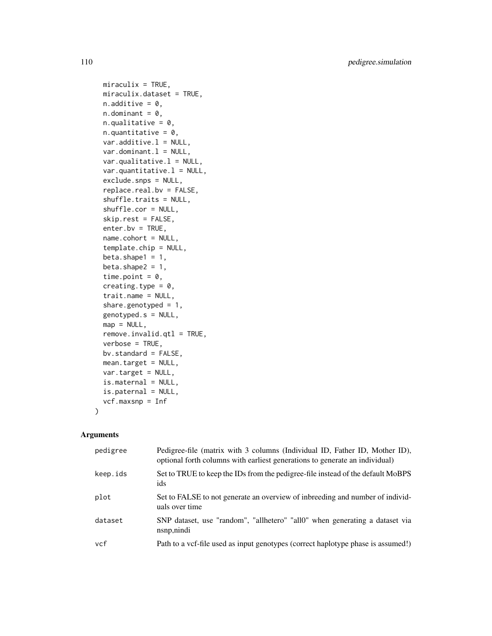```
miraculix = TRUE,
miraculix.dataset = TRUE,
n.additive = 0,
n.dominant = 0,
n.qualitative = 0,
n.quantitative = 0,
var.additive.1 = NULL,var.dominant.l = NULL,var.quitative.l = NULL,var.quantitative.l = NULL,exclude.snps = NULL,
replace.real.bv = FALSE,
shuffle.traits = NULL,
shuffle.cor = NULL,
skip.rest = FALSE,
enter.bv = TRUE,name.cohort = NULL,
template.chip = NULL,
beta.shape1 = 1,
beta.shape2 = 1,
time.point = 0,
creating.type = 0,
trait.name = NULL,
share.genotyped = 1,
genotyped.s = NULL,
map = NULL,remove.invalid.qtl = TRUE,
verbose = TRUE,
bv.standard = FALSE,
mean.target = NULL,
var.target = NULL,
is.maternal = NULL,
is.paternal = NULL,
vcf.maxsnp = Inf
```
#### Arguments

 $\mathcal{L}$ 

| pedigree | Pedigree-file (matrix with 3 columns (Individual ID, Father ID, Mother ID),<br>optional forth columns with earliest generations to generate an individual) |
|----------|------------------------------------------------------------------------------------------------------------------------------------------------------------|
| keep.ids | Set to TRUE to keep the IDs from the pedigree-file instead of the default MoBPS<br>ids                                                                     |
| plot     | Set to FALSE to not generate an overview of inbreeding and number of individ-<br>uals over time                                                            |
| dataset  | SNP dataset, use "random", "allhetero" "all0" when generating a dataset via<br>nsnp, nindi                                                                 |
| vcf      | Path to a vcf-file used as input genotypes (correct haplotype phase is assumed!)                                                                           |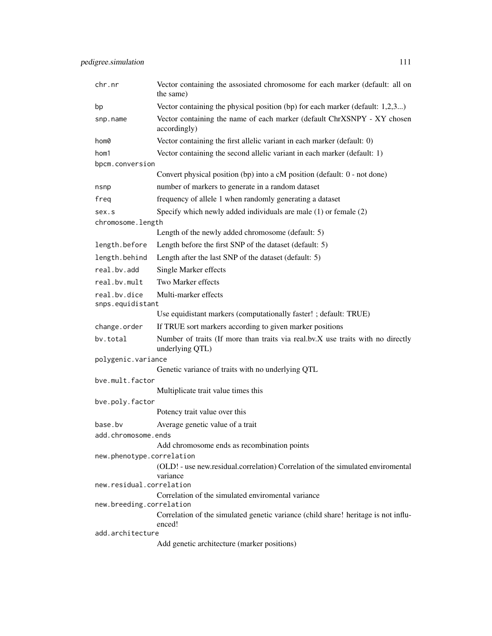| chr.nr                           | Vector containing the assosiated chromosome for each marker (default: all on<br>the same)          |  |
|----------------------------------|----------------------------------------------------------------------------------------------------|--|
| bp                               | Vector containing the physical position (bp) for each marker (default: 1,2,3)                      |  |
| snp.name                         | Vector containing the name of each marker (default ChrXSNPY - XY chosen<br>accordingly)            |  |
| hom0                             | Vector containing the first allelic variant in each marker (default: 0)                            |  |
| hom1                             | Vector containing the second allelic variant in each marker (default: 1)                           |  |
| bpcm.conversion                  |                                                                                                    |  |
|                                  | Convert physical position (bp) into a cM position (default: 0 - not done)                          |  |
| nsnp                             | number of markers to generate in a random dataset                                                  |  |
| freg                             | frequency of allele 1 when randomly generating a dataset                                           |  |
| sex.s                            | Specify which newly added individuals are male $(1)$ or female $(2)$                               |  |
| chromosome.length                |                                                                                                    |  |
|                                  | Length of the newly added chromosome (default: 5)                                                  |  |
| length.before                    | Length before the first SNP of the dataset (default: 5)                                            |  |
| length.behind                    | Length after the last SNP of the dataset (default: 5)                                              |  |
| real.bv.add                      | Single Marker effects                                                                              |  |
| real.bv.mult                     | Two Marker effects                                                                                 |  |
| real.bv.dice<br>snps.equidistant | Multi-marker effects                                                                               |  |
|                                  | Use equidistant markers (computationally faster! ; default: TRUE)                                  |  |
| change.order                     | If TRUE sort markers according to given marker positions                                           |  |
| by.total                         | Number of traits (If more than traits via real.bv.X use traits with no directly<br>underlying QTL) |  |
| polygenic.variance               |                                                                                                    |  |
|                                  | Genetic variance of traits with no underlying QTL                                                  |  |
| bve.mult.factor                  |                                                                                                    |  |
|                                  | Multiplicate trait value times this                                                                |  |
| bve.poly.factor                  | Potency trait value over this                                                                      |  |
| base.bv                          | Average genetic value of a trait                                                                   |  |
| add.chromosome.ends              |                                                                                                    |  |
|                                  | Add chromosome ends as recombination points                                                        |  |
| new.phenotype.correlation        |                                                                                                    |  |
|                                  | (OLD! - use new.residual.correlation) Correlation of the simulated enviromental<br>variance        |  |
| new.residual.correlation         |                                                                                                    |  |
| new.breeding.correlation         | Correlation of the simulated enviromental variance                                                 |  |
|                                  | Correlation of the simulated genetic variance (child share! heritage is not influ-<br>enced!       |  |
| add.architecture                 |                                                                                                    |  |
|                                  | Add genetic architecture (marker positions)                                                        |  |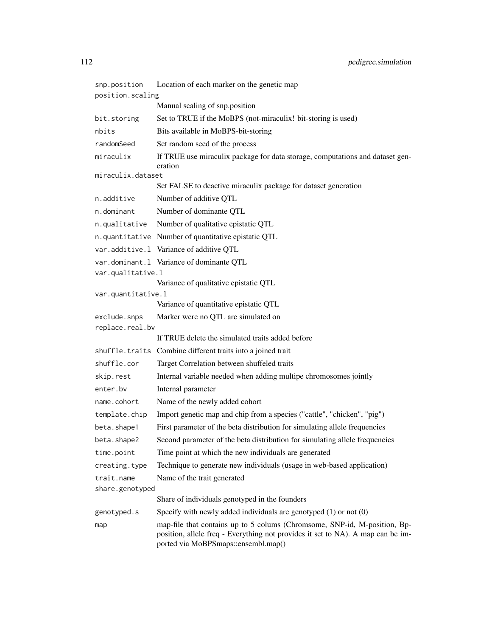| snp.position       | Location of each marker on the genetic map                                                                                                                                                          |
|--------------------|-----------------------------------------------------------------------------------------------------------------------------------------------------------------------------------------------------|
| position.scaling   |                                                                                                                                                                                                     |
|                    | Manual scaling of snp.position                                                                                                                                                                      |
| bit.storing        | Set to TRUE if the MoBPS (not-miraculix! bit-storing is used)                                                                                                                                       |
| nbits              | Bits available in MoBPS-bit-storing                                                                                                                                                                 |
| randomSeed         | Set random seed of the process                                                                                                                                                                      |
| miraculix          | If TRUE use miraculix package for data storage, computations and dataset gen-<br>eration                                                                                                            |
| miraculix.dataset  | Set FALSE to deactive miraculix package for dataset generation                                                                                                                                      |
| n.additive         | Number of additive QTL                                                                                                                                                                              |
| n.dominant         | Number of dominante QTL                                                                                                                                                                             |
| n.qualitative      | Number of qualitative epistatic QTL                                                                                                                                                                 |
|                    | n.quantitative Number of quantitative epistatic QTL                                                                                                                                                 |
|                    |                                                                                                                                                                                                     |
|                    | var.additive.1 Variance of additive QTL<br>var.dominant.1 Variance of dominante QTL                                                                                                                 |
| var.qualitative.l  |                                                                                                                                                                                                     |
|                    | Variance of qualitative epistatic QTL                                                                                                                                                               |
| var.quantitative.l |                                                                                                                                                                                                     |
|                    | Variance of quantitative epistatic QTL                                                                                                                                                              |
| exclude.snps       | Marker were no QTL are simulated on                                                                                                                                                                 |
| replace.real.bv    |                                                                                                                                                                                                     |
|                    | If TRUE delete the simulated traits added before                                                                                                                                                    |
|                    | shuffle.traits Combine different traits into a joined trait                                                                                                                                         |
| shuffle.cor        | Target Correlation between shuffeled traits                                                                                                                                                         |
| skip.rest          | Internal variable needed when adding multipe chromosomes jointly                                                                                                                                    |
| enter.bv           | Internal parameter                                                                                                                                                                                  |
| name.cohort        | Name of the newly added cohort                                                                                                                                                                      |
| template.chip      | Import genetic map and chip from a species ("cattle", "chicken", "pig")                                                                                                                             |
| beta.shape1        | First parameter of the beta distribution for simulating allele frequencies                                                                                                                          |
| beta.shape2        | Second parameter of the beta distribution for simulating allele frequencies                                                                                                                         |
| time.point         | Time point at which the new individuals are generated                                                                                                                                               |
| creating.type      | Technique to generate new individuals (usage in web-based application)                                                                                                                              |
| trait.name         | Name of the trait generated                                                                                                                                                                         |
| share.genotyped    |                                                                                                                                                                                                     |
|                    | Share of individuals genotyped in the founders                                                                                                                                                      |
| genotyped.s        | Specify with newly added individuals are genotyped $(1)$ or not $(0)$                                                                                                                               |
| map                | map-file that contains up to 5 colums (Chromsome, SNP-id, M-position, Bp-<br>position, allele freq - Everything not provides it set to NA). A map can be im-<br>ported via MoBPSmaps::ensembl.map() |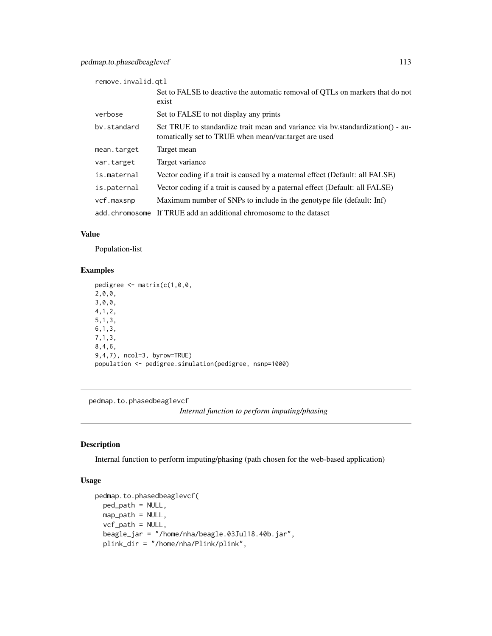<span id="page-112-0"></span>

| remove.invalid.gtl |                                                                                                                                         |
|--------------------|-----------------------------------------------------------------------------------------------------------------------------------------|
|                    | Set to FALSE to deactive the automatic removal of QTLs on markers that do not<br>exist                                                  |
| verbose            | Set to FALSE to not display any prints                                                                                                  |
| by.standard        | Set TRUE to standardize trait mean and variance via by standardization() - au-<br>tomatically set to TRUE when mean/var.target are used |
| mean.target        | Target mean                                                                                                                             |
| var.target         | Target variance                                                                                                                         |
| is.maternal        | Vector coding if a trait is caused by a maternal effect (Default: all FALSE)                                                            |
| is.paternal        | Vector coding if a trait is caused by a paternal effect (Default: all FALSE)                                                            |
| vcf.maxsnp         | Maximum number of SNPs to include in the genotype file (default: Inf)                                                                   |
| add.chromosome     | If TRUE add an additional chromosome to the dataset                                                                                     |

## Value

Population-list

## Examples

```
pedigree <- matrix(c(1,0,0,
2,0,0,3,0,0,
4,1,2,
5,1,3,
6,1,3,
7,1,3,
8,4,6,
9,4,7), ncol=3, byrow=TRUE)
population <- pedigree.simulation(pedigree, nsnp=1000)
```
pedmap.to.phasedbeaglevcf

*Internal function to perform imputing/phasing*

## Description

Internal function to perform imputing/phasing (path chosen for the web-based application)

# Usage

```
pedmap.to.phasedbeaglevcf(
 ped_path = NULL,
 map_path = NULL,
 vcf_path = NULL,
 beagle_jar = "/home/nha/beagle.03Jul18.40b.jar",
 plink_dir = "/home/nha/Plink/plink",
```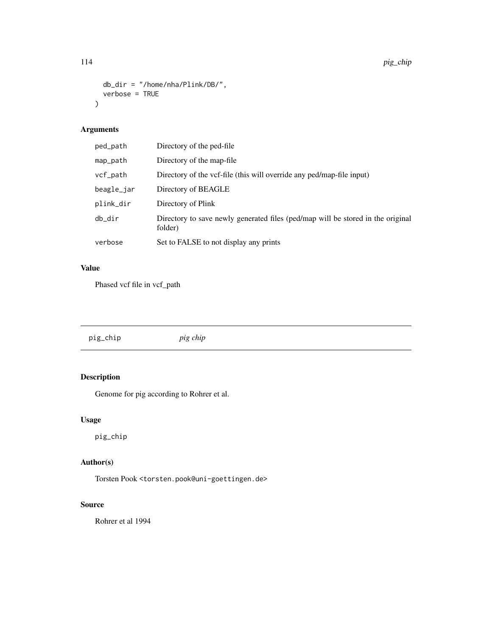```
db_dir = "/home/nha/Plink/DB/",
  verbose = TRUE
\mathcal{L}
```
# Arguments

| ped_path   | Directory of the ped-file                                                                  |
|------------|--------------------------------------------------------------------------------------------|
| map_path   | Directory of the map-file                                                                  |
| vcf_path   | Directory of the vcf-file (this will override any ped/map-file input)                      |
| beagle_jar | Directory of BEAGLE                                                                        |
| plink_dir  | Directory of Plink                                                                         |
| db_dir     | Directory to save newly generated files (ped/map will be stored in the original<br>folder) |
| verbose    | Set to FALSE to not display any prints                                                     |

# Value

Phased vcf file in vcf\_path

| pig_chip | pig chip |  |
|----------|----------|--|
|          |          |  |

# Description

Genome for pig according to Rohrer et al.

# Usage

pig\_chip

## Author(s)

Torsten Pook <torsten.pook@uni-goettingen.de>

## Source

Rohrer et al 1994

<span id="page-113-0"></span>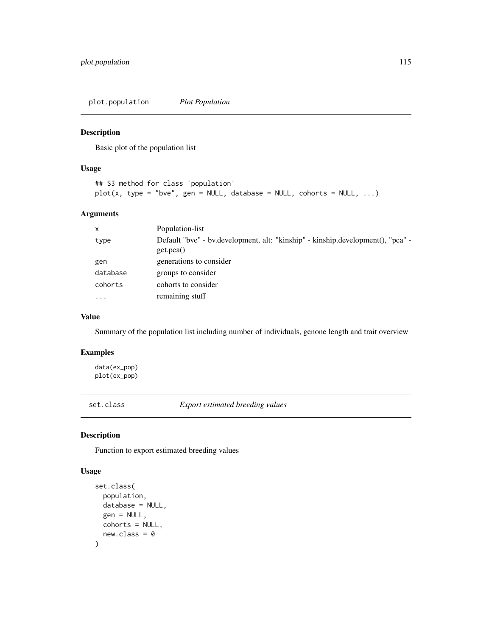<span id="page-114-0"></span>plot.population *Plot Population*

# Description

Basic plot of the population list

## Usage

```
## S3 method for class 'population'
plot(x, type = "bve", gen = NULL, database = NULL, cohorts = NULL, ...)
```
#### Arguments

| $\mathsf{x}$ | Population-list                                                                              |
|--------------|----------------------------------------------------------------------------------------------|
| type         | Default "bve" - bv.development, alt: "kinship" - kinship.development(), "pca" -<br>get.pca() |
| gen          | generations to consider                                                                      |
| database     | groups to consider                                                                           |
| cohorts      | cohorts to consider                                                                          |
| $\cdots$     | remaining stuff                                                                              |

## Value

Summary of the population list including number of individuals, genone length and trait overview

## Examples

data(ex\_pop) plot(ex\_pop)

set.class *Export estimated breeding values*

## Description

Function to export estimated breeding values

#### Usage

```
set.class(
  population,
  database = NULL,
  gen = NULL,
  cohorts = NULL,
  new.class = 0\mathcal{E}
```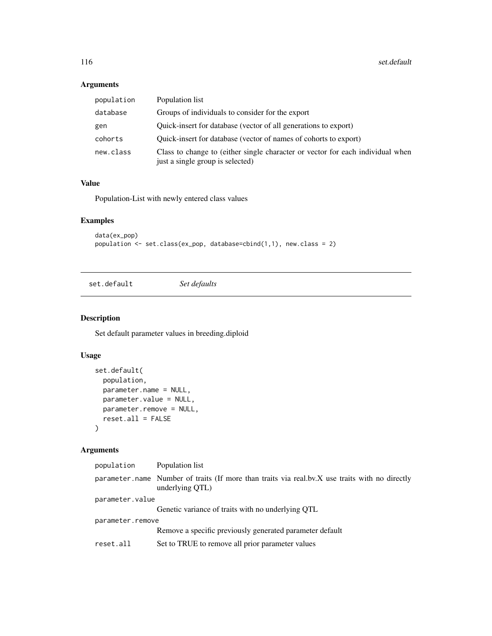# Arguments

| population | Population list                                                                                                    |
|------------|--------------------------------------------------------------------------------------------------------------------|
| database   | Groups of individuals to consider for the export                                                                   |
| gen        | Quick-insert for database (vector of all generations to export)                                                    |
| cohorts    | Quick-insert for database (vector of names of cohorts to export)                                                   |
| new.class  | Class to change to (either single character or vector for each individual when<br>just a single group is selected) |

## Value

Population-List with newly entered class values

# Examples

```
data(ex_pop)
population <- set.class(ex_pop, database=cbind(1,1), new.class = 2)
```
set.default *Set defaults*

# Description

Set default parameter values in breeding.diploid

# Usage

```
set.default(
 population,
 parameter.name = NULL,
 parameter.value = NULL,
 parameter.remove = NULL,
 reset.all = FALSE
\mathcal{L}
```
# Arguments

| population       | Population list                                                                                                   |  |
|------------------|-------------------------------------------------------------------------------------------------------------------|--|
|                  | parameter name Number of traits (If more than traits via real.bv.X use traits with no directly<br>underlying QTL) |  |
| parameter.value  |                                                                                                                   |  |
|                  | Genetic variance of traits with no underlying QTL                                                                 |  |
| parameter.remove |                                                                                                                   |  |
|                  | Remove a specific previously generated parameter default                                                          |  |
| reset.all        | Set to TRUE to remove all prior parameter values                                                                  |  |

<span id="page-115-0"></span>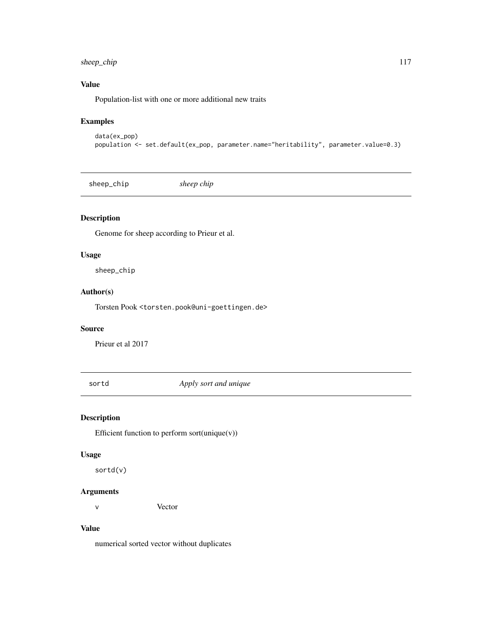## <span id="page-116-0"></span>sheep\_chip 117

## Value

Population-list with one or more additional new traits

## Examples

```
data(ex_pop)
population <- set.default(ex_pop, parameter.name="heritability", parameter.value=0.3)
```
sheep\_chip *sheep chip*

## Description

Genome for sheep according to Prieur et al.

#### Usage

sheep\_chip

#### Author(s)

Torsten Pook <torsten.pook@uni-goettingen.de>

#### Source

Prieur et al 2017

sortd *Apply sort and unique*

## Description

Efficient function to perform sort(unique(v))

## Usage

sortd(v)

#### Arguments

v Vector

#### Value

numerical sorted vector without duplicates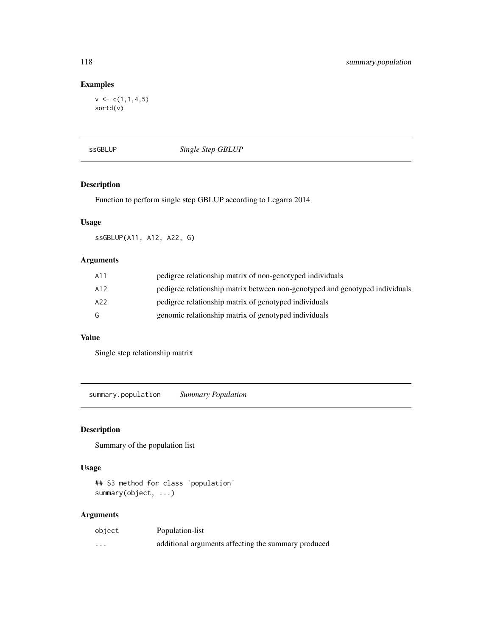## Examples

 $v \leq c(1,1,4,5)$ sortd(v)

ssGBLUP *Single Step GBLUP*

## Description

Function to perform single step GBLUP according to Legarra 2014

## Usage

ssGBLUP(A11, A12, A22, G)

## Arguments

| A11 | pedigree relationship matrix of non-genotyped individuals                    |
|-----|------------------------------------------------------------------------------|
| A12 | pedigree relationship matrix between non-genotyped and genotyped individuals |
| A22 | pedigree relationship matrix of genotyped individuals                        |
| G   | genomic relationship matrix of genotyped individuals                         |

## Value

Single step relationship matrix

summary.population *Summary Population*

## Description

Summary of the population list

#### Usage

## S3 method for class 'population' summary(object, ...)

## Arguments

| object   | Population-list                                     |
|----------|-----------------------------------------------------|
| $\cdots$ | additional arguments affecting the summary produced |

<span id="page-117-0"></span>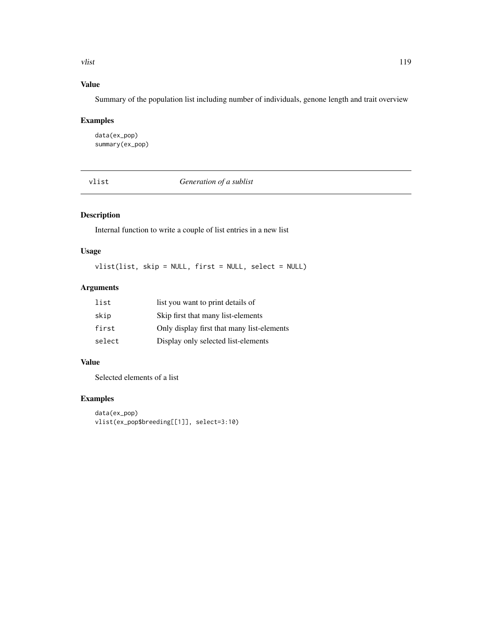<span id="page-118-0"></span>vlist the contract of the contract of the contract of the contract of the contract of the contract of the contract of the contract of the contract of the contract of the contract of the contract of the contract of the cont

# Value

Summary of the population list including number of individuals, genone length and trait overview

## Examples

data(ex\_pop) summary(ex\_pop)

vlist *Generation of a sublist*

## Description

Internal function to write a couple of list entries in a new list

## Usage

vlist(list, skip = NULL, first = NULL, select = NULL)

# Arguments

| list   | list you want to print details of          |
|--------|--------------------------------------------|
| skip   | Skip first that many list-elements         |
| first  | Only display first that many list-elements |
| select | Display only selected list-elements        |

## Value

Selected elements of a list

## Examples

```
data(ex_pop)
vlist(ex_pop$breeding[[1]], select=3:10)
```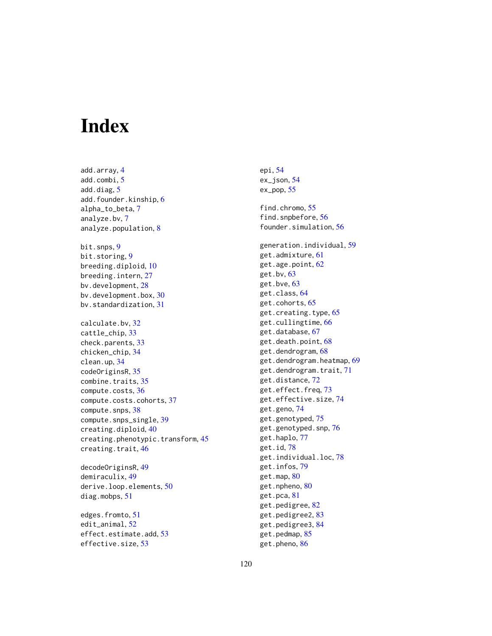# **Index**

add.array, [4](#page-3-0) add.combi, [5](#page-4-0) add.diag, [5](#page-4-0) add.founder.kinship, [6](#page-5-0) alpha\_to\_beta, [7](#page-6-0) analyze.bv, [7](#page-6-0) analyze.population, [8](#page-7-0) bit.snps, [9](#page-8-0) bit.storing, [9](#page-8-0) breeding.diploid, [10](#page-9-0) breeding.intern, [27](#page-26-0) bv.development, [28](#page-27-0) bv.development.box, [30](#page-29-0) bv.standardization, [31](#page-30-0) calculate.bv, [32](#page-31-0) cattle chip. [33](#page-32-0) check.parents, [33](#page-32-0) chicken\_chip, [34](#page-33-0) clean.up, [34](#page-33-0) codeOriginsR, [35](#page-34-0) combine.traits, [35](#page-34-0) compute.costs, [36](#page-35-0) compute.costs.cohorts, [37](#page-36-0) compute.snps, [38](#page-37-0) compute.snps\_single, [39](#page-38-0) creating.diploid, [40](#page-39-0) creating.phenotypic.transform, [45](#page-44-0) creating.trait, [46](#page-45-0)

decodeOriginsR, [49](#page-48-0) demiraculix, [49](#page-48-0) derive.loop.elements, [50](#page-49-0) diag.mobps, [51](#page-50-0)

edges.fromto, [51](#page-50-0) edit\_animal, [52](#page-51-0) effect.estimate.add, [53](#page-52-0) effective.size, [53](#page-52-0)

epi, [54](#page-53-0) ex\_json, [54](#page-53-0) ex\_pop, [55](#page-54-0) find.chromo, [55](#page-54-0) find.snpbefore, [56](#page-55-0) founder.simulation, [56](#page-55-0) generation.individual, [59](#page-58-0) get.admixture, [61](#page-60-0) get.age.point, [62](#page-61-0) get.bv, [63](#page-62-0) get.bve, [63](#page-62-0) get.class, [64](#page-63-0) get.cohorts, [65](#page-64-0) get.creating.type, [65](#page-64-0) get.cullingtime, [66](#page-65-0) get.database, [67](#page-66-0) get.death.point, [68](#page-67-0) get.dendrogram, [68](#page-67-0) get.dendrogram.heatmap, [69](#page-68-0) get.dendrogram.trait, [71](#page-70-0) get.distance, [72](#page-71-0) get.effect.freq, [73](#page-72-0) get.effective.size, [74](#page-73-0) get.geno, [74](#page-73-0) get.genotyped, [75](#page-74-0) get.genotyped.snp, [76](#page-75-0) get.haplo, [77](#page-76-0) get.id, [78](#page-77-0) get.individual.loc, [78](#page-77-0) get.infos, [79](#page-78-0) get.map, [80](#page-79-0) get.npheno, [80](#page-79-0) get.pca, [81](#page-80-0) get.pedigree, [82](#page-81-0) get.pedigree2, [83](#page-82-0) get.pedigree3, [84](#page-83-0) get.pedmap, [85](#page-84-0)

get.pheno, [86](#page-85-0)